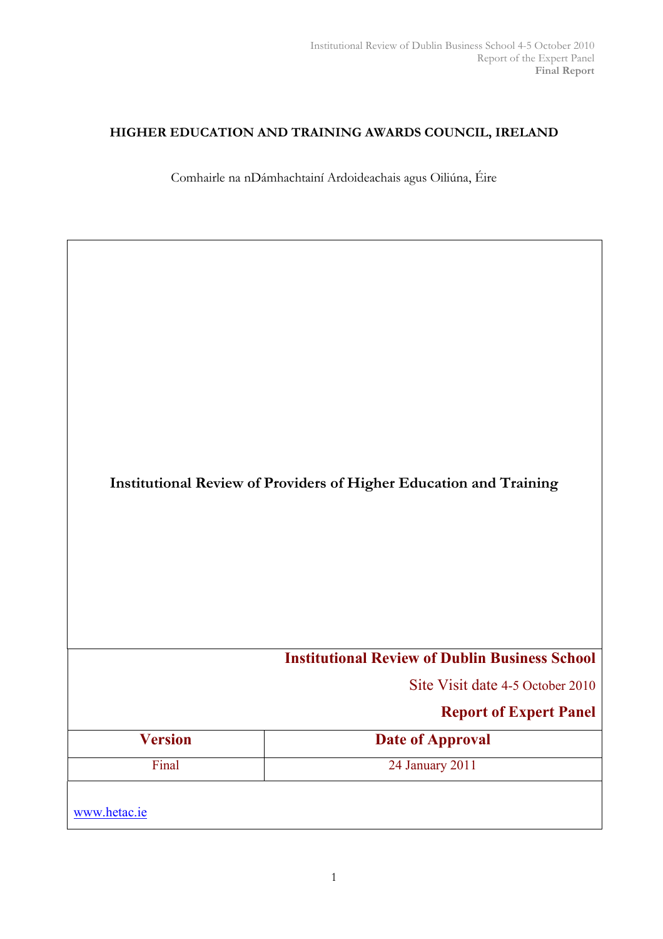## HIGHER EDUCATION AND TRAINING AWARDS COUNCIL, IRELAND

Comhairle na nDámhachtainí Ardoideachais agus Oiliúna, Éire

Institutional Review of Providers of Higher Education and Training

# Institutional Review of Dublin Business School

Site Visit date 4-5 October 2010

# Report of Expert Panel

| <b>Version</b> | <b>Date of Approval</b> |
|----------------|-------------------------|
| Final          | 24 January 2011         |
| www.hetac.ie   |                         |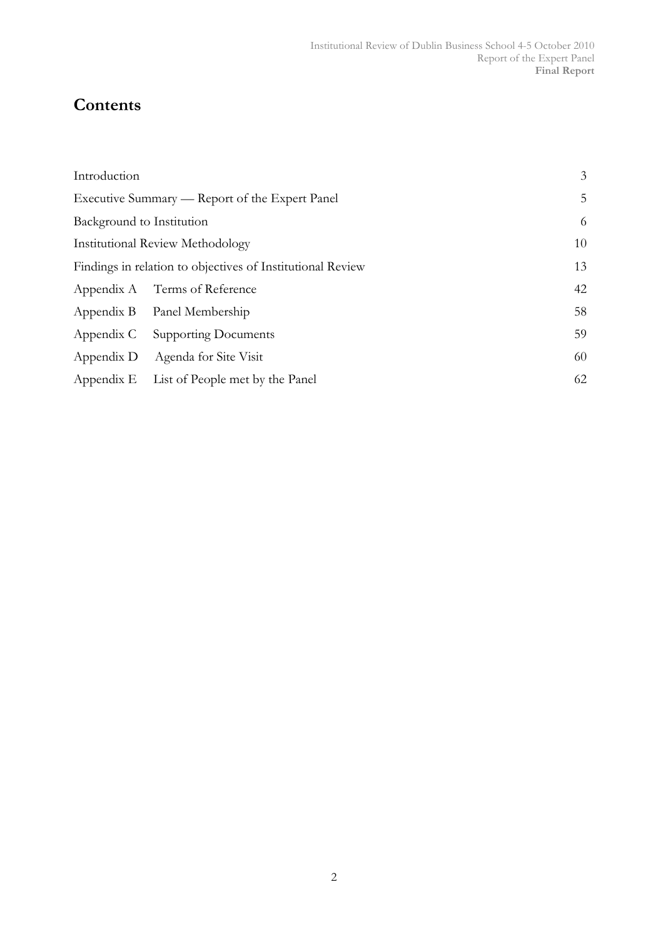# **Contents**

| Introduction              |                                                            | 3  |
|---------------------------|------------------------------------------------------------|----|
|                           | Executive Summary — Report of the Expert Panel             | 5  |
| Background to Institution |                                                            | 6  |
|                           | <b>Institutional Review Methodology</b>                    | 10 |
|                           | Findings in relation to objectives of Institutional Review | 13 |
|                           | Appendix A Terms of Reference                              | 42 |
|                           | Appendix B Panel Membership                                | 58 |
| Appendix C                | <b>Supporting Documents</b>                                | 59 |
| Appendix D                | Agenda for Site Visit                                      | 60 |
|                           | Appendix E List of People met by the Panel                 | 62 |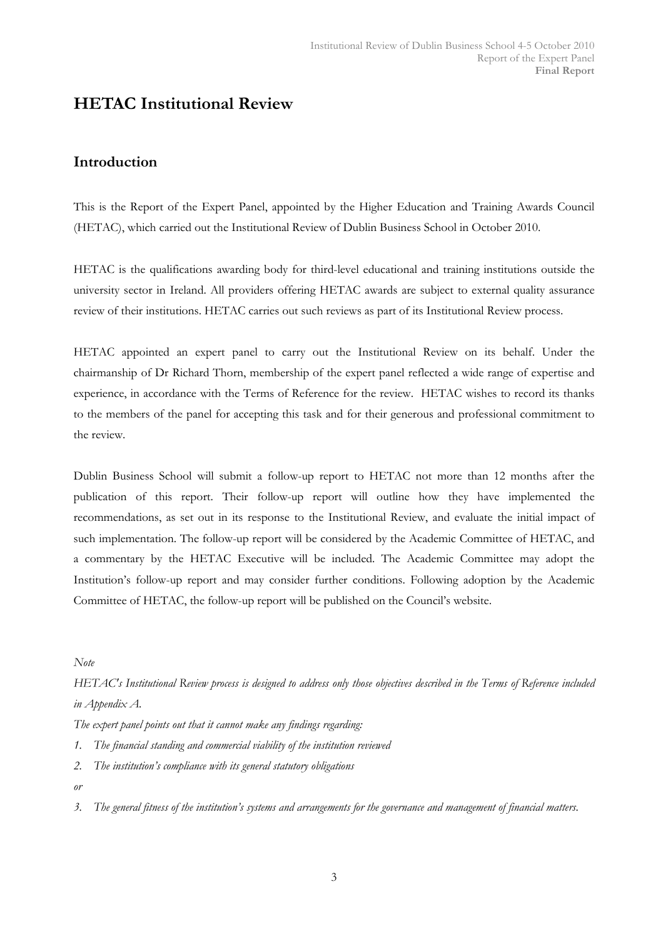# HETAC Institutional Review

## Introduction

This is the Report of the Expert Panel, appointed by the Higher Education and Training Awards Council (HETAC), which carried out the Institutional Review of Dublin Business School in October 2010.

HETAC is the qualifications awarding body for third-level educational and training institutions outside the university sector in Ireland. All providers offering HETAC awards are subject to external quality assurance review of their institutions. HETAC carries out such reviews as part of its Institutional Review process.

HETAC appointed an expert panel to carry out the Institutional Review on its behalf. Under the chairmanship of Dr Richard Thorn, membership of the expert panel reflected a wide range of expertise and experience, in accordance with the Terms of Reference for the review. HETAC wishes to record its thanks to the members of the panel for accepting this task and for their generous and professional commitment to the review.

Dublin Business School will submit a follow-up report to HETAC not more than 12 months after the publication of this report. Their follow-up report will outline how they have implemented the recommendations, as set out in its response to the Institutional Review, and evaluate the initial impact of such implementation. The follow-up report will be considered by the Academic Committee of HETAC, and a commentary by the HETAC Executive will be included. The Academic Committee may adopt the Institution's follow-up report and may consider further conditions. Following adoption by the Academic Committee of HETAC, the follow-up report will be published on the Council's website.

Note

HETAC's Institutional Review process is designed to address only those objectives described in the Terms of Reference included in Appendix A.

The expert panel points out that it cannot make any findings regarding:

- 1. The financial standing and commercial viability of the institution reviewed
- 2. The institution's compliance with its general statutory obligations

or

3. The general fitness of the institution's systems and arrangements for the governance and management of financial matters.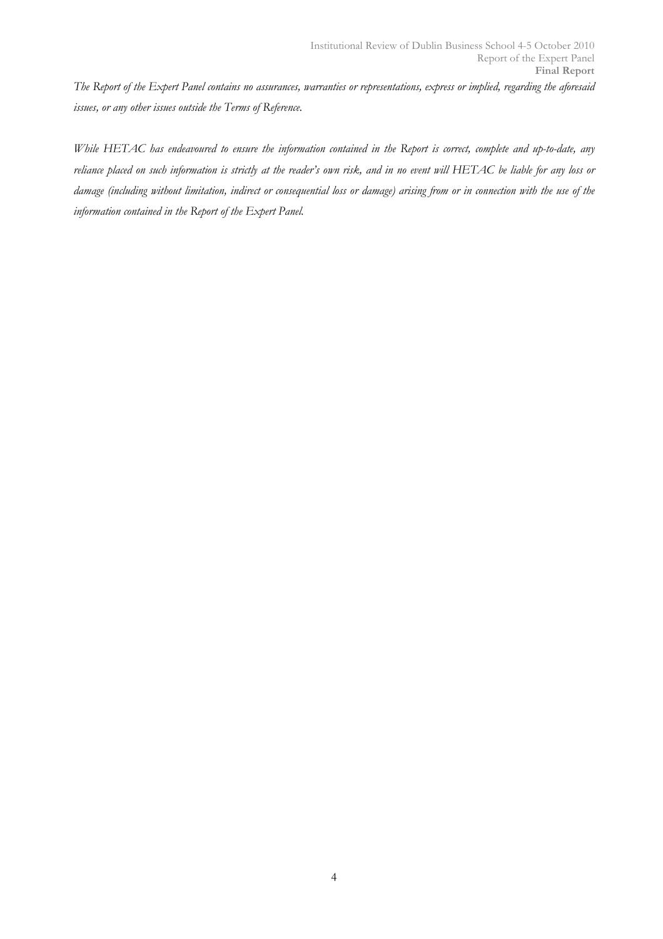The Report of the Expert Panel contains no assurances, warranties or representations, express or implied, regarding the aforesaid issues, or any other issues outside the Terms of Reference.

While HETAC has endeavoured to ensure the information contained in the Report is correct, complete and up-to-date, any reliance placed on such information is strictly at the reader's own risk, and in no event will HETAC be liable for any loss or damage (including without limitation, indirect or consequential loss or damage) arising from or in connection with the use of the information contained in the Report of the Expert Panel.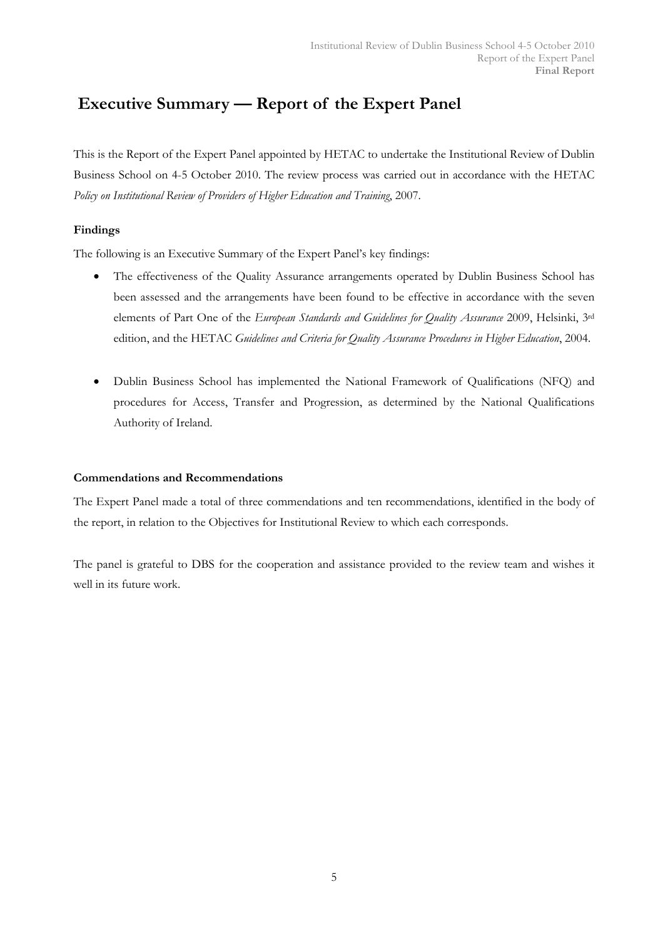# Executive Summary — Report of the Expert Panel

This is the Report of the Expert Panel appointed by HETAC to undertake the Institutional Review of Dublin Business School on 4-5 October 2010. The review process was carried out in accordance with the HETAC Policy on Institutional Review of Providers of Higher Education and Training, 2007.

## Findings

The following is an Executive Summary of the Expert Panel's key findings:

- The effectiveness of the Quality Assurance arrangements operated by Dublin Business School has been assessed and the arrangements have been found to be effective in accordance with the seven elements of Part One of the European Standards and Guidelines for Quality Assurance 2009, Helsinki, 3rd edition, and the HETAC Guidelines and Criteria for Quality Assurance Procedures in Higher Education, 2004.
- Dublin Business School has implemented the National Framework of Qualifications (NFQ) and procedures for Access, Transfer and Progression, as determined by the National Qualifications Authority of Ireland.

## Commendations and Recommendations

The Expert Panel made a total of three commendations and ten recommendations, identified in the body of the report, in relation to the Objectives for Institutional Review to which each corresponds.

The panel is grateful to DBS for the cooperation and assistance provided to the review team and wishes it well in its future work.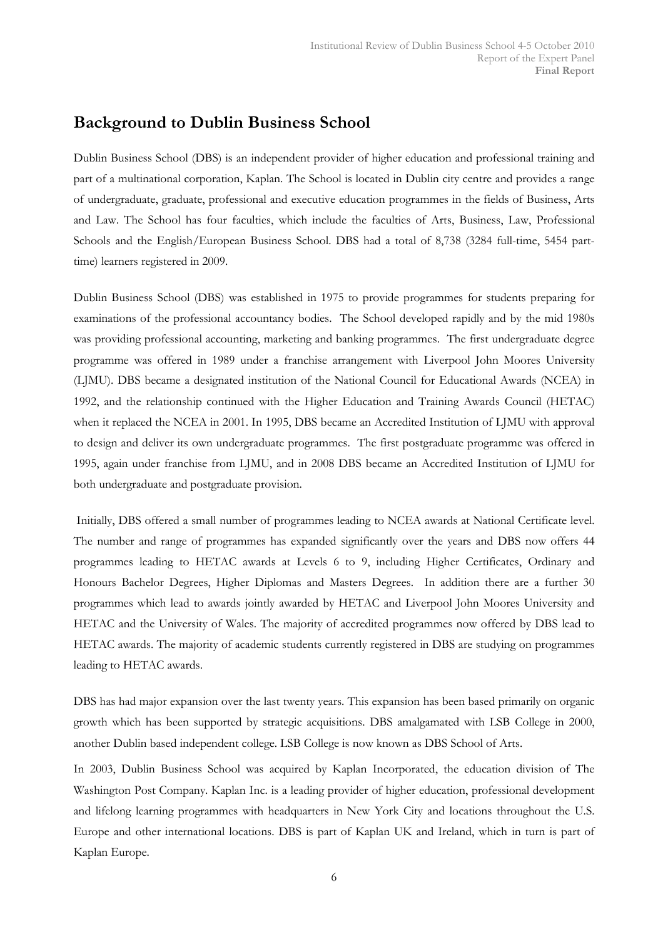# Background to Dublin Business School

Dublin Business School (DBS) is an independent provider of higher education and professional training and part of a multinational corporation, Kaplan. The School is located in Dublin city centre and provides a range of undergraduate, graduate, professional and executive education programmes in the fields of Business, Arts and Law. The School has four faculties, which include the faculties of Arts, Business, Law, Professional Schools and the English/European Business School. DBS had a total of 8,738 (3284 full-time, 5454 parttime) learners registered in 2009.

Dublin Business School (DBS) was established in 1975 to provide programmes for students preparing for examinations of the professional accountancy bodies. The School developed rapidly and by the mid 1980s was providing professional accounting, marketing and banking programmes. The first undergraduate degree programme was offered in 1989 under a franchise arrangement with Liverpool John Moores University (LJMU). DBS became a designated institution of the National Council for Educational Awards (NCEA) in 1992, and the relationship continued with the Higher Education and Training Awards Council (HETAC) when it replaced the NCEA in 2001. In 1995, DBS became an Accredited Institution of LJMU with approval to design and deliver its own undergraduate programmes. The first postgraduate programme was offered in 1995, again under franchise from LJMU, and in 2008 DBS became an Accredited Institution of LJMU for both undergraduate and postgraduate provision.

 Initially, DBS offered a small number of programmes leading to NCEA awards at National Certificate level. The number and range of programmes has expanded significantly over the years and DBS now offers 44 programmes leading to HETAC awards at Levels 6 to 9, including Higher Certificates, Ordinary and Honours Bachelor Degrees, Higher Diplomas and Masters Degrees. In addition there are a further 30 programmes which lead to awards jointly awarded by HETAC and Liverpool John Moores University and HETAC and the University of Wales. The majority of accredited programmes now offered by DBS lead to HETAC awards. The majority of academic students currently registered in DBS are studying on programmes leading to HETAC awards.

DBS has had major expansion over the last twenty years. This expansion has been based primarily on organic growth which has been supported by strategic acquisitions. DBS amalgamated with LSB College in 2000, another Dublin based independent college. LSB College is now known as DBS School of Arts.

In 2003, Dublin Business School was acquired by Kaplan Incorporated, the education division of The Washington Post Company. Kaplan Inc. is a leading provider of higher education, professional development and lifelong learning programmes with headquarters in New York City and locations throughout the U.S. Europe and other international locations. DBS is part of Kaplan UK and Ireland, which in turn is part of Kaplan Europe.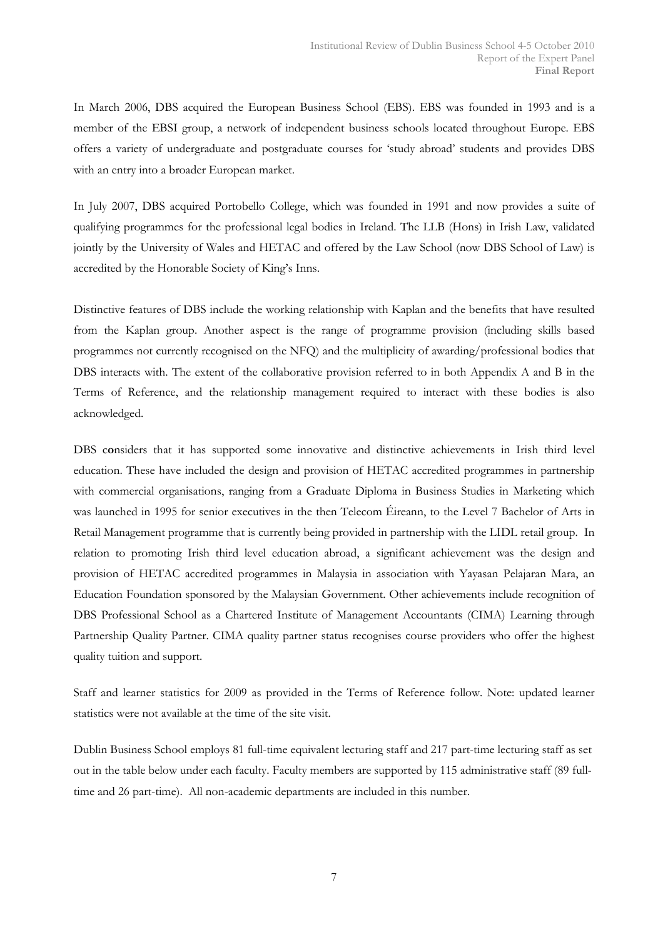In March 2006, DBS acquired the European Business School (EBS). EBS was founded in 1993 and is a member of the EBSI group, a network of independent business schools located throughout Europe. EBS offers a variety of undergraduate and postgraduate courses for 'study abroad' students and provides DBS with an entry into a broader European market.

In July 2007, DBS acquired Portobello College, which was founded in 1991 and now provides a suite of qualifying programmes for the professional legal bodies in Ireland. The LLB (Hons) in Irish Law, validated jointly by the University of Wales and HETAC and offered by the Law School (now DBS School of Law) is accredited by the Honorable Society of King's Inns.

Distinctive features of DBS include the working relationship with Kaplan and the benefits that have resulted from the Kaplan group. Another aspect is the range of programme provision (including skills based programmes not currently recognised on the NFQ) and the multiplicity of awarding/professional bodies that DBS interacts with. The extent of the collaborative provision referred to in both Appendix A and B in the Terms of Reference, and the relationship management required to interact with these bodies is also acknowledged.

DBS considers that it has supported some innovative and distinctive achievements in Irish third level education. These have included the design and provision of HETAC accredited programmes in partnership with commercial organisations, ranging from a Graduate Diploma in Business Studies in Marketing which was launched in 1995 for senior executives in the then Telecom Éireann, to the Level 7 Bachelor of Arts in Retail Management programme that is currently being provided in partnership with the LIDL retail group. In relation to promoting Irish third level education abroad, a significant achievement was the design and provision of HETAC accredited programmes in Malaysia in association with Yayasan Pelajaran Mara, an Education Foundation sponsored by the Malaysian Government. Other achievements include recognition of DBS Professional School as a Chartered Institute of Management Accountants (CIMA) Learning through Partnership Quality Partner. CIMA quality partner status recognises course providers who offer the highest quality tuition and support.

Staff and learner statistics for 2009 as provided in the Terms of Reference follow. Note: updated learner statistics were not available at the time of the site visit.

Dublin Business School employs 81 full-time equivalent lecturing staff and 217 part-time lecturing staff as set out in the table below under each faculty. Faculty members are supported by 115 administrative staff (89 fulltime and 26 part-time). All non-academic departments are included in this number.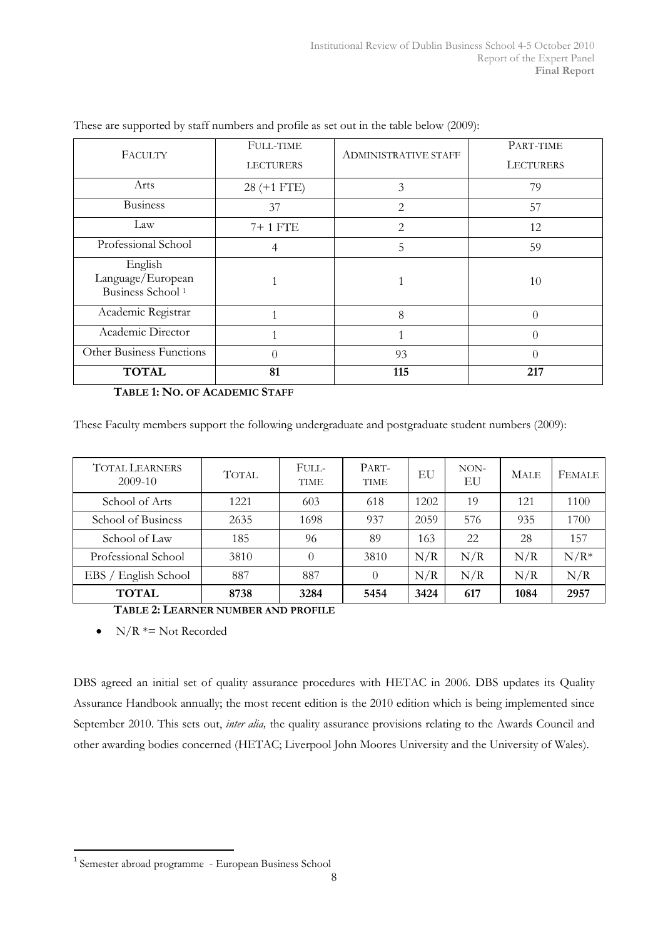| FACULTY                                                      | <b>FULL-TIME</b><br><b>LECTURERS</b> | <b>ADMINISTRATIVE STAFF</b>   | PART-TIME<br><b>LECTURERS</b> |
|--------------------------------------------------------------|--------------------------------------|-------------------------------|-------------------------------|
| Arts                                                         | $28 (+1 FTE)$                        | 3                             | 79                            |
| <b>Business</b>                                              | 37                                   | $\mathfrak{D}_{\mathfrak{p}}$ | 57                            |
| Law                                                          | 7+1 FTE                              | $\overline{2}$                | 12                            |
| Professional School                                          | 4                                    | 5                             | 59                            |
| English<br>Language/European<br>Business School <sup>1</sup> |                                      |                               | 10                            |
| Academic Registrar                                           |                                      | 8                             |                               |
| Academic Director                                            |                                      |                               |                               |
| Other Business Functions                                     | $\Omega$                             | 93                            | 0                             |
| <b>TOTAL</b>                                                 | 81                                   | 115                           | 217                           |

These are supported by staff numbers and profile as set out in the table below (2009):

TABLE 1: NO. OF ACADEMIC STAFF

These Faculty members support the following undergraduate and postgraduate student numbers (2009):

| <b>TOTAL LEARNERS</b><br>$2009-10$ | <b>TOTAL</b> | FULL-<br><b>TIME</b> | PART-<br><b>TIME</b> | EU   | NON-<br>EU | <b>MALE</b> | FEMALE |
|------------------------------------|--------------|----------------------|----------------------|------|------------|-------------|--------|
| School of Arts                     | 1221         | 603                  | 618                  | 1202 | 19         | 121         | 1100   |
| School of Business                 | 2635         | 1698                 | 937                  | 2059 | 576        | 935         | 1700   |
| School of Law                      | 185          | 96                   | 89                   | 163  | 22         | 28          | 157    |
| Professional School                | 3810         | 0                    | 3810                 | N/R  | N/R        | N/R         | $N/R*$ |
| EBS / English School               | 887          | 887                  | $\theta$             | N/R  | N/R        | N/R         | N/R    |
| <b>TOTAL</b>                       | 8738         | 3284                 | 5454                 | 3424 | 617        | 1084        | 2957   |

TABLE 2: LEARNER NUMBER AND PROFILE

•  $N/R \approx N$ ot Recorded

 $\overline{a}$ 

DBS agreed an initial set of quality assurance procedures with HETAC in 2006. DBS updates its Quality Assurance Handbook annually; the most recent edition is the 2010 edition which is being implemented since September 2010. This sets out, *inter alia*, the quality assurance provisions relating to the Awards Council and other awarding bodies concerned (HETAC; Liverpool John Moores University and the University of Wales).

<sup>1</sup> Semester abroad programme - European Business School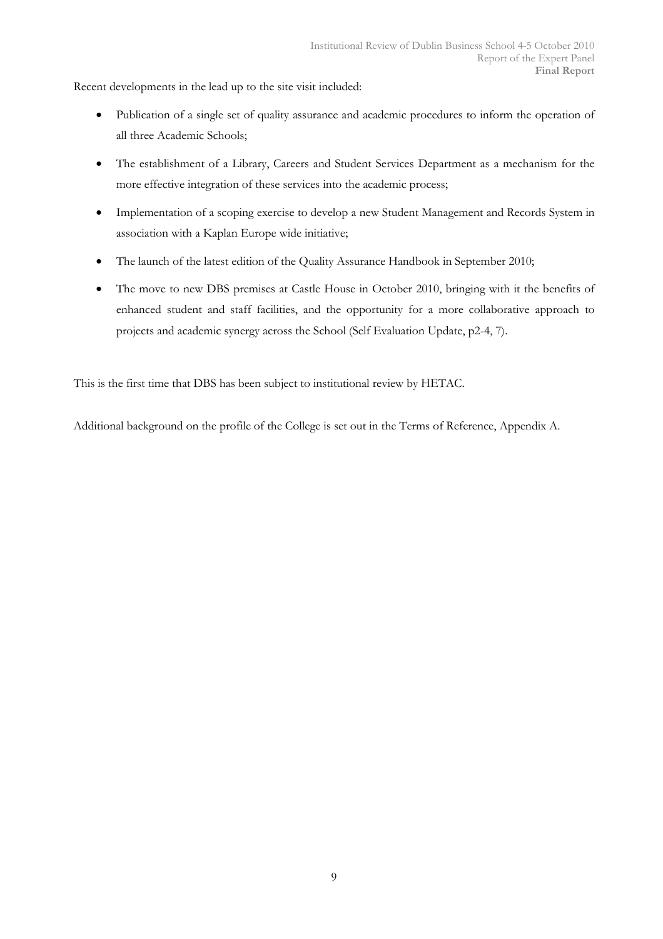Recent developments in the lead up to the site visit included:

- Publication of a single set of quality assurance and academic procedures to inform the operation of all three Academic Schools;
- The establishment of a Library, Careers and Student Services Department as a mechanism for the more effective integration of these services into the academic process;
- Implementation of a scoping exercise to develop a new Student Management and Records System in association with a Kaplan Europe wide initiative;
- The launch of the latest edition of the Quality Assurance Handbook in September 2010;
- The move to new DBS premises at Castle House in October 2010, bringing with it the benefits of enhanced student and staff facilities, and the opportunity for a more collaborative approach to projects and academic synergy across the School (Self Evaluation Update, p2-4, 7).

This is the first time that DBS has been subject to institutional review by HETAC.

Additional background on the profile of the College is set out in the Terms of Reference, Appendix A.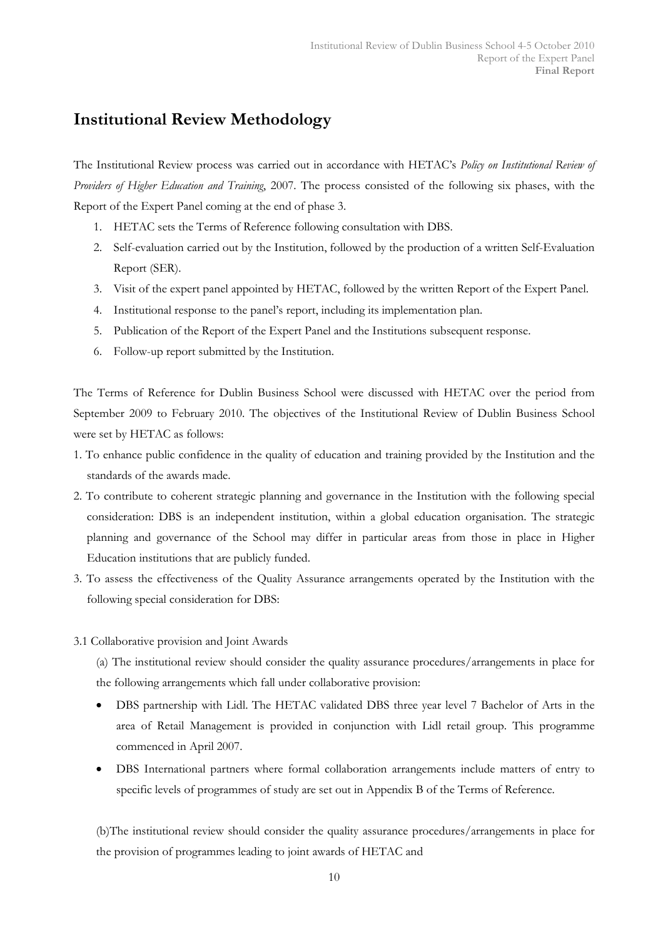# Institutional Review Methodology

The Institutional Review process was carried out in accordance with HETAC's Policy on Institutional Review of Providers of Higher Education and Training, 2007. The process consisted of the following six phases, with the Report of the Expert Panel coming at the end of phase 3.

- 1. HETAC sets the Terms of Reference following consultation with DBS.
- 2. Self-evaluation carried out by the Institution, followed by the production of a written Self-Evaluation Report (SER).
- 3. Visit of the expert panel appointed by HETAC, followed by the written Report of the Expert Panel.
- 4. Institutional response to the panel's report, including its implementation plan.
- 5. Publication of the Report of the Expert Panel and the Institutions subsequent response.
- 6. Follow-up report submitted by the Institution.

The Terms of Reference for Dublin Business School were discussed with HETAC over the period from September 2009 to February 2010. The objectives of the Institutional Review of Dublin Business School were set by HETAC as follows:

- 1. To enhance public confidence in the quality of education and training provided by the Institution and the standards of the awards made.
- 2. To contribute to coherent strategic planning and governance in the Institution with the following special consideration: DBS is an independent institution, within a global education organisation. The strategic planning and governance of the School may differ in particular areas from those in place in Higher Education institutions that are publicly funded.
- 3. To assess the effectiveness of the Quality Assurance arrangements operated by the Institution with the following special consideration for DBS:
- 3.1 Collaborative provision and Joint Awards

(a) The institutional review should consider the quality assurance procedures/arrangements in place for the following arrangements which fall under collaborative provision:

- DBS partnership with Lidl. The HETAC validated DBS three year level 7 Bachelor of Arts in the area of Retail Management is provided in conjunction with Lidl retail group. This programme commenced in April 2007.
- DBS International partners where formal collaboration arrangements include matters of entry to specific levels of programmes of study are set out in Appendix B of the Terms of Reference.

(b)The institutional review should consider the quality assurance procedures/arrangements in place for the provision of programmes leading to joint awards of HETAC and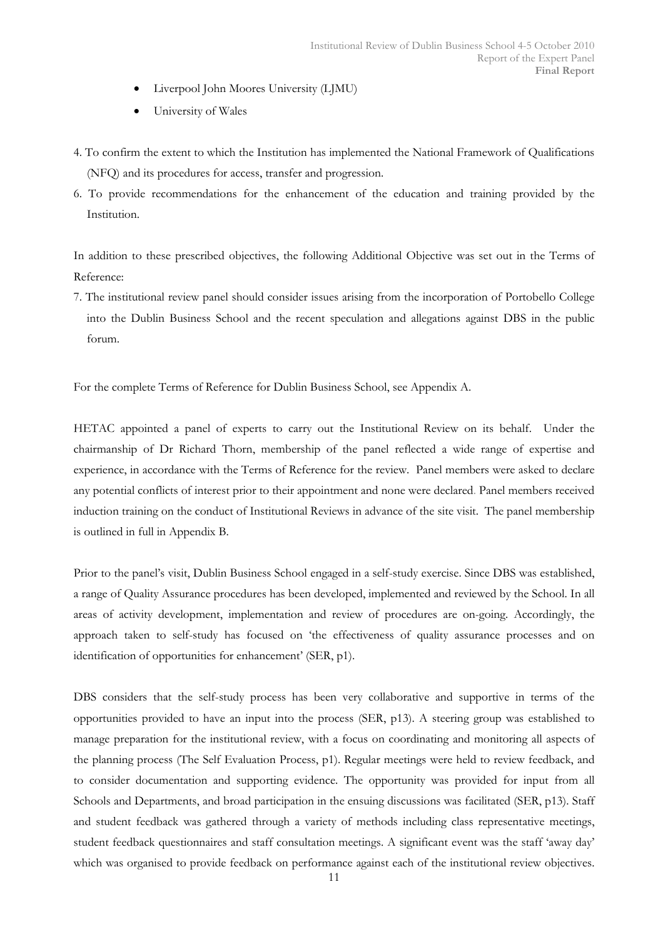- Liverpool John Moores University (LJMU)
- University of Wales
- 4. To confirm the extent to which the Institution has implemented the National Framework of Qualifications (NFQ) and its procedures for access, transfer and progression.
- 6. To provide recommendations for the enhancement of the education and training provided by the Institution.

In addition to these prescribed objectives, the following Additional Objective was set out in the Terms of Reference:

7. The institutional review panel should consider issues arising from the incorporation of Portobello College into the Dublin Business School and the recent speculation and allegations against DBS in the public forum.

For the complete Terms of Reference for Dublin Business School, see Appendix A.

HETAC appointed a panel of experts to carry out the Institutional Review on its behalf. Under the chairmanship of Dr Richard Thorn, membership of the panel reflected a wide range of expertise and experience, in accordance with the Terms of Reference for the review. Panel members were asked to declare any potential conflicts of interest prior to their appointment and none were declared. Panel members received induction training on the conduct of Institutional Reviews in advance of the site visit. The panel membership is outlined in full in Appendix B.

Prior to the panel's visit, Dublin Business School engaged in a self-study exercise. Since DBS was established, a range of Quality Assurance procedures has been developed, implemented and reviewed by the School. In all areas of activity development, implementation and review of procedures are on-going. Accordingly, the approach taken to self-study has focused on 'the effectiveness of quality assurance processes and on identification of opportunities for enhancement' (SER, p1).

DBS considers that the self-study process has been very collaborative and supportive in terms of the opportunities provided to have an input into the process (SER, p13). A steering group was established to manage preparation for the institutional review, with a focus on coordinating and monitoring all aspects of the planning process (The Self Evaluation Process, p1). Regular meetings were held to review feedback, and to consider documentation and supporting evidence. The opportunity was provided for input from all Schools and Departments, and broad participation in the ensuing discussions was facilitated (SER, p13). Staff and student feedback was gathered through a variety of methods including class representative meetings, student feedback questionnaires and staff consultation meetings. A significant event was the staff 'away day' which was organised to provide feedback on performance against each of the institutional review objectives.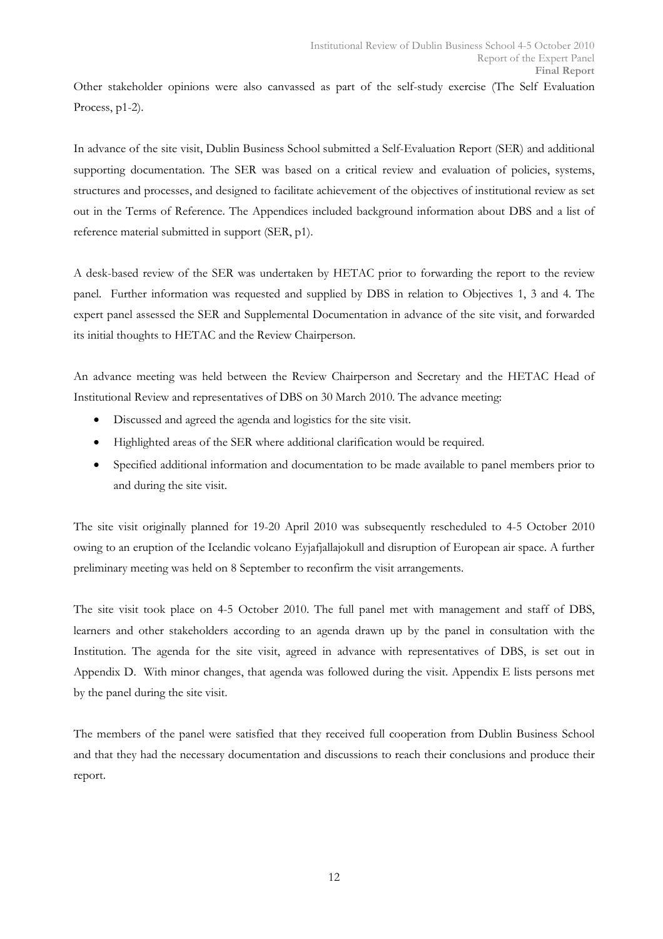Other stakeholder opinions were also canvassed as part of the self-study exercise (The Self Evaluation Process, p1-2).

In advance of the site visit, Dublin Business School submitted a Self-Evaluation Report (SER) and additional supporting documentation. The SER was based on a critical review and evaluation of policies, systems, structures and processes, and designed to facilitate achievement of the objectives of institutional review as set out in the Terms of Reference. The Appendices included background information about DBS and a list of reference material submitted in support (SER, p1).

A desk-based review of the SER was undertaken by HETAC prior to forwarding the report to the review panel. Further information was requested and supplied by DBS in relation to Objectives 1, 3 and 4. The expert panel assessed the SER and Supplemental Documentation in advance of the site visit, and forwarded its initial thoughts to HETAC and the Review Chairperson.

An advance meeting was held between the Review Chairperson and Secretary and the HETAC Head of Institutional Review and representatives of DBS on 30 March 2010. The advance meeting:

- Discussed and agreed the agenda and logistics for the site visit.
- Highlighted areas of the SER where additional clarification would be required.
- Specified additional information and documentation to be made available to panel members prior to and during the site visit.

The site visit originally planned for 19-20 April 2010 was subsequently rescheduled to 4-5 October 2010 owing to an eruption of the Icelandic volcano Eyjafjallajokull and disruption of European air space. A further preliminary meeting was held on 8 September to reconfirm the visit arrangements.

The site visit took place on 4-5 October 2010. The full panel met with management and staff of DBS, learners and other stakeholders according to an agenda drawn up by the panel in consultation with the Institution. The agenda for the site visit, agreed in advance with representatives of DBS, is set out in Appendix D. With minor changes, that agenda was followed during the visit. Appendix E lists persons met by the panel during the site visit.

The members of the panel were satisfied that they received full cooperation from Dublin Business School and that they had the necessary documentation and discussions to reach their conclusions and produce their report.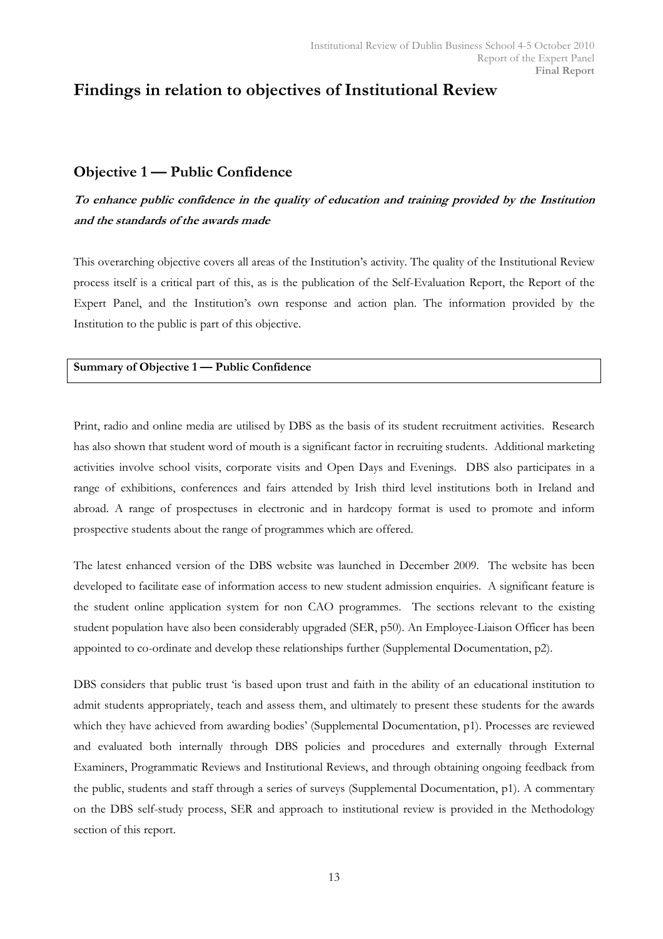# Findings in relation to objectives of Institutional Review

## Objective 1 — Public Confidence

# To enhance public confidence in the quality of education and training provided by the Institution and the standards of the awards made

This overarching objective covers all areas of the Institution's activity. The quality of the Institutional Review process itself is a critical part of this, as is the publication of the Self-Evaluation Report, the Report of the Expert Panel, and the Institution's own response and action plan. The information provided by the Institution to the public is part of this objective.

## Summary of Objective 1 — Public Confidence

Print, radio and online media are utilised by DBS as the basis of its student recruitment activities. Research has also shown that student word of mouth is a significant factor in recruiting students. Additional marketing activities involve school visits, corporate visits and Open Days and Evenings. DBS also participates in a range of exhibitions, conferences and fairs attended by Irish third level institutions both in Ireland and abroad. A range of prospectuses in electronic and in hardcopy format is used to promote and inform prospective students about the range of programmes which are offered.

The latest enhanced version of the DBS website was launched in December 2009. The website has been developed to facilitate ease of information access to new student admission enquiries. A significant feature is the student online application system for non CAO programmes. The sections relevant to the existing student population have also been considerably upgraded (SER, p50). An Employee-Liaison Officer has been appointed to co-ordinate and develop these relationships further (Supplemental Documentation, p2).

DBS considers that public trust 'is based upon trust and faith in the ability of an educational institution to admit students appropriately, teach and assess them, and ultimately to present these students for the awards which they have achieved from awarding bodies' (Supplemental Documentation, p1). Processes are reviewed and evaluated both internally through DBS policies and procedures and externally through External Examiners, Programmatic Reviews and Institutional Reviews, and through obtaining ongoing feedback from the public, students and staff through a series of surveys (Supplemental Documentation, p1). A commentary on the DBS self-study process, SER and approach to institutional review is provided in the Methodology section of this report.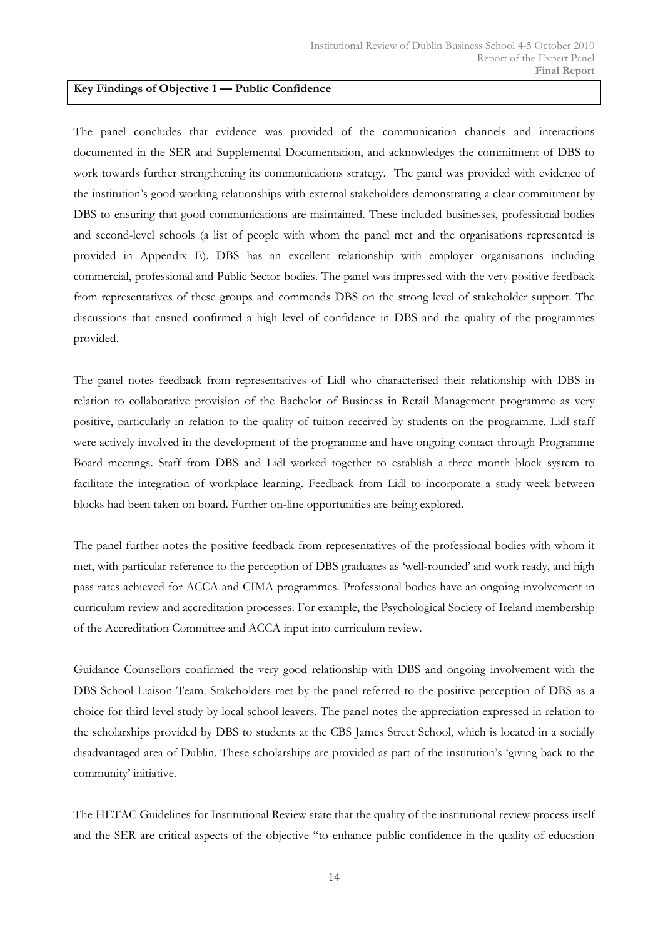#### Key Findings of Objective 1 — Public Confidence

The panel concludes that evidence was provided of the communication channels and interactions documented in the SER and Supplemental Documentation, and acknowledges the commitment of DBS to work towards further strengthening its communications strategy. The panel was provided with evidence of the institution's good working relationships with external stakeholders demonstrating a clear commitment by DBS to ensuring that good communications are maintained. These included businesses, professional bodies and second-level schools (a list of people with whom the panel met and the organisations represented is provided in Appendix E). DBS has an excellent relationship with employer organisations including commercial, professional and Public Sector bodies. The panel was impressed with the very positive feedback from representatives of these groups and commends DBS on the strong level of stakeholder support. The discussions that ensued confirmed a high level of confidence in DBS and the quality of the programmes provided.

The panel notes feedback from representatives of Lidl who characterised their relationship with DBS in relation to collaborative provision of the Bachelor of Business in Retail Management programme as very positive, particularly in relation to the quality of tuition received by students on the programme. Lidl staff were actively involved in the development of the programme and have ongoing contact through Programme Board meetings. Staff from DBS and Lidl worked together to establish a three month block system to facilitate the integration of workplace learning. Feedback from Lidl to incorporate a study week between blocks had been taken on board. Further on-line opportunities are being explored.

The panel further notes the positive feedback from representatives of the professional bodies with whom it met, with particular reference to the perception of DBS graduates as 'well-rounded' and work ready, and high pass rates achieved for ACCA and CIMA programmes. Professional bodies have an ongoing involvement in curriculum review and accreditation processes. For example, the Psychological Society of Ireland membership of the Accreditation Committee and ACCA input into curriculum review.

Guidance Counsellors confirmed the very good relationship with DBS and ongoing involvement with the DBS School Liaison Team. Stakeholders met by the panel referred to the positive perception of DBS as a choice for third level study by local school leavers. The panel notes the appreciation expressed in relation to the scholarships provided by DBS to students at the CBS James Street School, which is located in a socially disadvantaged area of Dublin. These scholarships are provided as part of the institution's 'giving back to the community' initiative.

The HETAC Guidelines for Institutional Review state that the quality of the institutional review process itself and the SER are critical aspects of the objective "to enhance public confidence in the quality of education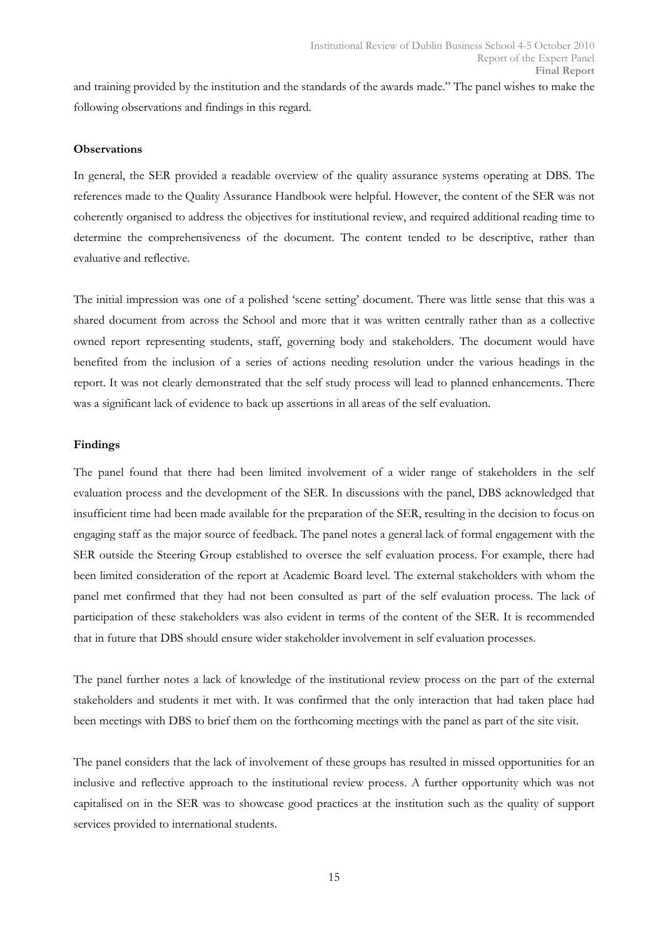and training provided by the institution and the standards of the awards made." The panel wishes to make the following observations and findings in this regard.

#### **Observations**

In general, the SER provided a readable overview of the quality assurance systems operating at DBS. The references made to the Quality Assurance Handbook were helpful. However, the content of the SER was not coherently organised to address the objectives for institutional review, and required additional reading time to determine the comprehensiveness of the document. The content tended to be descriptive, rather than evaluative and reflective.

The initial impression was one of a polished 'scene setting' document. There was little sense that this was a shared document from across the School and more that it was written centrally rather than as a collective owned report representing students, staff, governing body and stakeholders. The document would have benefited from the inclusion of a series of actions needing resolution under the various headings in the report. It was not clearly demonstrated that the self study process will lead to planned enhancements. There was a significant lack of evidence to back up assertions in all areas of the self evaluation.

#### Findings

The panel found that there had been limited involvement of a wider range of stakeholders in the self evaluation process and the development of the SER. In discussions with the panel, DBS acknowledged that insufficient time had been made available for the preparation of the SER, resulting in the decision to focus on engaging staff as the major source of feedback. The panel notes a general lack of formal engagement with the SER outside the Steering Group established to oversee the self evaluation process. For example, there had been limited consideration of the report at Academic Board level. The external stakeholders with whom the panel met confirmed that they had not been consulted as part of the self evaluation process. The lack of participation of these stakeholders was also evident in terms of the content of the SER. It is recommended that in future that DBS should ensure wider stakeholder involvement in self evaluation processes.

The panel further notes a lack of knowledge of the institutional review process on the part of the external stakeholders and students it met with. It was confirmed that the only interaction that had taken place had been meetings with DBS to brief them on the forthcoming meetings with the panel as part of the site visit.

The panel considers that the lack of involvement of these groups has resulted in missed opportunities for an inclusive and reflective approach to the institutional review process. A further opportunity which was not capitalised on in the SER was to showcase good practices at the institution such as the quality of support services provided to international students.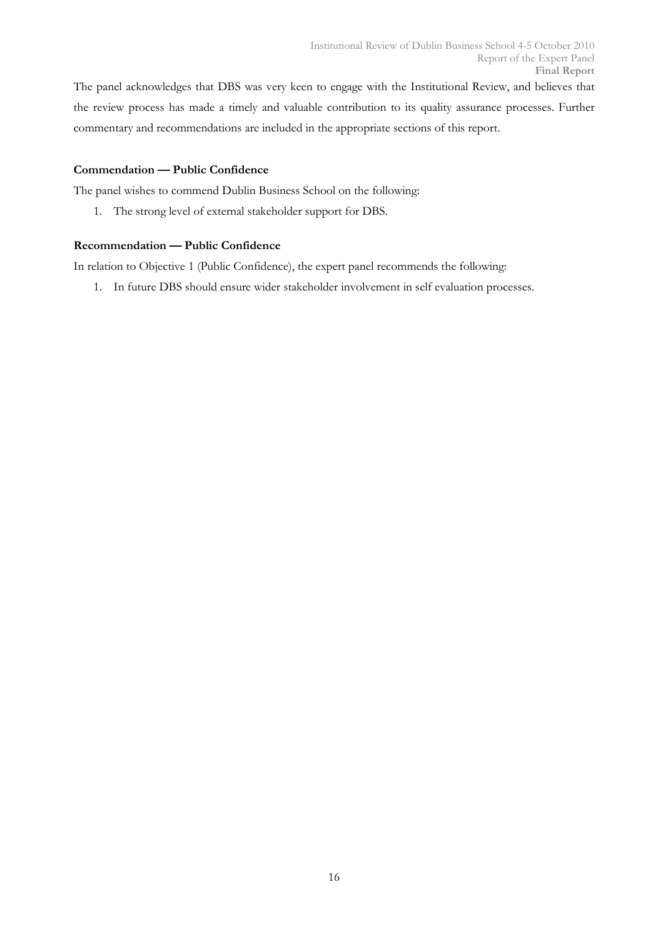The panel acknowledges that DBS was very keen to engage with the Institutional Review, and believes that the review process has made a timely and valuable contribution to its quality assurance processes. Further commentary and recommendations are included in the appropriate sections of this report.

## Commendation — Public Confidence

The panel wishes to commend Dublin Business School on the following:

1. The strong level of external stakeholder support for DBS.

## Recommendation — Public Confidence

In relation to Objective 1 (Public Confidence), the expert panel recommends the following:

1. In future DBS should ensure wider stakeholder involvement in self evaluation processes.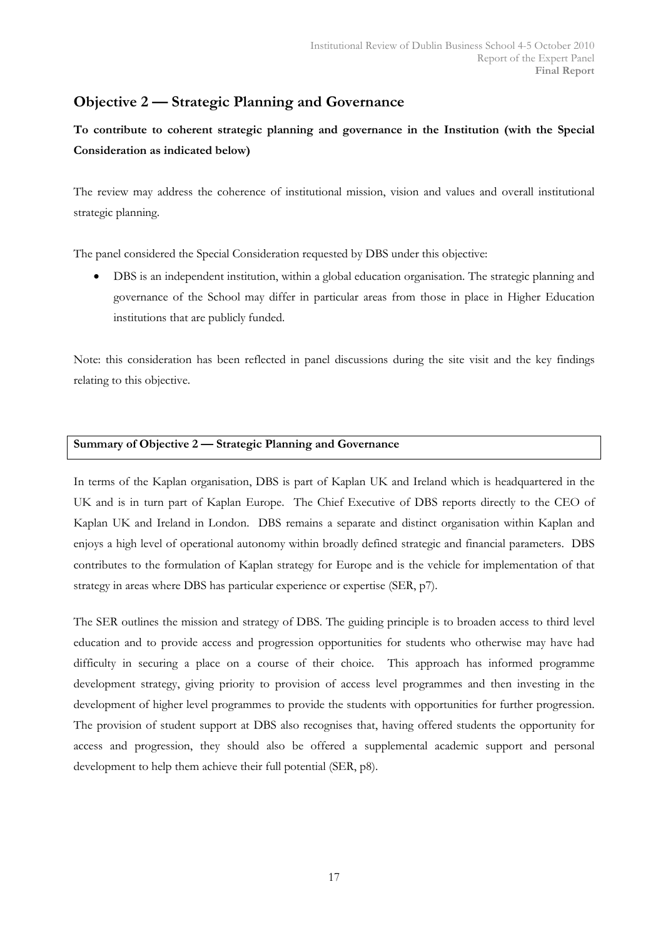# Objective 2 — Strategic Planning and Governance

To contribute to coherent strategic planning and governance in the Institution (with the Special Consideration as indicated below)

The review may address the coherence of institutional mission, vision and values and overall institutional strategic planning.

The panel considered the Special Consideration requested by DBS under this objective:

• DBS is an independent institution, within a global education organisation. The strategic planning and governance of the School may differ in particular areas from those in place in Higher Education institutions that are publicly funded.

Note: this consideration has been reflected in panel discussions during the site visit and the key findings relating to this objective.

## Summary of Objective 2 — Strategic Planning and Governance

In terms of the Kaplan organisation, DBS is part of Kaplan UK and Ireland which is headquartered in the UK and is in turn part of Kaplan Europe. The Chief Executive of DBS reports directly to the CEO of Kaplan UK and Ireland in London. DBS remains a separate and distinct organisation within Kaplan and enjoys a high level of operational autonomy within broadly defined strategic and financial parameters. DBS contributes to the formulation of Kaplan strategy for Europe and is the vehicle for implementation of that strategy in areas where DBS has particular experience or expertise (SER, p7).

The SER outlines the mission and strategy of DBS. The guiding principle is to broaden access to third level education and to provide access and progression opportunities for students who otherwise may have had difficulty in securing a place on a course of their choice. This approach has informed programme development strategy, giving priority to provision of access level programmes and then investing in the development of higher level programmes to provide the students with opportunities for further progression. The provision of student support at DBS also recognises that, having offered students the opportunity for access and progression, they should also be offered a supplemental academic support and personal development to help them achieve their full potential (SER, p8).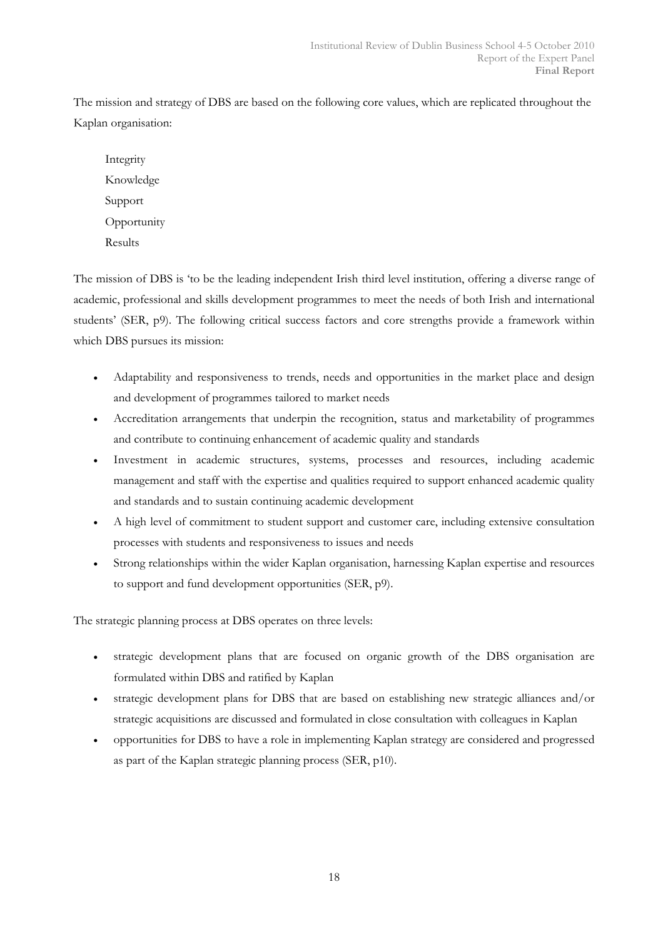The mission and strategy of DBS are based on the following core values, which are replicated throughout the Kaplan organisation:

Integrity Knowledge Support **Opportunity** Results

The mission of DBS is 'to be the leading independent Irish third level institution, offering a diverse range of academic, professional and skills development programmes to meet the needs of both Irish and international students' (SER, p9). The following critical success factors and core strengths provide a framework within which DBS pursues its mission:

- Adaptability and responsiveness to trends, needs and opportunities in the market place and design and development of programmes tailored to market needs
- Accreditation arrangements that underpin the recognition, status and marketability of programmes and contribute to continuing enhancement of academic quality and standards
- Investment in academic structures, systems, processes and resources, including academic management and staff with the expertise and qualities required to support enhanced academic quality and standards and to sustain continuing academic development
- A high level of commitment to student support and customer care, including extensive consultation processes with students and responsiveness to issues and needs
- Strong relationships within the wider Kaplan organisation, harnessing Kaplan expertise and resources to support and fund development opportunities (SER, p9).

The strategic planning process at DBS operates on three levels:

- strategic development plans that are focused on organic growth of the DBS organisation are formulated within DBS and ratified by Kaplan
- strategic development plans for DBS that are based on establishing new strategic alliances and/or strategic acquisitions are discussed and formulated in close consultation with colleagues in Kaplan
- opportunities for DBS to have a role in implementing Kaplan strategy are considered and progressed as part of the Kaplan strategic planning process (SER, p10).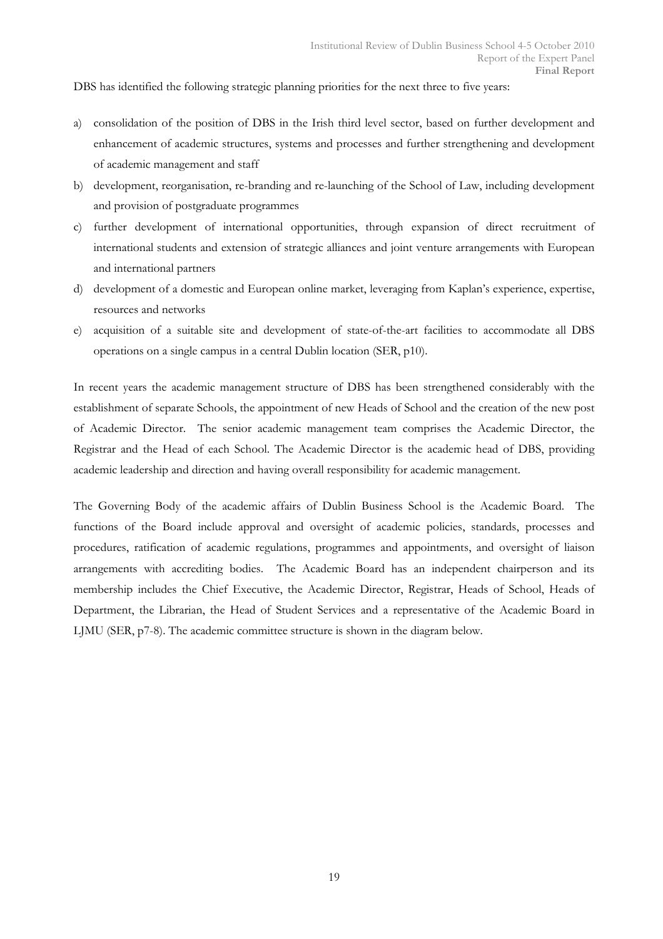DBS has identified the following strategic planning priorities for the next three to five years:

- a) consolidation of the position of DBS in the Irish third level sector, based on further development and enhancement of academic structures, systems and processes and further strengthening and development of academic management and staff
- b) development, reorganisation, re-branding and re-launching of the School of Law, including development and provision of postgraduate programmes
- c) further development of international opportunities, through expansion of direct recruitment of international students and extension of strategic alliances and joint venture arrangements with European and international partners
- d) development of a domestic and European online market, leveraging from Kaplan's experience, expertise, resources and networks
- e) acquisition of a suitable site and development of state-of-the-art facilities to accommodate all DBS operations on a single campus in a central Dublin location (SER, p10).

In recent years the academic management structure of DBS has been strengthened considerably with the establishment of separate Schools, the appointment of new Heads of School and the creation of the new post of Academic Director. The senior academic management team comprises the Academic Director, the Registrar and the Head of each School. The Academic Director is the academic head of DBS, providing academic leadership and direction and having overall responsibility for academic management.

The Governing Body of the academic affairs of Dublin Business School is the Academic Board. The functions of the Board include approval and oversight of academic policies, standards, processes and procedures, ratification of academic regulations, programmes and appointments, and oversight of liaison arrangements with accrediting bodies. The Academic Board has an independent chairperson and its membership includes the Chief Executive, the Academic Director, Registrar, Heads of School, Heads of Department, the Librarian, the Head of Student Services and a representative of the Academic Board in LJMU (SER, p7-8). The academic committee structure is shown in the diagram below.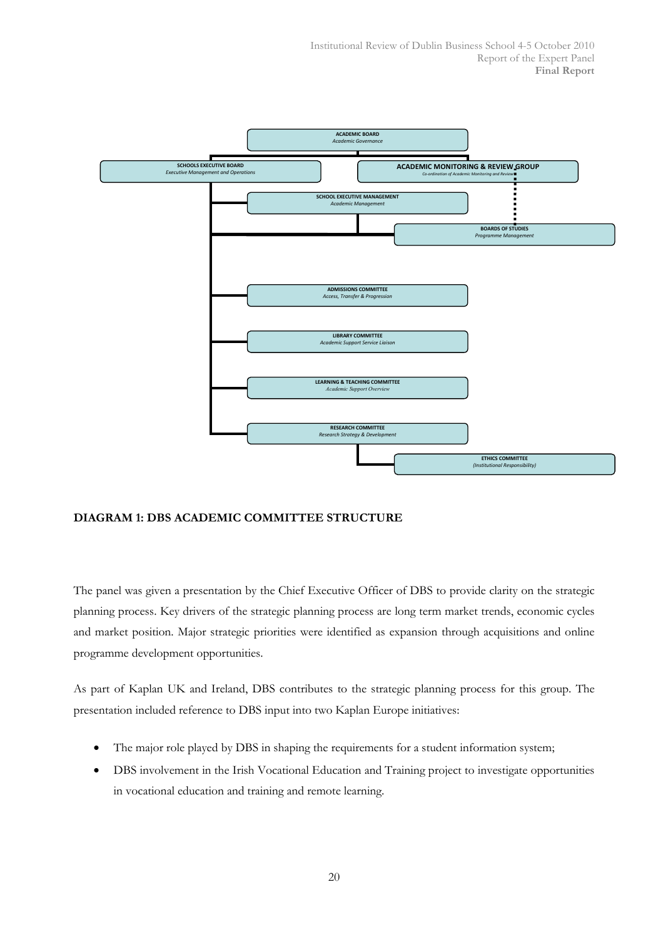

## DIAGRAM 1: DBS ACADEMIC COMMITTEE STRUCTURE

The panel was given a presentation by the Chief Executive Officer of DBS to provide clarity on the strategic planning process. Key drivers of the strategic planning process are long term market trends, economic cycles and market position. Major strategic priorities were identified as expansion through acquisitions and online programme development opportunities.

As part of Kaplan UK and Ireland, DBS contributes to the strategic planning process for this group. The presentation included reference to DBS input into two Kaplan Europe initiatives:

- The major role played by DBS in shaping the requirements for a student information system;
- DBS involvement in the Irish Vocational Education and Training project to investigate opportunities in vocational education and training and remote learning.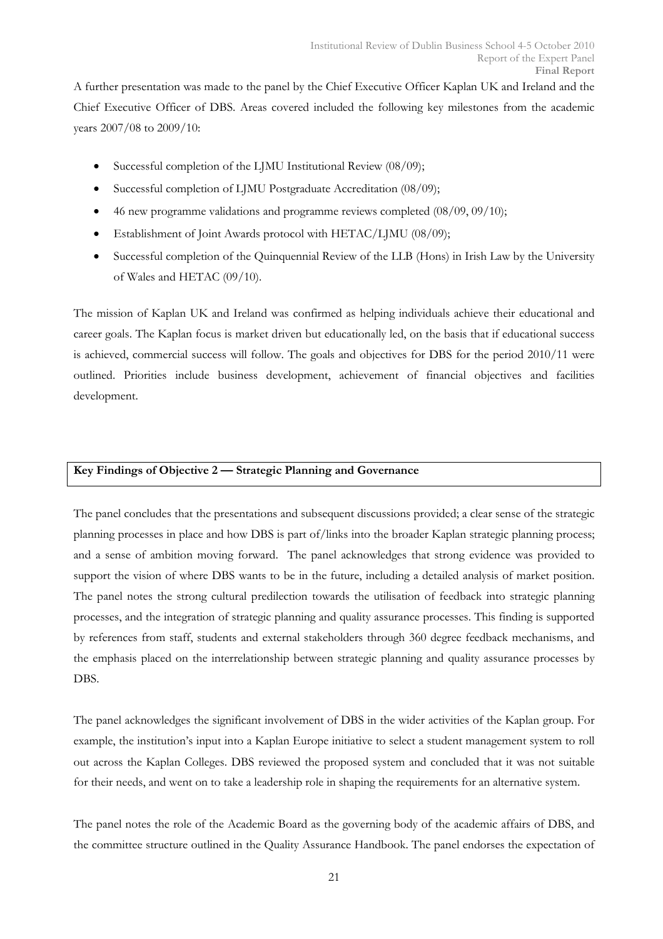A further presentation was made to the panel by the Chief Executive Officer Kaplan UK and Ireland and the Chief Executive Officer of DBS. Areas covered included the following key milestones from the academic years 2007/08 to 2009/10:

- Successful completion of the LJMU Institutional Review (08/09);
- Successful completion of LJMU Postgraduate Accreditation (08/09);
- 46 new programme validations and programme reviews completed (08/09, 09/10);
- Establishment of Joint Awards protocol with HETAC/LJMU (08/09);
- Successful completion of the Quinquennial Review of the LLB (Hons) in Irish Law by the University of Wales and HETAC (09/10).

The mission of Kaplan UK and Ireland was confirmed as helping individuals achieve their educational and career goals. The Kaplan focus is market driven but educationally led, on the basis that if educational success is achieved, commercial success will follow. The goals and objectives for DBS for the period 2010/11 were outlined. Priorities include business development, achievement of financial objectives and facilities development.

## Key Findings of Objective 2 — Strategic Planning and Governance

The panel concludes that the presentations and subsequent discussions provided; a clear sense of the strategic planning processes in place and how DBS is part of/links into the broader Kaplan strategic planning process; and a sense of ambition moving forward. The panel acknowledges that strong evidence was provided to support the vision of where DBS wants to be in the future, including a detailed analysis of market position. The panel notes the strong cultural predilection towards the utilisation of feedback into strategic planning processes, and the integration of strategic planning and quality assurance processes. This finding is supported by references from staff, students and external stakeholders through 360 degree feedback mechanisms, and the emphasis placed on the interrelationship between strategic planning and quality assurance processes by DBS.

The panel acknowledges the significant involvement of DBS in the wider activities of the Kaplan group. For example, the institution's input into a Kaplan Europe initiative to select a student management system to roll out across the Kaplan Colleges. DBS reviewed the proposed system and concluded that it was not suitable for their needs, and went on to take a leadership role in shaping the requirements for an alternative system.

The panel notes the role of the Academic Board as the governing body of the academic affairs of DBS, and the committee structure outlined in the Quality Assurance Handbook. The panel endorses the expectation of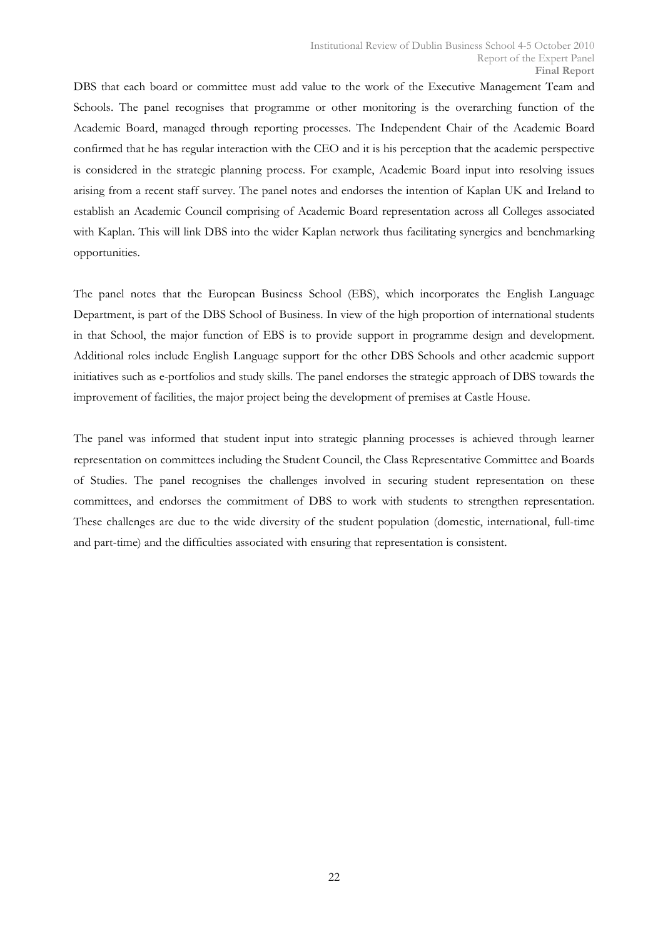DBS that each board or committee must add value to the work of the Executive Management Team and Schools. The panel recognises that programme or other monitoring is the overarching function of the Academic Board, managed through reporting processes. The Independent Chair of the Academic Board confirmed that he has regular interaction with the CEO and it is his perception that the academic perspective is considered in the strategic planning process. For example, Academic Board input into resolving issues arising from a recent staff survey. The panel notes and endorses the intention of Kaplan UK and Ireland to establish an Academic Council comprising of Academic Board representation across all Colleges associated with Kaplan. This will link DBS into the wider Kaplan network thus facilitating synergies and benchmarking opportunities.

The panel notes that the European Business School (EBS), which incorporates the English Language Department, is part of the DBS School of Business. In view of the high proportion of international students in that School, the major function of EBS is to provide support in programme design and development. Additional roles include English Language support for the other DBS Schools and other academic support initiatives such as e-portfolios and study skills. The panel endorses the strategic approach of DBS towards the improvement of facilities, the major project being the development of premises at Castle House.

The panel was informed that student input into strategic planning processes is achieved through learner representation on committees including the Student Council, the Class Representative Committee and Boards of Studies. The panel recognises the challenges involved in securing student representation on these committees, and endorses the commitment of DBS to work with students to strengthen representation. These challenges are due to the wide diversity of the student population (domestic, international, full-time and part-time) and the difficulties associated with ensuring that representation is consistent.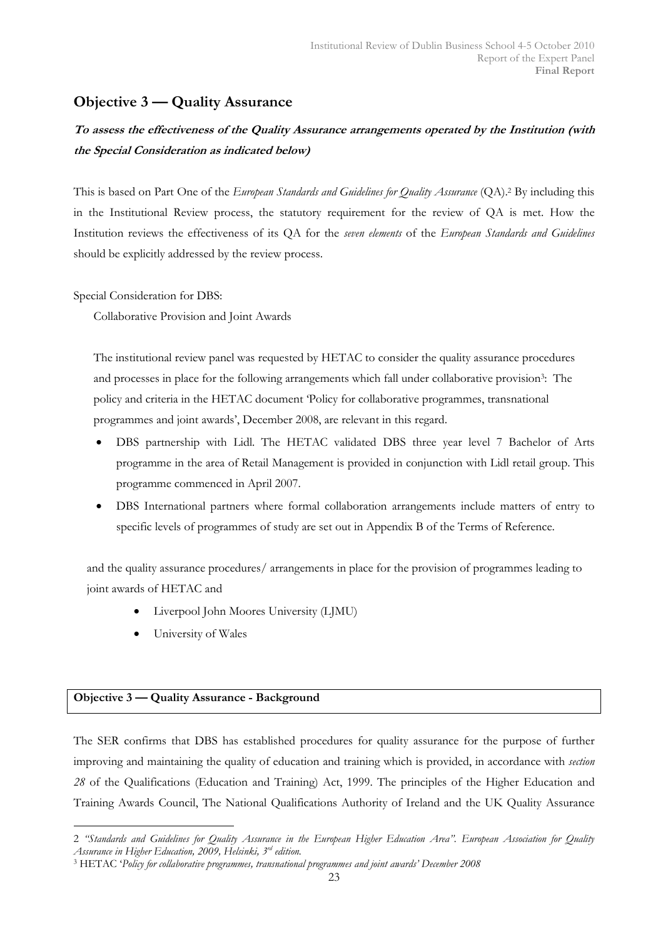# Objective 3 — Quality Assurance

# To assess the effectiveness of the Quality Assurance arrangements operated by the Institution (with the Special Consideration as indicated below)

This is based on Part One of the European Standards and Guidelines for Quality Assurance (QA).<sup>2</sup> By including this in the Institutional Review process, the statutory requirement for the review of QA is met. How the Institution reviews the effectiveness of its QA for the seven elements of the European Standards and Guidelines should be explicitly addressed by the review process.

Special Consideration for DBS:

Collaborative Provision and Joint Awards

The institutional review panel was requested by HETAC to consider the quality assurance procedures and processes in place for the following arrangements which fall under collaborative provision<sup>3</sup>. The policy and criteria in the HETAC document 'Policy for collaborative programmes, transnational programmes and joint awards', December 2008, are relevant in this regard.

- DBS partnership with Lidl. The HETAC validated DBS three year level 7 Bachelor of Arts programme in the area of Retail Management is provided in conjunction with Lidl retail group. This programme commenced in April 2007.
- DBS International partners where formal collaboration arrangements include matters of entry to specific levels of programmes of study are set out in Appendix B of the Terms of Reference.

and the quality assurance procedures/ arrangements in place for the provision of programmes leading to joint awards of HETAC and

- Liverpool John Moores University (LJMU)
- University of Wales

## Objective 3 — Quality Assurance - Background

 $\overline{a}$ 

The SER confirms that DBS has established procedures for quality assurance for the purpose of further improving and maintaining the quality of education and training which is provided, in accordance with section 28 of the Qualifications (Education and Training) Act, 1999. The principles of the Higher Education and Training Awards Council, The National Qualifications Authority of Ireland and the UK Quality Assurance

<sup>2 &</sup>quot;Standards and Guidelines for Quality Assurance in the European Higher Education Area". European Association for Quality Assurance in Higher Education, 2009, Helsinki, 3<sup>rd</sup> edition.

<sup>3</sup> HETAC 'Policy for collaborative programmes, transnational programmes and joint awards' December 2008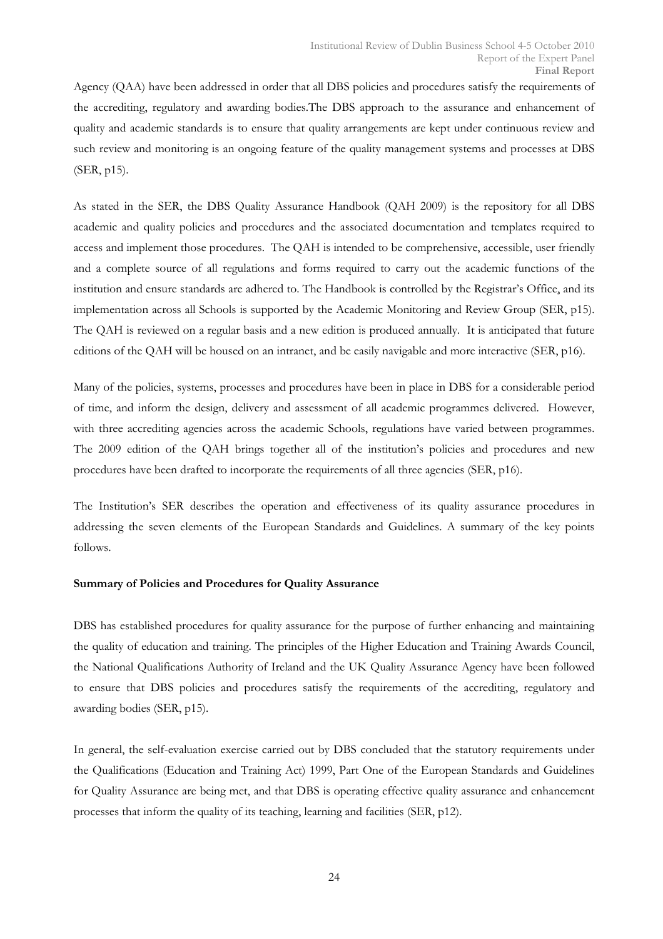Agency (QAA) have been addressed in order that all DBS policies and procedures satisfy the requirements of the accrediting, regulatory and awarding bodies.The DBS approach to the assurance and enhancement of quality and academic standards is to ensure that quality arrangements are kept under continuous review and such review and monitoring is an ongoing feature of the quality management systems and processes at DBS (SER, p15).

As stated in the SER, the DBS Quality Assurance Handbook (QAH 2009) is the repository for all DBS academic and quality policies and procedures and the associated documentation and templates required to access and implement those procedures. The QAH is intended to be comprehensive, accessible, user friendly and a complete source of all regulations and forms required to carry out the academic functions of the institution and ensure standards are adhered to. The Handbook is controlled by the Registrar's Office, and its implementation across all Schools is supported by the Academic Monitoring and Review Group (SER, p15). The QAH is reviewed on a regular basis and a new edition is produced annually. It is anticipated that future editions of the QAH will be housed on an intranet, and be easily navigable and more interactive (SER, p16).

Many of the policies, systems, processes and procedures have been in place in DBS for a considerable period of time, and inform the design, delivery and assessment of all academic programmes delivered. However, with three accrediting agencies across the academic Schools, regulations have varied between programmes. The 2009 edition of the QAH brings together all of the institution's policies and procedures and new procedures have been drafted to incorporate the requirements of all three agencies (SER, p16).

The Institution's SER describes the operation and effectiveness of its quality assurance procedures in addressing the seven elements of the European Standards and Guidelines. A summary of the key points follows.

## Summary of Policies and Procedures for Quality Assurance

DBS has established procedures for quality assurance for the purpose of further enhancing and maintaining the quality of education and training. The principles of the Higher Education and Training Awards Council, the National Qualifications Authority of Ireland and the UK Quality Assurance Agency have been followed to ensure that DBS policies and procedures satisfy the requirements of the accrediting, regulatory and awarding bodies (SER, p15).

In general, the self-evaluation exercise carried out by DBS concluded that the statutory requirements under the Qualifications (Education and Training Act) 1999, Part One of the European Standards and Guidelines for Quality Assurance are being met, and that DBS is operating effective quality assurance and enhancement processes that inform the quality of its teaching, learning and facilities (SER, p12).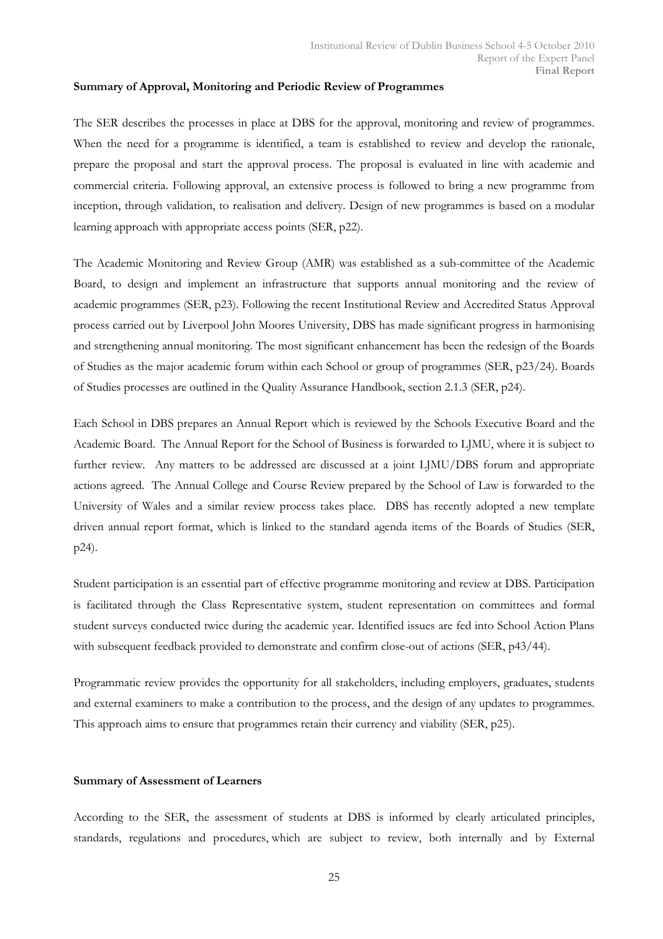#### Summary of Approval, Monitoring and Periodic Review of Programmes

The SER describes the processes in place at DBS for the approval, monitoring and review of programmes. When the need for a programme is identified, a team is established to review and develop the rationale, prepare the proposal and start the approval process. The proposal is evaluated in line with academic and commercial criteria. Following approval, an extensive process is followed to bring a new programme from inception, through validation, to realisation and delivery. Design of new programmes is based on a modular learning approach with appropriate access points (SER, p22).

The Academic Monitoring and Review Group (AMR) was established as a sub-committee of the Academic Board, to design and implement an infrastructure that supports annual monitoring and the review of academic programmes (SER, p23). Following the recent Institutional Review and Accredited Status Approval process carried out by Liverpool John Moores University, DBS has made significant progress in harmonising and strengthening annual monitoring. The most significant enhancement has been the redesign of the Boards of Studies as the major academic forum within each School or group of programmes (SER, p23/24). Boards of Studies processes are outlined in the Quality Assurance Handbook, section 2.1.3 (SER, p24).

Each School in DBS prepares an Annual Report which is reviewed by the Schools Executive Board and the Academic Board. The Annual Report for the School of Business is forwarded to LJMU, where it is subject to further review. Any matters to be addressed are discussed at a joint LJMU/DBS forum and appropriate actions agreed. The Annual College and Course Review prepared by the School of Law is forwarded to the University of Wales and a similar review process takes place. DBS has recently adopted a new template driven annual report format, which is linked to the standard agenda items of the Boards of Studies (SER, p24).

Student participation is an essential part of effective programme monitoring and review at DBS. Participation is facilitated through the Class Representative system, student representation on committees and formal student surveys conducted twice during the academic year. Identified issues are fed into School Action Plans with subsequent feedback provided to demonstrate and confirm close-out of actions (SER, p43/44).

Programmatic review provides the opportunity for all stakeholders, including employers, graduates, students and external examiners to make a contribution to the process, and the design of any updates to programmes. This approach aims to ensure that programmes retain their currency and viability (SER, p25).

#### Summary of Assessment of Learners

According to the SER, the assessment of students at DBS is informed by clearly articulated principles, standards, regulations and procedures, which are subject to review, both internally and by External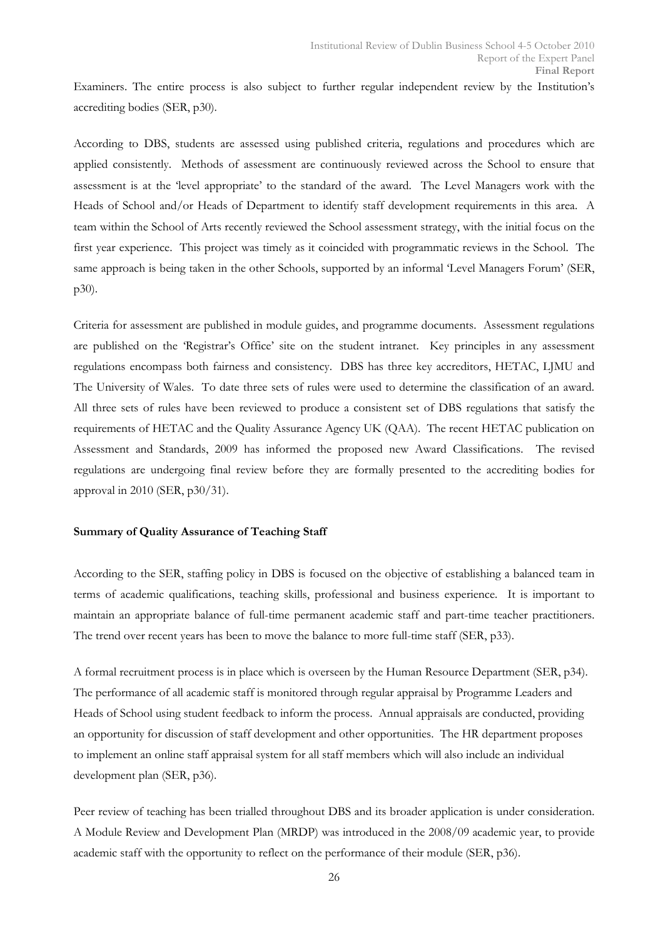Examiners. The entire process is also subject to further regular independent review by the Institution's accrediting bodies (SER, p30).

According to DBS, students are assessed using published criteria, regulations and procedures which are applied consistently. Methods of assessment are continuously reviewed across the School to ensure that assessment is at the 'level appropriate' to the standard of the award. The Level Managers work with the Heads of School and/or Heads of Department to identify staff development requirements in this area. A team within the School of Arts recently reviewed the School assessment strategy, with the initial focus on the first year experience. This project was timely as it coincided with programmatic reviews in the School. The same approach is being taken in the other Schools, supported by an informal 'Level Managers Forum' (SER, p30).

Criteria for assessment are published in module guides, and programme documents. Assessment regulations are published on the 'Registrar's Office' site on the student intranet. Key principles in any assessment regulations encompass both fairness and consistency. DBS has three key accreditors, HETAC, LJMU and The University of Wales. To date three sets of rules were used to determine the classification of an award. All three sets of rules have been reviewed to produce a consistent set of DBS regulations that satisfy the requirements of HETAC and the Quality Assurance Agency UK (QAA). The recent HETAC publication on Assessment and Standards, 2009 has informed the proposed new Award Classifications. The revised regulations are undergoing final review before they are formally presented to the accrediting bodies for approval in 2010 (SER, p30/31).

#### Summary of Quality Assurance of Teaching Staff

According to the SER, staffing policy in DBS is focused on the objective of establishing a balanced team in terms of academic qualifications, teaching skills, professional and business experience. It is important to maintain an appropriate balance of full-time permanent academic staff and part-time teacher practitioners. The trend over recent years has been to move the balance to more full-time staff (SER, p33).

A formal recruitment process is in place which is overseen by the Human Resource Department (SER, p34). The performance of all academic staff is monitored through regular appraisal by Programme Leaders and Heads of School using student feedback to inform the process. Annual appraisals are conducted, providing an opportunity for discussion of staff development and other opportunities. The HR department proposes to implement an online staff appraisal system for all staff members which will also include an individual development plan (SER, p36).

Peer review of teaching has been trialled throughout DBS and its broader application is under consideration. A Module Review and Development Plan (MRDP) was introduced in the 2008/09 academic year, to provide academic staff with the opportunity to reflect on the performance of their module (SER, p36).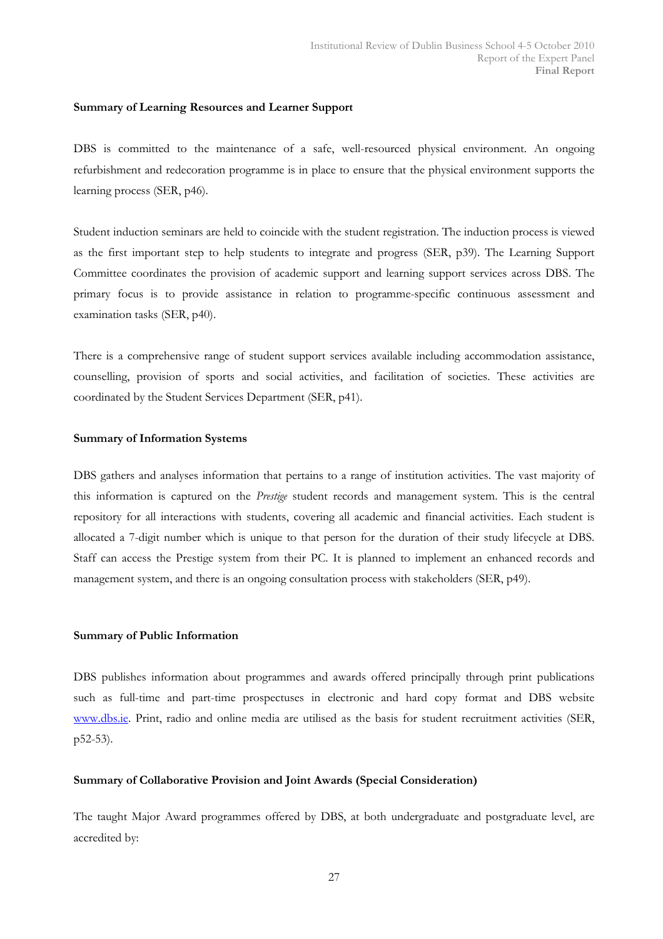#### Summary of Learning Resources and Learner Support

DBS is committed to the maintenance of a safe, well-resourced physical environment. An ongoing refurbishment and redecoration programme is in place to ensure that the physical environment supports the learning process (SER, p46).

Student induction seminars are held to coincide with the student registration. The induction process is viewed as the first important step to help students to integrate and progress (SER, p39). The Learning Support Committee coordinates the provision of academic support and learning support services across DBS. The primary focus is to provide assistance in relation to programme-specific continuous assessment and examination tasks (SER, p40).

There is a comprehensive range of student support services available including accommodation assistance, counselling, provision of sports and social activities, and facilitation of societies. These activities are coordinated by the Student Services Department (SER, p41).

#### Summary of Information Systems

DBS gathers and analyses information that pertains to a range of institution activities. The vast majority of this information is captured on the Prestige student records and management system. This is the central repository for all interactions with students, covering all academic and financial activities. Each student is allocated a 7-digit number which is unique to that person for the duration of their study lifecycle at DBS. Staff can access the Prestige system from their PC. It is planned to implement an enhanced records and management system, and there is an ongoing consultation process with stakeholders (SER, p49).

#### Summary of Public Information

DBS publishes information about programmes and awards offered principally through print publications such as full-time and part-time prospectuses in electronic and hard copy format and DBS website www.dbs.ie. Print, radio and online media are utilised as the basis for student recruitment activities (SER, p52-53).

## Summary of Collaborative Provision and Joint Awards (Special Consideration)

The taught Major Award programmes offered by DBS, at both undergraduate and postgraduate level, are accredited by: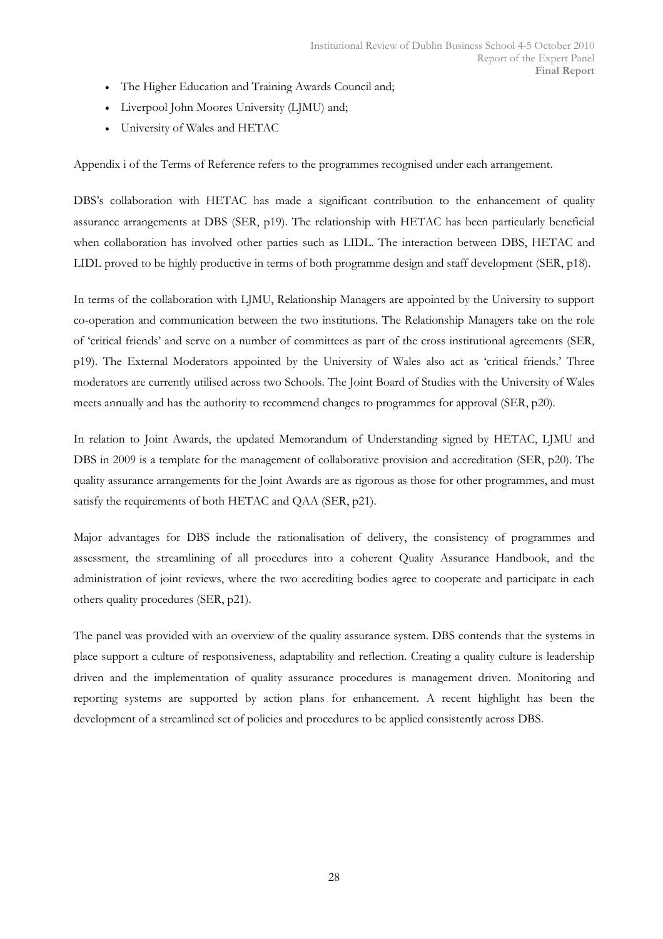- The Higher Education and Training Awards Council and;
- Liverpool John Moores University (LJMU) and;
- University of Wales and HETAC

Appendix i of the Terms of Reference refers to the programmes recognised under each arrangement.

DBS's collaboration with HETAC has made a significant contribution to the enhancement of quality assurance arrangements at DBS (SER, p19). The relationship with HETAC has been particularly beneficial when collaboration has involved other parties such as LIDL. The interaction between DBS, HETAC and LIDL proved to be highly productive in terms of both programme design and staff development (SER, p18).

In terms of the collaboration with LJMU, Relationship Managers are appointed by the University to support co-operation and communication between the two institutions. The Relationship Managers take on the role of 'critical friends' and serve on a number of committees as part of the cross institutional agreements (SER, p19). The External Moderators appointed by the University of Wales also act as 'critical friends.' Three moderators are currently utilised across two Schools. The Joint Board of Studies with the University of Wales meets annually and has the authority to recommend changes to programmes for approval (SER, p20).

In relation to Joint Awards, the updated Memorandum of Understanding signed by HETAC, LJMU and DBS in 2009 is a template for the management of collaborative provision and accreditation (SER, p20). The quality assurance arrangements for the Joint Awards are as rigorous as those for other programmes, and must satisfy the requirements of both HETAC and QAA (SER, p21).

Major advantages for DBS include the rationalisation of delivery, the consistency of programmes and assessment, the streamlining of all procedures into a coherent Quality Assurance Handbook, and the administration of joint reviews, where the two accrediting bodies agree to cooperate and participate in each others quality procedures (SER, p21).

The panel was provided with an overview of the quality assurance system. DBS contends that the systems in place support a culture of responsiveness, adaptability and reflection. Creating a quality culture is leadership driven and the implementation of quality assurance procedures is management driven. Monitoring and reporting systems are supported by action plans for enhancement. A recent highlight has been the development of a streamlined set of policies and procedures to be applied consistently across DBS.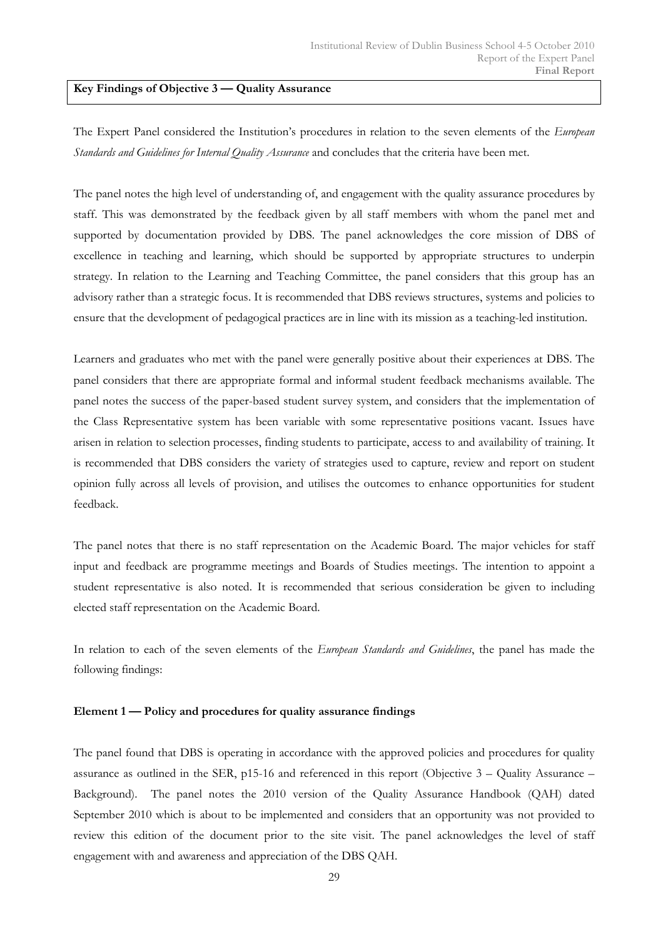#### Key Findings of Objective 3 — Quality Assurance

The Expert Panel considered the Institution's procedures in relation to the seven elements of the European Standards and Guidelines for Internal Quality Assurance and concludes that the criteria have been met.

The panel notes the high level of understanding of, and engagement with the quality assurance procedures by staff. This was demonstrated by the feedback given by all staff members with whom the panel met and supported by documentation provided by DBS. The panel acknowledges the core mission of DBS of excellence in teaching and learning, which should be supported by appropriate structures to underpin strategy. In relation to the Learning and Teaching Committee, the panel considers that this group has an advisory rather than a strategic focus. It is recommended that DBS reviews structures, systems and policies to ensure that the development of pedagogical practices are in line with its mission as a teaching-led institution.

Learners and graduates who met with the panel were generally positive about their experiences at DBS. The panel considers that there are appropriate formal and informal student feedback mechanisms available. The panel notes the success of the paper-based student survey system, and considers that the implementation of the Class Representative system has been variable with some representative positions vacant. Issues have arisen in relation to selection processes, finding students to participate, access to and availability of training. It is recommended that DBS considers the variety of strategies used to capture, review and report on student opinion fully across all levels of provision, and utilises the outcomes to enhance opportunities for student feedback.

The panel notes that there is no staff representation on the Academic Board. The major vehicles for staff input and feedback are programme meetings and Boards of Studies meetings. The intention to appoint a student representative is also noted. It is recommended that serious consideration be given to including elected staff representation on the Academic Board.

In relation to each of the seven elements of the European Standards and Guidelines, the panel has made the following findings:

#### Element 1 — Policy and procedures for quality assurance findings

The panel found that DBS is operating in accordance with the approved policies and procedures for quality assurance as outlined in the SER, p15-16 and referenced in this report (Objective 3 – Quality Assurance – Background). The panel notes the 2010 version of the Quality Assurance Handbook (QAH) dated September 2010 which is about to be implemented and considers that an opportunity was not provided to review this edition of the document prior to the site visit. The panel acknowledges the level of staff engagement with and awareness and appreciation of the DBS QAH.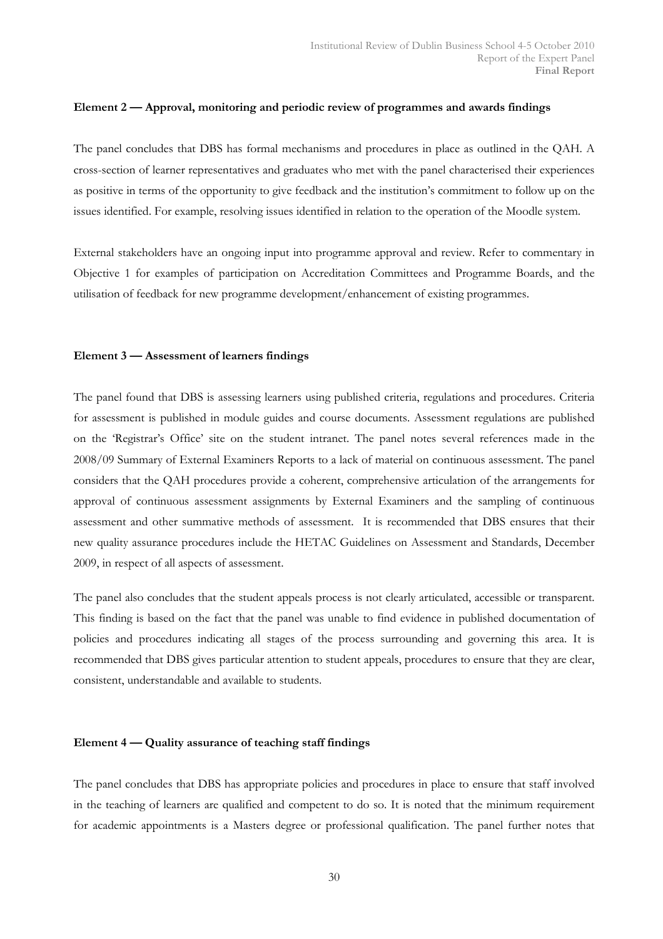#### Element 2 — Approval, monitoring and periodic review of programmes and awards findings

The panel concludes that DBS has formal mechanisms and procedures in place as outlined in the QAH. A cross-section of learner representatives and graduates who met with the panel characterised their experiences as positive in terms of the opportunity to give feedback and the institution's commitment to follow up on the issues identified. For example, resolving issues identified in relation to the operation of the Moodle system.

External stakeholders have an ongoing input into programme approval and review. Refer to commentary in Objective 1 for examples of participation on Accreditation Committees and Programme Boards, and the utilisation of feedback for new programme development/enhancement of existing programmes.

#### Element 3 — Assessment of learners findings

The panel found that DBS is assessing learners using published criteria, regulations and procedures. Criteria for assessment is published in module guides and course documents. Assessment regulations are published on the 'Registrar's Office' site on the student intranet. The panel notes several references made in the 2008/09 Summary of External Examiners Reports to a lack of material on continuous assessment. The panel considers that the QAH procedures provide a coherent, comprehensive articulation of the arrangements for approval of continuous assessment assignments by External Examiners and the sampling of continuous assessment and other summative methods of assessment. It is recommended that DBS ensures that their new quality assurance procedures include the HETAC Guidelines on Assessment and Standards, December 2009, in respect of all aspects of assessment.

The panel also concludes that the student appeals process is not clearly articulated, accessible or transparent. This finding is based on the fact that the panel was unable to find evidence in published documentation of policies and procedures indicating all stages of the process surrounding and governing this area. It is recommended that DBS gives particular attention to student appeals, procedures to ensure that they are clear, consistent, understandable and available to students.

#### Element 4 — Quality assurance of teaching staff findings

The panel concludes that DBS has appropriate policies and procedures in place to ensure that staff involved in the teaching of learners are qualified and competent to do so. It is noted that the minimum requirement for academic appointments is a Masters degree or professional qualification. The panel further notes that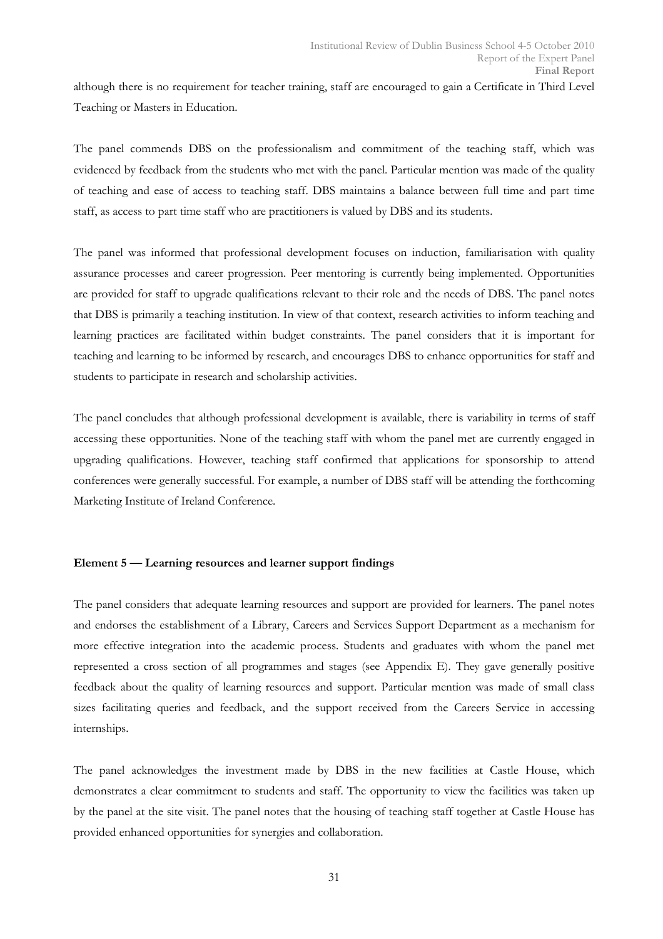although there is no requirement for teacher training, staff are encouraged to gain a Certificate in Third Level Teaching or Masters in Education.

The panel commends DBS on the professionalism and commitment of the teaching staff, which was evidenced by feedback from the students who met with the panel. Particular mention was made of the quality of teaching and ease of access to teaching staff. DBS maintains a balance between full time and part time staff, as access to part time staff who are practitioners is valued by DBS and its students.

The panel was informed that professional development focuses on induction, familiarisation with quality assurance processes and career progression. Peer mentoring is currently being implemented. Opportunities are provided for staff to upgrade qualifications relevant to their role and the needs of DBS. The panel notes that DBS is primarily a teaching institution. In view of that context, research activities to inform teaching and learning practices are facilitated within budget constraints. The panel considers that it is important for teaching and learning to be informed by research, and encourages DBS to enhance opportunities for staff and students to participate in research and scholarship activities.

The panel concludes that although professional development is available, there is variability in terms of staff accessing these opportunities. None of the teaching staff with whom the panel met are currently engaged in upgrading qualifications. However, teaching staff confirmed that applications for sponsorship to attend conferences were generally successful. For example, a number of DBS staff will be attending the forthcoming Marketing Institute of Ireland Conference.

#### Element 5 — Learning resources and learner support findings

The panel considers that adequate learning resources and support are provided for learners. The panel notes and endorses the establishment of a Library, Careers and Services Support Department as a mechanism for more effective integration into the academic process. Students and graduates with whom the panel met represented a cross section of all programmes and stages (see Appendix E). They gave generally positive feedback about the quality of learning resources and support. Particular mention was made of small class sizes facilitating queries and feedback, and the support received from the Careers Service in accessing internships.

The panel acknowledges the investment made by DBS in the new facilities at Castle House, which demonstrates a clear commitment to students and staff. The opportunity to view the facilities was taken up by the panel at the site visit. The panel notes that the housing of teaching staff together at Castle House has provided enhanced opportunities for synergies and collaboration.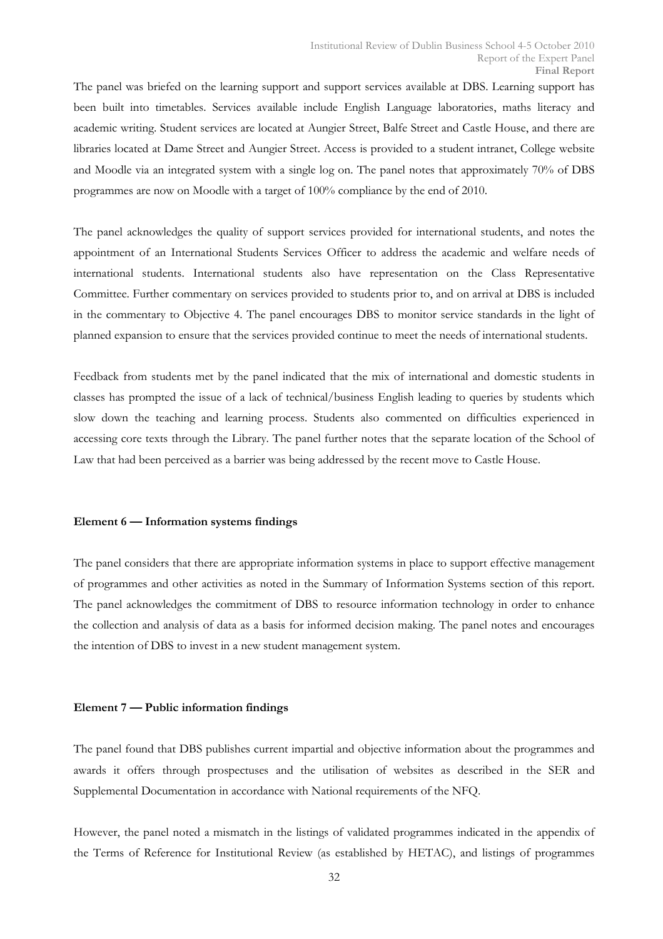The panel was briefed on the learning support and support services available at DBS. Learning support has been built into timetables. Services available include English Language laboratories, maths literacy and academic writing. Student services are located at Aungier Street, Balfe Street and Castle House, and there are libraries located at Dame Street and Aungier Street. Access is provided to a student intranet, College website and Moodle via an integrated system with a single log on. The panel notes that approximately 70% of DBS programmes are now on Moodle with a target of 100% compliance by the end of 2010.

The panel acknowledges the quality of support services provided for international students, and notes the appointment of an International Students Services Officer to address the academic and welfare needs of international students. International students also have representation on the Class Representative Committee. Further commentary on services provided to students prior to, and on arrival at DBS is included in the commentary to Objective 4. The panel encourages DBS to monitor service standards in the light of planned expansion to ensure that the services provided continue to meet the needs of international students.

Feedback from students met by the panel indicated that the mix of international and domestic students in classes has prompted the issue of a lack of technical/business English leading to queries by students which slow down the teaching and learning process. Students also commented on difficulties experienced in accessing core texts through the Library. The panel further notes that the separate location of the School of Law that had been perceived as a barrier was being addressed by the recent move to Castle House.

#### Element 6 — Information systems findings

The panel considers that there are appropriate information systems in place to support effective management of programmes and other activities as noted in the Summary of Information Systems section of this report. The panel acknowledges the commitment of DBS to resource information technology in order to enhance the collection and analysis of data as a basis for informed decision making. The panel notes and encourages the intention of DBS to invest in a new student management system.

#### Element 7 — Public information findings

The panel found that DBS publishes current impartial and objective information about the programmes and awards it offers through prospectuses and the utilisation of websites as described in the SER and Supplemental Documentation in accordance with National requirements of the NFQ.

However, the panel noted a mismatch in the listings of validated programmes indicated in the appendix of the Terms of Reference for Institutional Review (as established by HETAC), and listings of programmes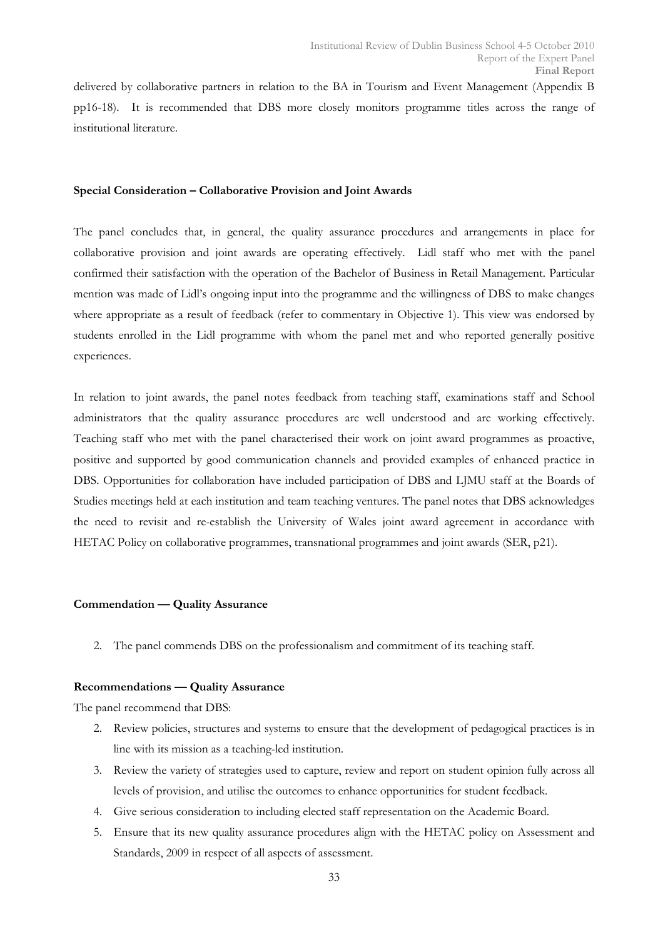delivered by collaborative partners in relation to the BA in Tourism and Event Management (Appendix B pp16-18). It is recommended that DBS more closely monitors programme titles across the range of institutional literature.

#### Special Consideration – Collaborative Provision and Joint Awards

The panel concludes that, in general, the quality assurance procedures and arrangements in place for collaborative provision and joint awards are operating effectively. Lidl staff who met with the panel confirmed their satisfaction with the operation of the Bachelor of Business in Retail Management. Particular mention was made of Lidl's ongoing input into the programme and the willingness of DBS to make changes where appropriate as a result of feedback (refer to commentary in Objective 1). This view was endorsed by students enrolled in the Lidl programme with whom the panel met and who reported generally positive experiences.

In relation to joint awards, the panel notes feedback from teaching staff, examinations staff and School administrators that the quality assurance procedures are well understood and are working effectively. Teaching staff who met with the panel characterised their work on joint award programmes as proactive, positive and supported by good communication channels and provided examples of enhanced practice in DBS. Opportunities for collaboration have included participation of DBS and LJMU staff at the Boards of Studies meetings held at each institution and team teaching ventures. The panel notes that DBS acknowledges the need to revisit and re-establish the University of Wales joint award agreement in accordance with HETAC Policy on collaborative programmes, transnational programmes and joint awards (SER, p21).

#### Commendation — Quality Assurance

2. The panel commends DBS on the professionalism and commitment of its teaching staff.

#### Recommendations — Quality Assurance

The panel recommend that DBS:

- 2. Review policies, structures and systems to ensure that the development of pedagogical practices is in line with its mission as a teaching-led institution.
- 3. Review the variety of strategies used to capture, review and report on student opinion fully across all levels of provision, and utilise the outcomes to enhance opportunities for student feedback.
- 4. Give serious consideration to including elected staff representation on the Academic Board.
- 5. Ensure that its new quality assurance procedures align with the HETAC policy on Assessment and Standards, 2009 in respect of all aspects of assessment.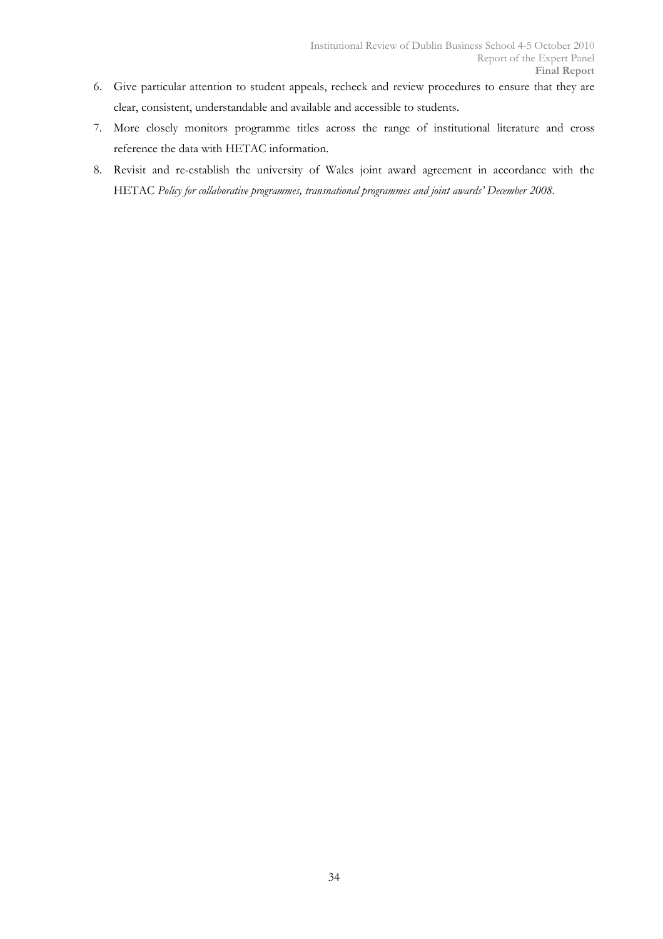- 6. Give particular attention to student appeals, recheck and review procedures to ensure that they are clear, consistent, understandable and available and accessible to students.
- 7. More closely monitors programme titles across the range of institutional literature and cross reference the data with HETAC information.
- 8. Revisit and re-establish the university of Wales joint award agreement in accordance with the HETAC Policy for collaborative programmes, transnational programmes and joint awards' December 2008.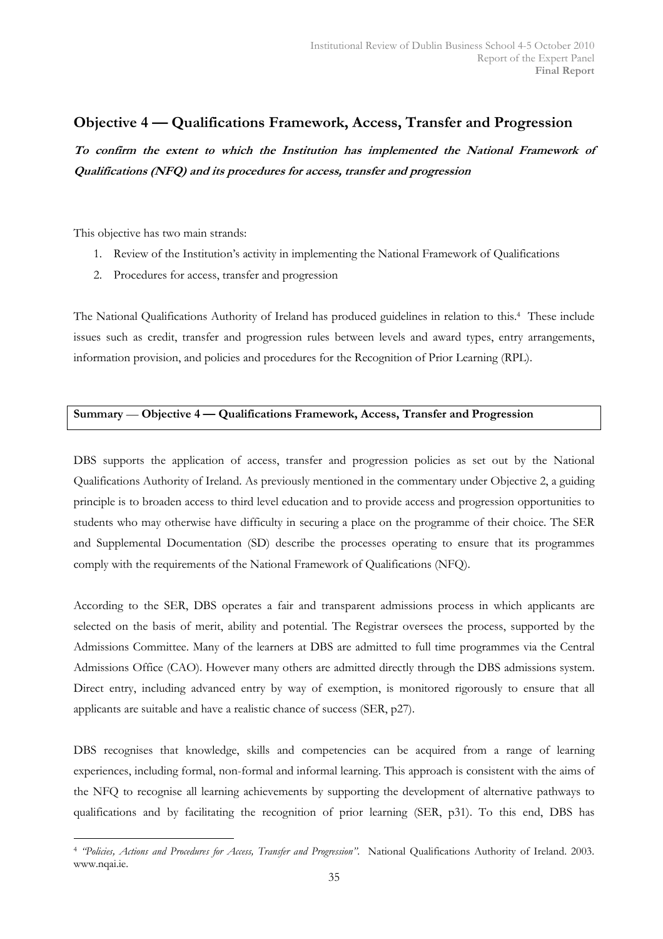## Objective 4 — Qualifications Framework, Access, Transfer and Progression

To confirm the extent to which the Institution has implemented the National Framework of Qualifications (NFQ) and its procedures for access, transfer and progression

This objective has two main strands:

- 1. Review of the Institution's activity in implementing the National Framework of Qualifications
- 2. Procedures for access, transfer and progression

The National Qualifications Authority of Ireland has produced guidelines in relation to this.<sup>4</sup> These include issues such as credit, transfer and progression rules between levels and award types, entry arrangements, information provision, and policies and procedures for the Recognition of Prior Learning (RPL).

## Summary — Objective 4 — Qualifications Framework, Access, Transfer and Progression

DBS supports the application of access, transfer and progression policies as set out by the National Qualifications Authority of Ireland. As previously mentioned in the commentary under Objective 2, a guiding principle is to broaden access to third level education and to provide access and progression opportunities to students who may otherwise have difficulty in securing a place on the programme of their choice. The SER and Supplemental Documentation (SD) describe the processes operating to ensure that its programmes comply with the requirements of the National Framework of Qualifications (NFQ).

According to the SER, DBS operates a fair and transparent admissions process in which applicants are selected on the basis of merit, ability and potential. The Registrar oversees the process, supported by the Admissions Committee. Many of the learners at DBS are admitted to full time programmes via the Central Admissions Office (CAO). However many others are admitted directly through the DBS admissions system. Direct entry, including advanced entry by way of exemption, is monitored rigorously to ensure that all applicants are suitable and have a realistic chance of success (SER, p27).

DBS recognises that knowledge, skills and competencies can be acquired from a range of learning experiences, including formal, non-formal and informal learning. This approach is consistent with the aims of the NFQ to recognise all learning achievements by supporting the development of alternative pathways to qualifications and by facilitating the recognition of prior learning (SER, p31). To this end, DBS has

 $\overline{a}$ <sup>4</sup> "Policies, Actions and Procedures for Access, Transfer and Progression". National Qualifications Authority of Ireland. 2003. www.nqai.ie.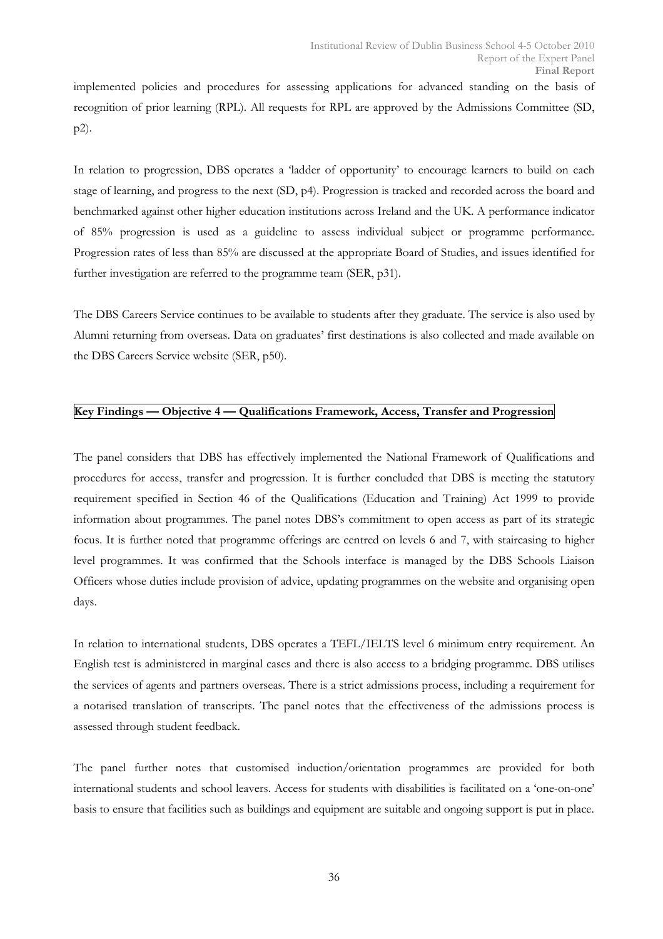implemented policies and procedures for assessing applications for advanced standing on the basis of recognition of prior learning (RPL). All requests for RPL are approved by the Admissions Committee (SD, p2).

In relation to progression, DBS operates a 'ladder of opportunity' to encourage learners to build on each stage of learning, and progress to the next (SD, p4). Progression is tracked and recorded across the board and benchmarked against other higher education institutions across Ireland and the UK. A performance indicator of 85% progression is used as a guideline to assess individual subject or programme performance. Progression rates of less than 85% are discussed at the appropriate Board of Studies, and issues identified for further investigation are referred to the programme team (SER, p31).

The DBS Careers Service continues to be available to students after they graduate. The service is also used by Alumni returning from overseas. Data on graduates' first destinations is also collected and made available on the DBS Careers Service website (SER, p50).

## Key Findings — Objective 4 — Qualifications Framework, Access, Transfer and Progression

The panel considers that DBS has effectively implemented the National Framework of Qualifications and procedures for access, transfer and progression. It is further concluded that DBS is meeting the statutory requirement specified in Section 46 of the Qualifications (Education and Training) Act 1999 to provide information about programmes. The panel notes DBS's commitment to open access as part of its strategic focus. It is further noted that programme offerings are centred on levels 6 and 7, with staircasing to higher level programmes. It was confirmed that the Schools interface is managed by the DBS Schools Liaison Officers whose duties include provision of advice, updating programmes on the website and organising open days.

In relation to international students, DBS operates a TEFL/IELTS level 6 minimum entry requirement. An English test is administered in marginal cases and there is also access to a bridging programme. DBS utilises the services of agents and partners overseas. There is a strict admissions process, including a requirement for a notarised translation of transcripts. The panel notes that the effectiveness of the admissions process is assessed through student feedback.

The panel further notes that customised induction/orientation programmes are provided for both international students and school leavers. Access for students with disabilities is facilitated on a 'one-on-one' basis to ensure that facilities such as buildings and equipment are suitable and ongoing support is put in place.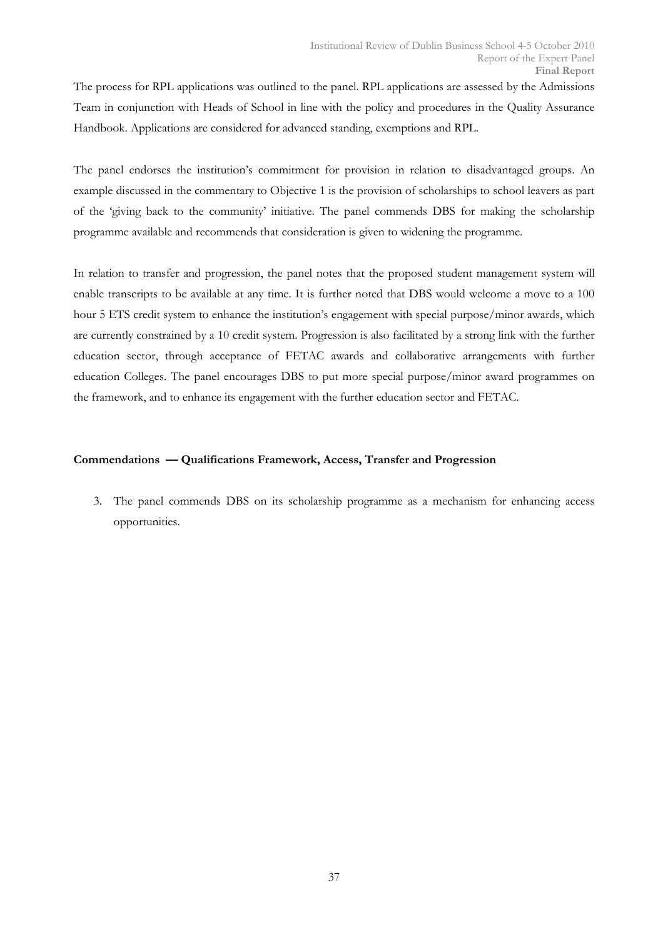The process for RPL applications was outlined to the panel. RPL applications are assessed by the Admissions Team in conjunction with Heads of School in line with the policy and procedures in the Quality Assurance Handbook. Applications are considered for advanced standing, exemptions and RPL.

The panel endorses the institution's commitment for provision in relation to disadvantaged groups. An example discussed in the commentary to Objective 1 is the provision of scholarships to school leavers as part of the 'giving back to the community' initiative. The panel commends DBS for making the scholarship programme available and recommends that consideration is given to widening the programme.

In relation to transfer and progression, the panel notes that the proposed student management system will enable transcripts to be available at any time. It is further noted that DBS would welcome a move to a 100 hour 5 ETS credit system to enhance the institution's engagement with special purpose/minor awards, which are currently constrained by a 10 credit system. Progression is also facilitated by a strong link with the further education sector, through acceptance of FETAC awards and collaborative arrangements with further education Colleges. The panel encourages DBS to put more special purpose/minor award programmes on the framework, and to enhance its engagement with the further education sector and FETAC.

#### Commendations — Qualifications Framework, Access, Transfer and Progression

3. The panel commends DBS on its scholarship programme as a mechanism for enhancing access opportunities.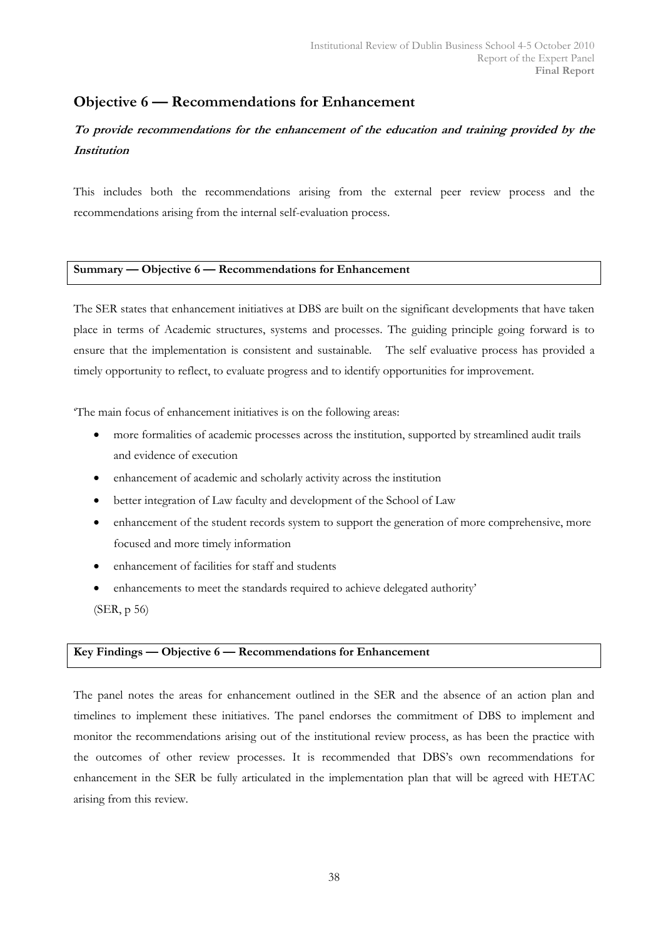# Objective 6 — Recommendations for Enhancement

## To provide recommendations for the enhancement of the education and training provided by the Institution

This includes both the recommendations arising from the external peer review process and the recommendations arising from the internal self-evaluation process.

## Summary — Objective 6 — Recommendations for Enhancement

The SER states that enhancement initiatives at DBS are built on the significant developments that have taken place in terms of Academic structures, systems and processes. The guiding principle going forward is to ensure that the implementation is consistent and sustainable. The self evaluative process has provided a timely opportunity to reflect, to evaluate progress and to identify opportunities for improvement.

'The main focus of enhancement initiatives is on the following areas:

- more formalities of academic processes across the institution, supported by streamlined audit trails and evidence of execution
- enhancement of academic and scholarly activity across the institution
- better integration of Law faculty and development of the School of Law
- enhancement of the student records system to support the generation of more comprehensive, more focused and more timely information
- enhancement of facilities for staff and students
- enhancements to meet the standards required to achieve delegated authority' (SER, p 56)

## Key Findings — Objective 6 — Recommendations for Enhancement

The panel notes the areas for enhancement outlined in the SER and the absence of an action plan and timelines to implement these initiatives. The panel endorses the commitment of DBS to implement and monitor the recommendations arising out of the institutional review process, as has been the practice with the outcomes of other review processes. It is recommended that DBS's own recommendations for enhancement in the SER be fully articulated in the implementation plan that will be agreed with HETAC arising from this review.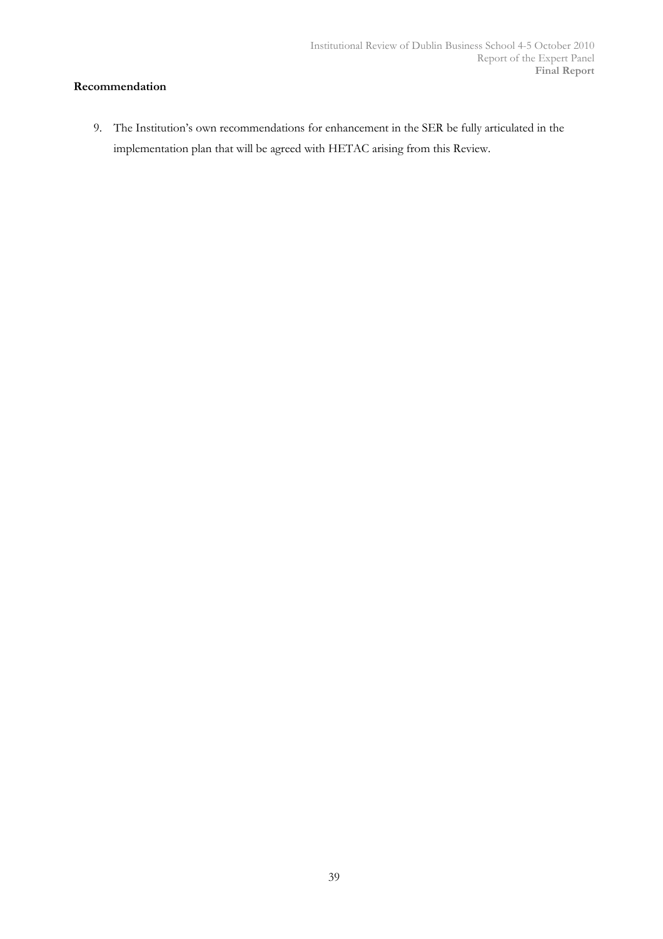## Recommendation

9. The Institution's own recommendations for enhancement in the SER be fully articulated in the implementation plan that will be agreed with HETAC arising from this Review.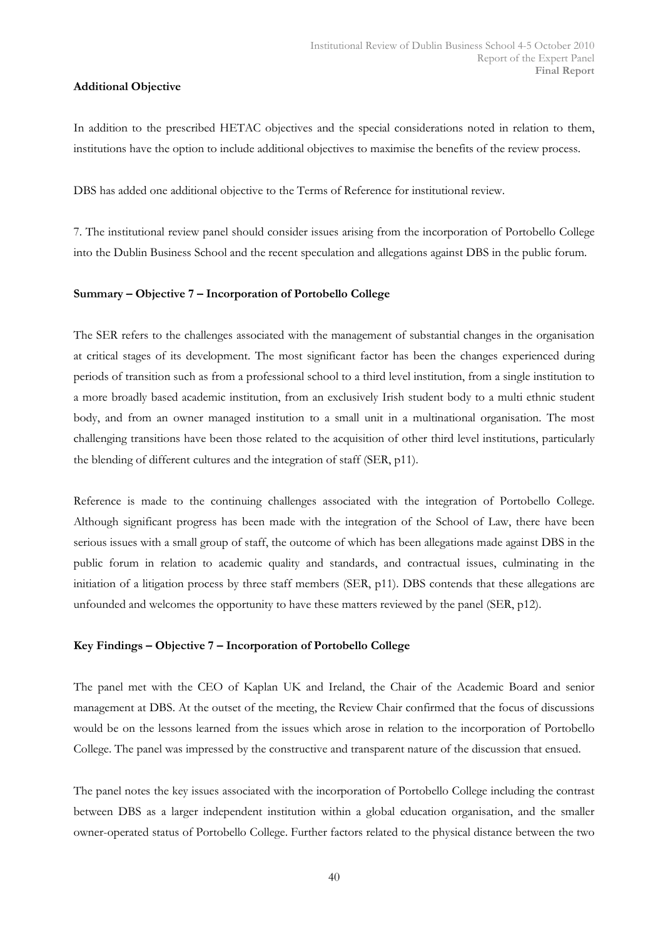## Additional Objective

In addition to the prescribed HETAC objectives and the special considerations noted in relation to them, institutions have the option to include additional objectives to maximise the benefits of the review process.

DBS has added one additional objective to the Terms of Reference for institutional review.

7. The institutional review panel should consider issues arising from the incorporation of Portobello College into the Dublin Business School and the recent speculation and allegations against DBS in the public forum.

## Summary – Objective 7 – Incorporation of Portobello College

The SER refers to the challenges associated with the management of substantial changes in the organisation at critical stages of its development. The most significant factor has been the changes experienced during periods of transition such as from a professional school to a third level institution, from a single institution to a more broadly based academic institution, from an exclusively Irish student body to a multi ethnic student body, and from an owner managed institution to a small unit in a multinational organisation. The most challenging transitions have been those related to the acquisition of other third level institutions, particularly the blending of different cultures and the integration of staff (SER, p11).

Reference is made to the continuing challenges associated with the integration of Portobello College. Although significant progress has been made with the integration of the School of Law, there have been serious issues with a small group of staff, the outcome of which has been allegations made against DBS in the public forum in relation to academic quality and standards, and contractual issues, culminating in the initiation of a litigation process by three staff members (SER, p11). DBS contends that these allegations are unfounded and welcomes the opportunity to have these matters reviewed by the panel (SER, p12).

## Key Findings – Objective 7 – Incorporation of Portobello College

The panel met with the CEO of Kaplan UK and Ireland, the Chair of the Academic Board and senior management at DBS. At the outset of the meeting, the Review Chair confirmed that the focus of discussions would be on the lessons learned from the issues which arose in relation to the incorporation of Portobello College. The panel was impressed by the constructive and transparent nature of the discussion that ensued.

The panel notes the key issues associated with the incorporation of Portobello College including the contrast between DBS as a larger independent institution within a global education organisation, and the smaller owner-operated status of Portobello College. Further factors related to the physical distance between the two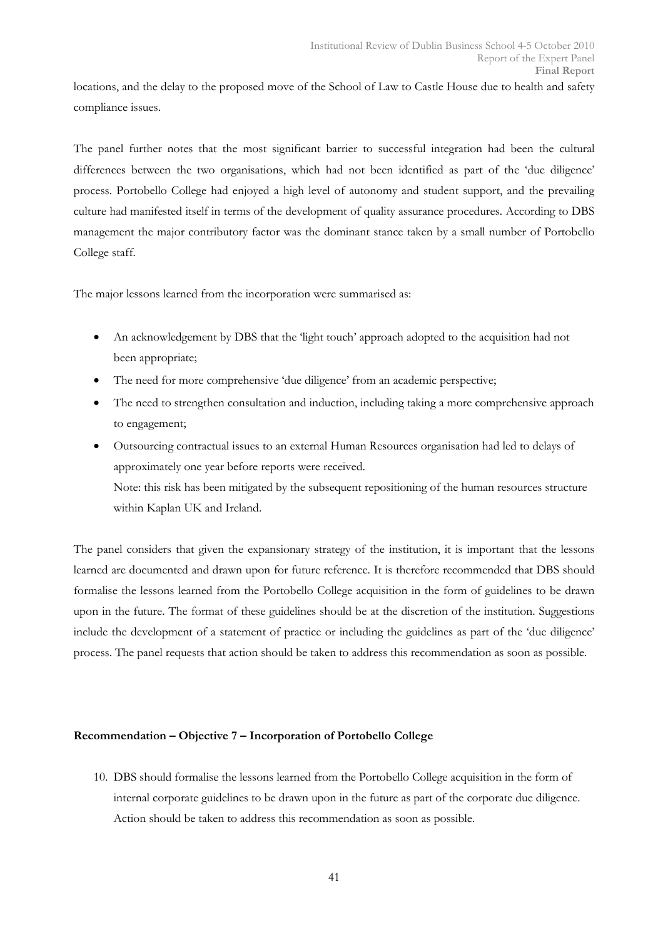locations, and the delay to the proposed move of the School of Law to Castle House due to health and safety compliance issues.

The panel further notes that the most significant barrier to successful integration had been the cultural differences between the two organisations, which had not been identified as part of the 'due diligence' process. Portobello College had enjoyed a high level of autonomy and student support, and the prevailing culture had manifested itself in terms of the development of quality assurance procedures. According to DBS management the major contributory factor was the dominant stance taken by a small number of Portobello College staff.

The major lessons learned from the incorporation were summarised as:

- An acknowledgement by DBS that the 'light touch' approach adopted to the acquisition had not been appropriate;
- The need for more comprehensive 'due diligence' from an academic perspective;
- The need to strengthen consultation and induction, including taking a more comprehensive approach to engagement;
- Outsourcing contractual issues to an external Human Resources organisation had led to delays of approximately one year before reports were received. Note: this risk has been mitigated by the subsequent repositioning of the human resources structure within Kaplan UK and Ireland.

The panel considers that given the expansionary strategy of the institution, it is important that the lessons learned are documented and drawn upon for future reference. It is therefore recommended that DBS should formalise the lessons learned from the Portobello College acquisition in the form of guidelines to be drawn upon in the future. The format of these guidelines should be at the discretion of the institution. Suggestions include the development of a statement of practice or including the guidelines as part of the 'due diligence' process. The panel requests that action should be taken to address this recommendation as soon as possible.

## Recommendation – Objective 7 – Incorporation of Portobello College

10. DBS should formalise the lessons learned from the Portobello College acquisition in the form of internal corporate guidelines to be drawn upon in the future as part of the corporate due diligence. Action should be taken to address this recommendation as soon as possible.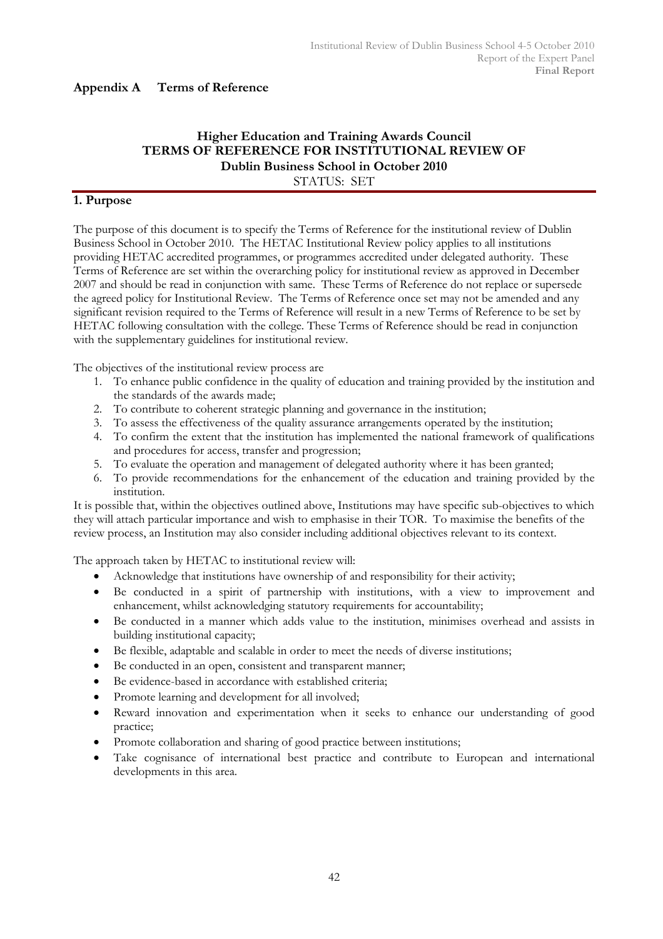## Appendix A Terms of Reference

## Higher Education and Training Awards Council TERMS OF REFERENCE FOR INSTITUTIONAL REVIEW OF Dublin Business School in October 2010 STATUS: SET

## 1. Purpose

The purpose of this document is to specify the Terms of Reference for the institutional review of Dublin Business School in October 2010. The HETAC Institutional Review policy applies to all institutions providing HETAC accredited programmes, or programmes accredited under delegated authority. These Terms of Reference are set within the overarching policy for institutional review as approved in December 2007 and should be read in conjunction with same. These Terms of Reference do not replace or supersede the agreed policy for Institutional Review. The Terms of Reference once set may not be amended and any significant revision required to the Terms of Reference will result in a new Terms of Reference to be set by HETAC following consultation with the college. These Terms of Reference should be read in conjunction with the supplementary guidelines for institutional review.

The objectives of the institutional review process are

- 1. To enhance public confidence in the quality of education and training provided by the institution and the standards of the awards made;
- 2. To contribute to coherent strategic planning and governance in the institution;
- 3. To assess the effectiveness of the quality assurance arrangements operated by the institution;
- 4. To confirm the extent that the institution has implemented the national framework of qualifications and procedures for access, transfer and progression;
- 5. To evaluate the operation and management of delegated authority where it has been granted;
- 6. To provide recommendations for the enhancement of the education and training provided by the institution.

It is possible that, within the objectives outlined above, Institutions may have specific sub-objectives to which they will attach particular importance and wish to emphasise in their TOR. To maximise the benefits of the review process, an Institution may also consider including additional objectives relevant to its context.

The approach taken by HETAC to institutional review will:

- Acknowledge that institutions have ownership of and responsibility for their activity;
- Be conducted in a spirit of partnership with institutions, with a view to improvement and enhancement, whilst acknowledging statutory requirements for accountability;
- Be conducted in a manner which adds value to the institution, minimises overhead and assists in building institutional capacity;
- Be flexible, adaptable and scalable in order to meet the needs of diverse institutions;
- Be conducted in an open, consistent and transparent manner;
- Be evidence-based in accordance with established criteria;
- Promote learning and development for all involved;
- Reward innovation and experimentation when it seeks to enhance our understanding of good practice;
- Promote collaboration and sharing of good practice between institutions;
- Take cognisance of international best practice and contribute to European and international developments in this area.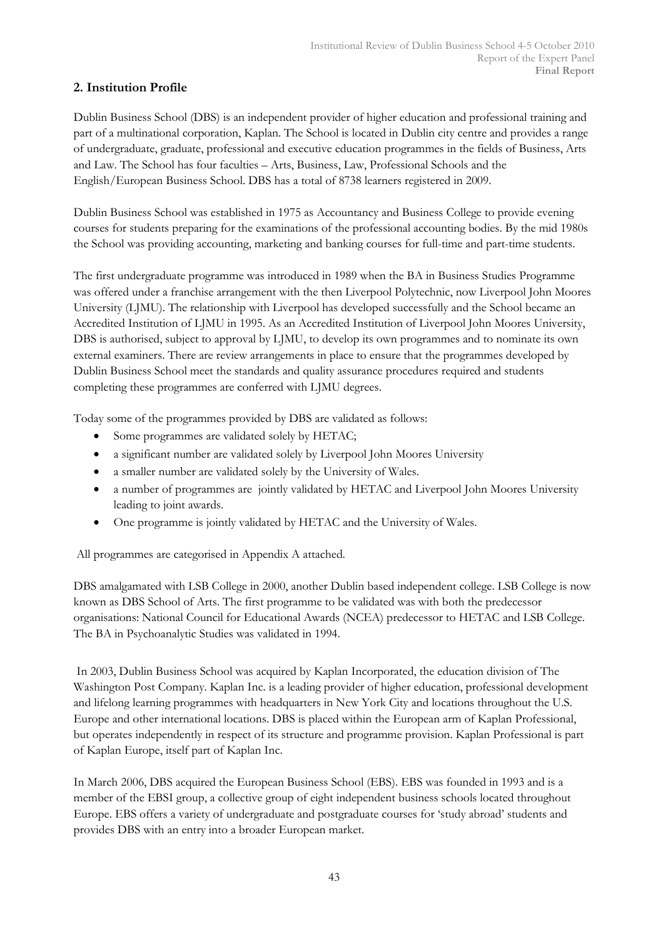## 2. Institution Profile

Dublin Business School (DBS) is an independent provider of higher education and professional training and part of a multinational corporation, Kaplan. The School is located in Dublin city centre and provides a range of undergraduate, graduate, professional and executive education programmes in the fields of Business, Arts and Law. The School has four faculties – Arts, Business, Law, Professional Schools and the English/European Business School. DBS has a total of 8738 learners registered in 2009.

Dublin Business School was established in 1975 as Accountancy and Business College to provide evening courses for students preparing for the examinations of the professional accounting bodies. By the mid 1980s the School was providing accounting, marketing and banking courses for full-time and part-time students.

The first undergraduate programme was introduced in 1989 when the BA in Business Studies Programme was offered under a franchise arrangement with the then Liverpool Polytechnic, now Liverpool John Moores University (LJMU). The relationship with Liverpool has developed successfully and the School became an Accredited Institution of LJMU in 1995. As an Accredited Institution of Liverpool John Moores University, DBS is authorised, subject to approval by LJMU, to develop its own programmes and to nominate its own external examiners. There are review arrangements in place to ensure that the programmes developed by Dublin Business School meet the standards and quality assurance procedures required and students completing these programmes are conferred with LJMU degrees.

Today some of the programmes provided by DBS are validated as follows:

- Some programmes are validated solely by HETAC;
- a significant number are validated solely by Liverpool John Moores University
- a smaller number are validated solely by the University of Wales.
- a number of programmes are jointly validated by HETAC and Liverpool John Moores University leading to joint awards.
- One programme is jointly validated by HETAC and the University of Wales.

All programmes are categorised in Appendix A attached.

DBS amalgamated with LSB College in 2000, another Dublin based independent college. LSB College is now known as DBS School of Arts. The first programme to be validated was with both the predecessor organisations: National Council for Educational Awards (NCEA) predecessor to HETAC and LSB College. The BA in Psychoanalytic Studies was validated in 1994.

 In 2003, Dublin Business School was acquired by Kaplan Incorporated, the education division of The Washington Post Company. Kaplan Inc. is a leading provider of higher education, professional development and lifelong learning programmes with headquarters in New York City and locations throughout the U.S. Europe and other international locations. DBS is placed within the European arm of Kaplan Professional, but operates independently in respect of its structure and programme provision. Kaplan Professional is part of Kaplan Europe, itself part of Kaplan Inc.

In March 2006, DBS acquired the European Business School (EBS). EBS was founded in 1993 and is a member of the EBSI group, a collective group of eight independent business schools located throughout Europe. EBS offers a variety of undergraduate and postgraduate courses for 'study abroad' students and provides DBS with an entry into a broader European market.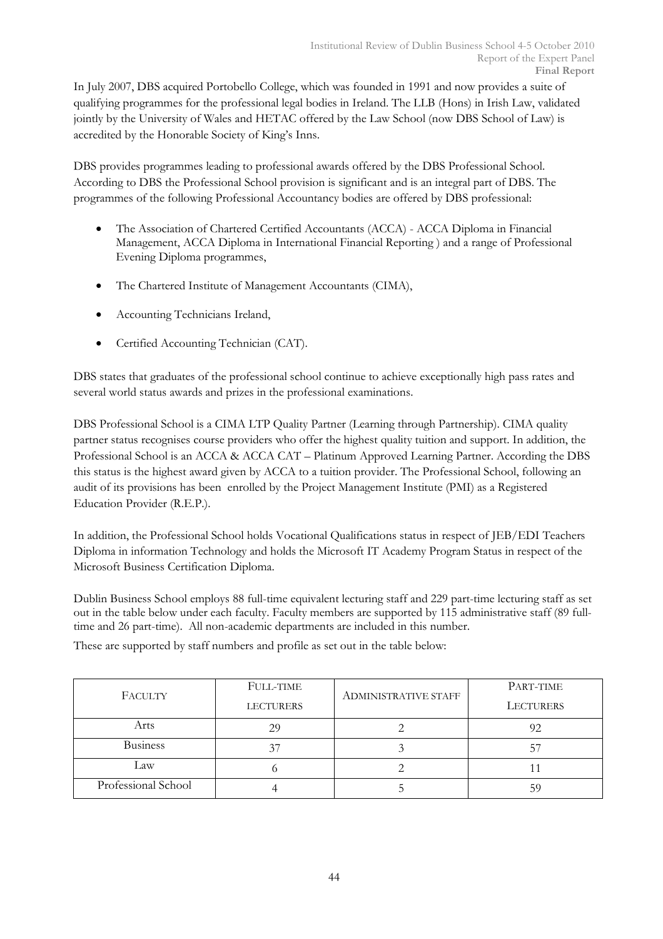In July 2007, DBS acquired Portobello College, which was founded in 1991 and now provides a suite of qualifying programmes for the professional legal bodies in Ireland. The LLB (Hons) in Irish Law, validated jointly by the University of Wales and HETAC offered by the Law School (now DBS School of Law) is accredited by the Honorable Society of King's Inns.

DBS provides programmes leading to professional awards offered by the DBS Professional School. According to DBS the Professional School provision is significant and is an integral part of DBS. The programmes of the following Professional Accountancy bodies are offered by DBS professional:

- The Association of Chartered Certified Accountants (ACCA) ACCA Diploma in Financial Management, ACCA Diploma in International Financial Reporting ) and a range of Professional Evening Diploma programmes,
- The Chartered Institute of Management Accountants (CIMA),
- Accounting Technicians Ireland,
- Certified Accounting Technician (CAT).

DBS states that graduates of the professional school continue to achieve exceptionally high pass rates and several world status awards and prizes in the professional examinations.

DBS Professional School is a CIMA LTP Quality Partner (Learning through Partnership). CIMA quality partner status recognises course providers who offer the highest quality tuition and support. In addition, the Professional School is an ACCA & ACCA CAT – Platinum Approved Learning Partner. According the DBS this status is the highest award given by ACCA to a tuition provider. The Professional School, following an audit of its provisions has been enrolled by the Project Management Institute (PMI) as a Registered Education Provider (R.E.P.).

In addition, the Professional School holds Vocational Qualifications status in respect of JEB/EDI Teachers Diploma in information Technology and holds the Microsoft IT Academy Program Status in respect of the Microsoft Business Certification Diploma.

Dublin Business School employs 88 full-time equivalent lecturing staff and 229 part-time lecturing staff as set out in the table below under each faculty. Faculty members are supported by 115 administrative staff (89 fulltime and 26 part-time). All non-academic departments are included in this number.

These are supported by staff numbers and profile as set out in the table below:

|                     | <b>FULL-TIME</b> |                             | PART-TIME        |
|---------------------|------------------|-----------------------------|------------------|
| FACULTY             | <b>LECTURERS</b> | <b>ADMINISTRATIVE STAFF</b> | <b>LECTURERS</b> |
| Arts                | 29               |                             |                  |
| <b>Business</b>     |                  |                             |                  |
| Law                 |                  |                             |                  |
| Professional School |                  |                             |                  |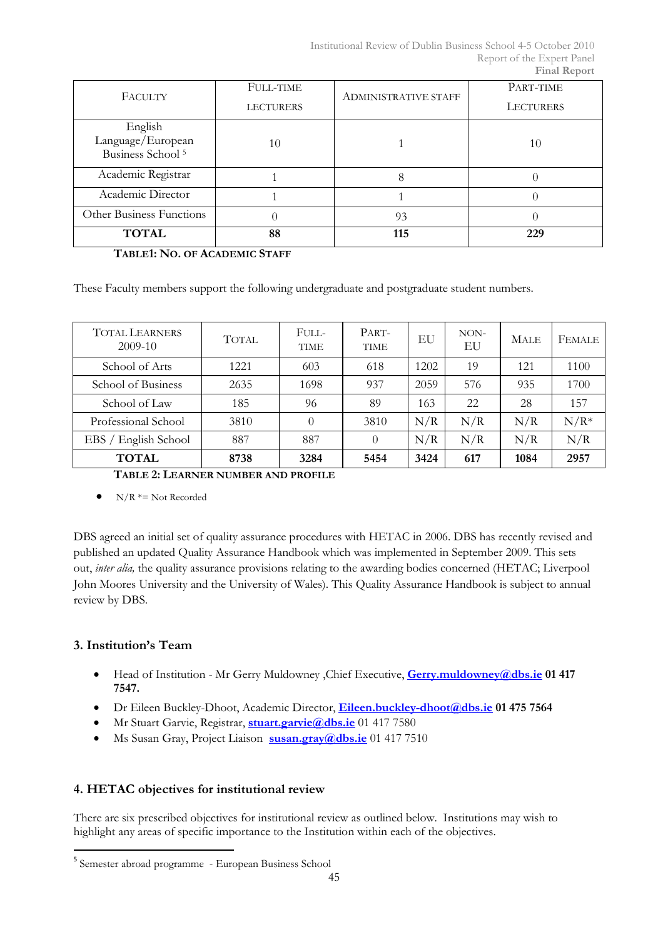| FACULTY                      | <b>FULL-TIME</b> | <b>ADMINISTRATIVE STAFF</b> | PART-TIME        |
|------------------------------|------------------|-----------------------------|------------------|
|                              | <b>LECTURERS</b> |                             | <b>LECTURERS</b> |
| English                      |                  |                             |                  |
| Language/European            | 10               |                             | 10               |
| Business School <sup>5</sup> |                  |                             |                  |
| Academic Registrar           |                  |                             |                  |
| Academic Director            |                  |                             |                  |
| Other Business Functions     |                  | 93                          |                  |
| <b>TOTAL</b>                 | 88               | 115                         | 229              |

TABLE1: NO. OF ACADEMIC STAFF

These Faculty members support the following undergraduate and postgraduate student numbers.

| <b>TOTAL LEARNERS</b><br>$2009-10$  | <b>TOTAL</b> | FULL-<br><b>TIME</b> | PART-<br><b>TIME</b> | EU   | $NON-$<br>EU | <b>MALE</b> | <b>FEMALE</b> |
|-------------------------------------|--------------|----------------------|----------------------|------|--------------|-------------|---------------|
| School of Arts                      | 1221         | 603                  | 618                  | 1202 | 19           | 121         | 1100          |
| School of Business                  | 2635         | 1698                 | 937                  | 2059 | 576          | 935         | 1700          |
| School of Law                       | 185          | 96                   | 89                   | 163  | 22           | 28          | 157           |
| Professional School                 | 3810         | 0                    | 3810                 | N/R  | N/R          | N/R         | $N/R*$        |
| English School<br>EBS /             | 887          | 887                  | $\theta$             | N/R  | N/R          | N/R         | N/R           |
| <b>TOTAL</b>                        | 8738         | 3284                 | 5454                 | 3424 | 617          | 1084        | 2957          |
| TABLE 2: LEARNER NUMBER AND PROFILE |              |                      |                      |      |              |             |               |

•  $N/R \approx N$ ot Recorded

DBS agreed an initial set of quality assurance procedures with HETAC in 2006. DBS has recently revised and published an updated Quality Assurance Handbook which was implemented in September 2009. This sets out, inter alia, the quality assurance provisions relating to the awarding bodies concerned (HETAC; Liverpool John Moores University and the University of Wales). This Quality Assurance Handbook is subject to annual review by DBS.

## 3. Institution's Team

 $\overline{a}$ 

- Head of Institution Mr Gerry Muldowney, Chief Executive, Gerry.muldowney@dbs.ie 01 417 7547.
- Dr Eileen Buckley-Dhoot, Academic Director, Eileen.buckley-dhoot@dbs.ie 01 475 7564
- Mr Stuart Garvie, Registrar, stuart.garvie@dbs.ie 01 417 7580
- Ms Susan Gray, Project Liaison susan.gray@dbs.ie 01 417 7510

## 4. HETAC objectives for institutional review

There are six prescribed objectives for institutional review as outlined below. Institutions may wish to highlight any areas of specific importance to the Institution within each of the objectives.

<sup>5</sup> Semester abroad programme - European Business School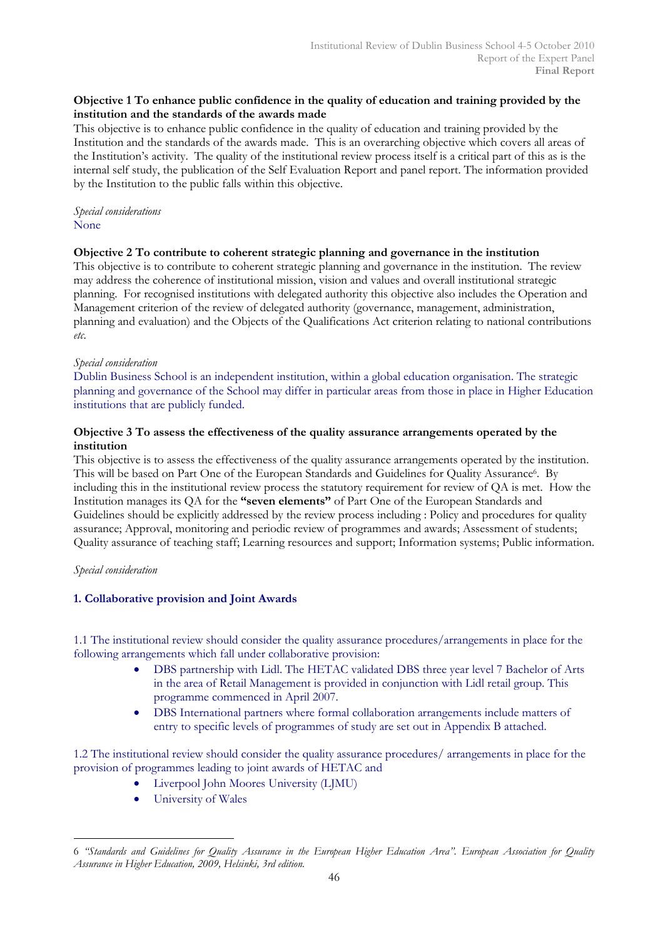## Objective 1 To enhance public confidence in the quality of education and training provided by the institution and the standards of the awards made

This objective is to enhance public confidence in the quality of education and training provided by the Institution and the standards of the awards made. This is an overarching objective which covers all areas of the Institution's activity. The quality of the institutional review process itself is a critical part of this as is the internal self study, the publication of the Self Evaluation Report and panel report. The information provided by the Institution to the public falls within this objective.

## Special considerations None

## Objective 2 To contribute to coherent strategic planning and governance in the institution

This objective is to contribute to coherent strategic planning and governance in the institution. The review may address the coherence of institutional mission, vision and values and overall institutional strategic planning. For recognised institutions with delegated authority this objective also includes the Operation and Management criterion of the review of delegated authority (governance, management, administration, planning and evaluation) and the Objects of the Qualifications Act criterion relating to national contributions etc.

## Special consideration

Dublin Business School is an independent institution, within a global education organisation. The strategic planning and governance of the School may differ in particular areas from those in place in Higher Education institutions that are publicly funded.

## Objective 3 To assess the effectiveness of the quality assurance arrangements operated by the institution

This objective is to assess the effectiveness of the quality assurance arrangements operated by the institution. This will be based on Part One of the European Standards and Guidelines for Quality Assurance<sup>6</sup> . By including this in the institutional review process the statutory requirement for review of QA is met. How the Institution manages its QA for the "seven elements" of Part One of the European Standards and Guidelines should be explicitly addressed by the review process including : Policy and procedures for quality assurance; Approval, monitoring and periodic review of programmes and awards; Assessment of students; Quality assurance of teaching staff; Learning resources and support; Information systems; Public information.

## Special consideration

## 1. Collaborative provision and Joint Awards

1.1 The institutional review should consider the quality assurance procedures/arrangements in place for the following arrangements which fall under collaborative provision:

- DBS partnership with Lidl. The HETAC validated DBS three year level 7 Bachelor of Arts in the area of Retail Management is provided in conjunction with Lidl retail group. This programme commenced in April 2007.
- DBS International partners where formal collaboration arrangements include matters of entry to specific levels of programmes of study are set out in Appendix B attached.

1.2 The institutional review should consider the quality assurance procedures/ arrangements in place for the provision of programmes leading to joint awards of HETAC and

- Liverpool John Moores University (LJMU)
- University of Wales

 $\overline{a}$ 6 "Standards and Guidelines for Quality Assurance in the European Higher Education Area". European Association for Quality Assurance in Higher Education, 2009, Helsinki, 3rd edition.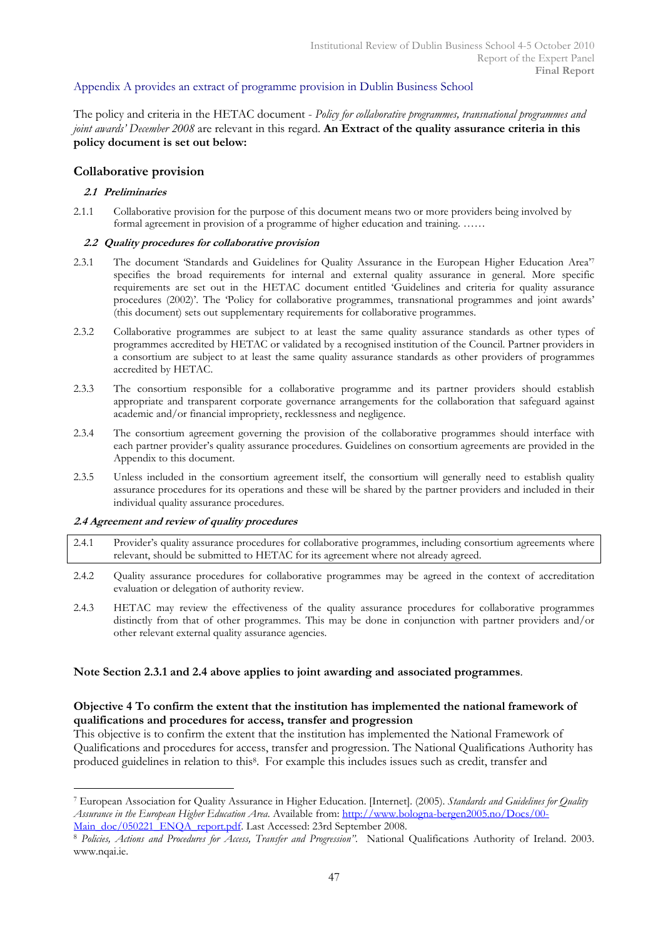## Appendix A provides an extract of programme provision in Dublin Business School

The policy and criteria in the HETAC document - Policy for collaborative programmes, transnational programmes and joint awards' December 2008 are relevant in this regard. An Extract of the quality assurance criteria in this policy document is set out below:

## Collaborative provision

#### 2.1 Preliminaries

2.1.1 Collaborative provision for the purpose of this document means two or more providers being involved by formal agreement in provision of a programme of higher education and training. ……

#### 2.2 Quality procedures for collaborative provision

- 2.3.1 The document 'Standards and Guidelines for Quality Assurance in the European Higher Education Area'<sup>7</sup> specifies the broad requirements for internal and external quality assurance in general. More specific requirements are set out in the HETAC document entitled 'Guidelines and criteria for quality assurance procedures (2002)'. The 'Policy for collaborative programmes, transnational programmes and joint awards' (this document) sets out supplementary requirements for collaborative programmes.
- 2.3.2 Collaborative programmes are subject to at least the same quality assurance standards as other types of programmes accredited by HETAC or validated by a recognised institution of the Council. Partner providers in a consortium are subject to at least the same quality assurance standards as other providers of programmes accredited by HETAC.
- 2.3.3 The consortium responsible for a collaborative programme and its partner providers should establish appropriate and transparent corporate governance arrangements for the collaboration that safeguard against academic and/or financial impropriety, recklessness and negligence.
- 2.3.4 The consortium agreement governing the provision of the collaborative programmes should interface with each partner provider's quality assurance procedures. Guidelines on consortium agreements are provided in the Appendix to this document.
- 2.3.5 Unless included in the consortium agreement itself, the consortium will generally need to establish quality assurance procedures for its operations and these will be shared by the partner providers and included in their individual quality assurance procedures.

#### 2.4 Agreement and review of quality procedures

 $\overline{a}$ 

- 2.4.1 Provider's quality assurance procedures for collaborative programmes, including consortium agreements where relevant, should be submitted to HETAC for its agreement where not already agreed.
- 2.4.2 Quality assurance procedures for collaborative programmes may be agreed in the context of accreditation evaluation or delegation of authority review.
- 2.4.3 HETAC may review the effectiveness of the quality assurance procedures for collaborative programmes distinctly from that of other programmes. This may be done in conjunction with partner providers and/or other relevant external quality assurance agencies.

#### Note Section 2.3.1 and 2.4 above applies to joint awarding and associated programmes.

## Objective 4 To confirm the extent that the institution has implemented the national framework of qualifications and procedures for access, transfer and progression

This objective is to confirm the extent that the institution has implemented the National Framework of Qualifications and procedures for access, transfer and progression. The National Qualifications Authority has produced guidelines in relation to this<sup>8</sup>. For example this includes issues such as credit, transfer and

<sup>&</sup>lt;sup>7</sup> European Association for Quality Assurance in Higher Education. [Internet]. (2005). Standards and Guidelines for Quality Assurance in the European Higher Education Area. Available from: http://www.bologna-bergen2005.no/Docs/00- Main\_doc/050221\_ENOA\_report.pdf. Last Accessed: 23rd September 2008.

<sup>8</sup> Policies, Actions and Procedures for Access, Transfer and Progression". National Qualifications Authority of Ireland. 2003. www.nqai.ie.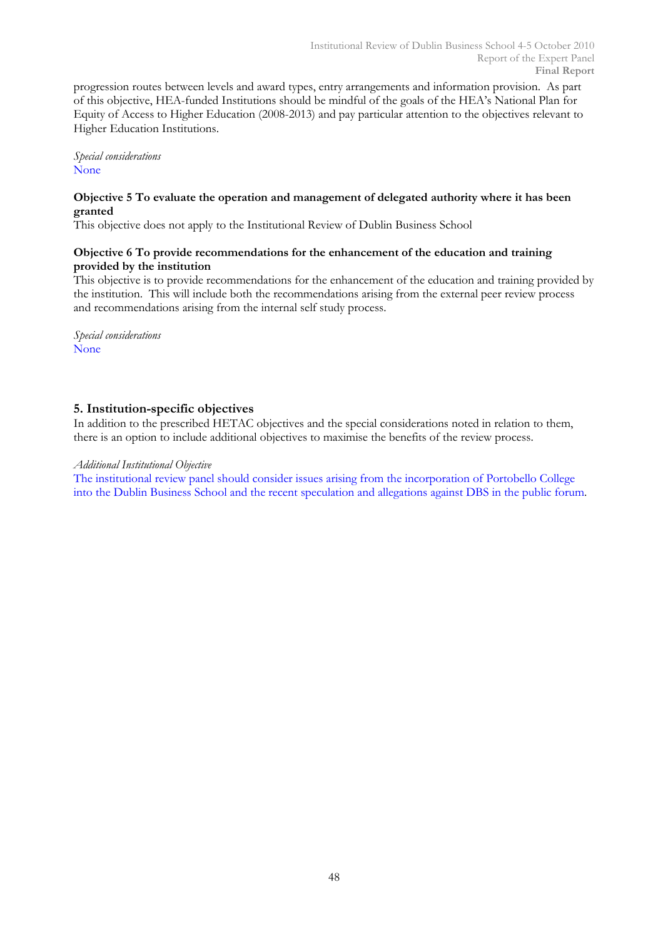progression routes between levels and award types, entry arrangements and information provision. As part of this objective, HEA-funded Institutions should be mindful of the goals of the HEA's National Plan for Equity of Access to Higher Education (2008-2013) and pay particular attention to the objectives relevant to Higher Education Institutions.

Special considerations None

## Objective 5 To evaluate the operation and management of delegated authority where it has been granted

This objective does not apply to the Institutional Review of Dublin Business School

## Objective 6 To provide recommendations for the enhancement of the education and training provided by the institution

This objective is to provide recommendations for the enhancement of the education and training provided by the institution. This will include both the recommendations arising from the external peer review process and recommendations arising from the internal self study process.

Special considerations None

## 5. Institution-specific objectives

In addition to the prescribed HETAC objectives and the special considerations noted in relation to them, there is an option to include additional objectives to maximise the benefits of the review process.

## Additional Institutional Objective

The institutional review panel should consider issues arising from the incorporation of Portobello College into the Dublin Business School and the recent speculation and allegations against DBS in the public forum.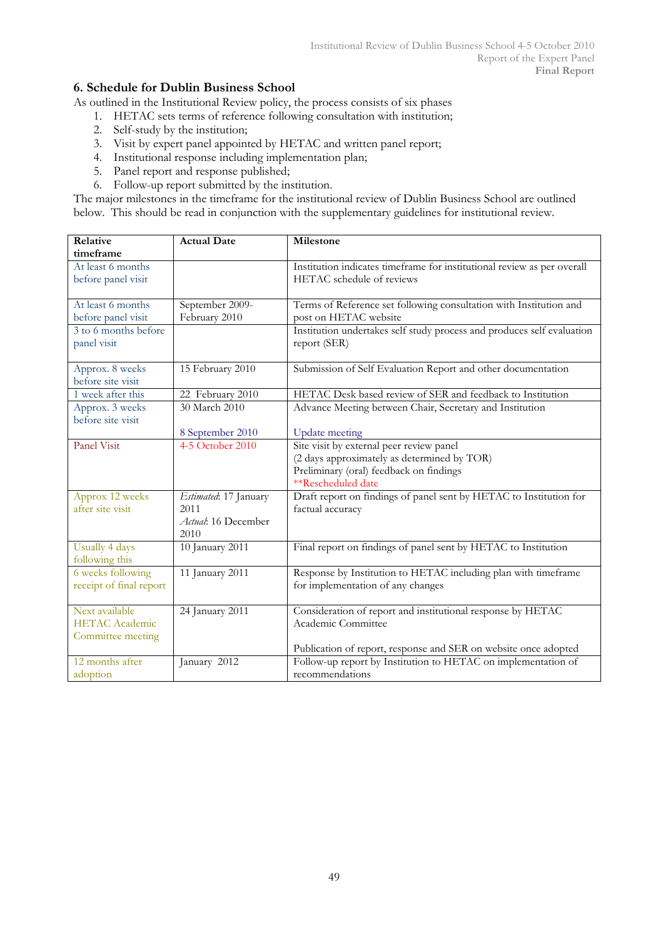## 6. Schedule for Dublin Business School

As outlined in the Institutional Review policy, the process consists of six phases

- 1. HETAC sets terms of reference following consultation with institution;
- 2. Self-study by the institution;
- 3. Visit by expert panel appointed by HETAC and written panel report;
- 4. Institutional response including implementation plan;
- 5. Panel report and response published;
- 6. Follow-up report submitted by the institution.

The major milestones in the timeframe for the institutional review of Dublin Business School are outlined below. This should be read in conjunction with the supplementary guidelines for institutional review.

| Relative                | <b>Actual Date</b>    | Milestone                                                               |
|-------------------------|-----------------------|-------------------------------------------------------------------------|
| timeframe               |                       |                                                                         |
| At least 6 months       |                       | Institution indicates timeframe for institutional review as per overall |
| before panel visit      |                       | HETAC schedule of reviews                                               |
|                         |                       |                                                                         |
| At least 6 months       | September 2009-       | Terms of Reference set following consultation with Institution and      |
| before panel visit      | February 2010         | post on HETAC website                                                   |
| 3 to 6 months before    |                       | Institution undertakes self study process and produces self evaluation  |
| panel visit             |                       | report (SER)                                                            |
|                         |                       |                                                                         |
| Approx. 8 weeks         | 15 February 2010      | Submission of Self Evaluation Report and other documentation            |
| before site visit       |                       |                                                                         |
| 1 week after this       | 22 February 2010      | HETAC Desk based review of SER and feedback to Institution              |
| Approx. 3 weeks         | 30 March 2010         | Advance Meeting between Chair, Secretary and Institution                |
| before site visit       |                       |                                                                         |
|                         | 8 September 2010      | <b>Update</b> meeting                                                   |
| <b>Panel Visit</b>      | 4-5 October 2010      | Site visit by external peer review panel                                |
|                         |                       | (2 days approximately as determined by TOR)                             |
|                         |                       | Preliminary (oral) feedback on findings                                 |
|                         |                       | **Rescheduled date                                                      |
| Approx 12 weeks         | Estimated: 17 January | Draft report on findings of panel sent by HETAC to Institution for      |
| after site visit        | 2011                  | factual accuracy                                                        |
|                         | Actual: 16 December   |                                                                         |
|                         | 2010                  |                                                                         |
| Usually 4 days          | 10 January 2011       | Final report on findings of panel sent by HETAC to Institution          |
| following this          |                       |                                                                         |
| 6 weeks following       | 11 January 2011       | Response by Institution to HETAC including plan with timeframe          |
| receipt of final report |                       | for implementation of any changes                                       |
|                         |                       |                                                                         |
| Next available          | 24 January 2011       | Consideration of report and institutional response by HETAC             |
| <b>HETAC</b> Academic   |                       | Academic Committee                                                      |
| Committee meeting       |                       |                                                                         |
|                         |                       | Publication of report, response and SER on website once adopted         |
| 12 months after         | January 2012          | Follow-up report by Institution to HETAC on implementation of           |
| adoption                |                       | recommendations                                                         |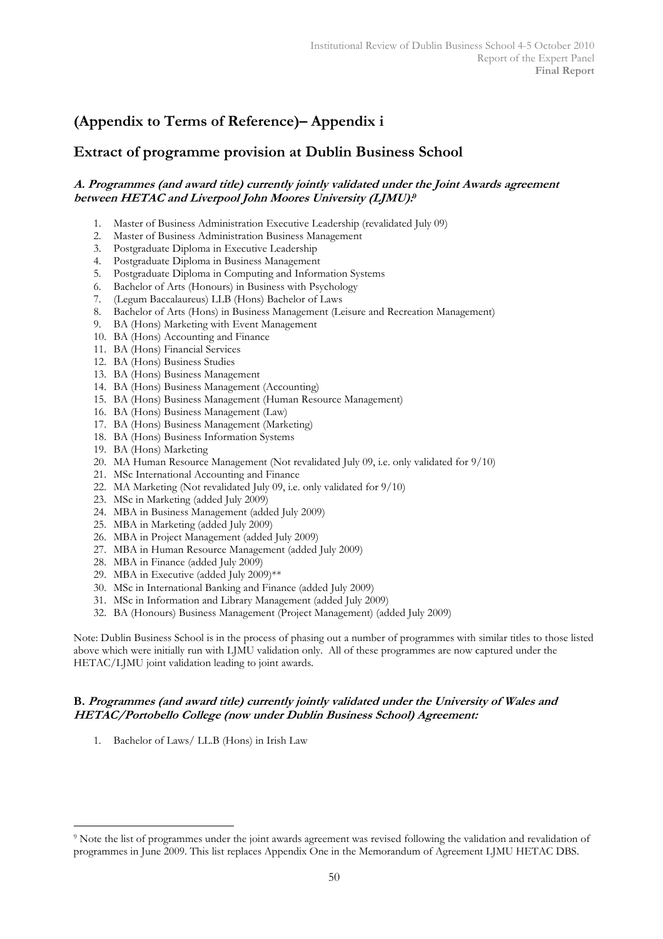# (Appendix to Terms of Reference)– Appendix i

## Extract of programme provision at Dublin Business School

## A. Programmes (and award title) currently jointly validated under the Joint Awards agreement between HETAC and Liverpool John Moores University (LJMU): 9

- 1. Master of Business Administration Executive Leadership (revalidated July 09)
- 2. Master of Business Administration Business Management
- 3. Postgraduate Diploma in Executive Leadership
- 4. Postgraduate Diploma in Business Management
- 5. Postgraduate Diploma in Computing and Information Systems
- 6. Bachelor of Arts (Honours) in Business with Psychology
- 7. (Legum Baccalaureus) LLB (Hons) Bachelor of Laws
- 8. Bachelor of Arts (Hons) in Business Management (Leisure and Recreation Management)
- 9. BA (Hons) Marketing with Event Management
- 10. BA (Hons) Accounting and Finance
- 11. BA (Hons) Financial Services
- 12. BA (Hons) Business Studies
- 13. BA (Hons) Business Management
- 14. BA (Hons) Business Management (Accounting)
- 15. BA (Hons) Business Management (Human Resource Management)
- 16. BA (Hons) Business Management (Law)
- 17. BA (Hons) Business Management (Marketing)
- 18. BA (Hons) Business Information Systems
- 19. BA (Hons) Marketing
- 20. MA Human Resource Management (Not revalidated July 09, i.e. only validated for 9/10)
- 21. MSc International Accounting and Finance
- 22. MA Marketing (Not revalidated July 09, i.e. only validated for 9/10)
- 23. MSc in Marketing (added July 2009)
- 24. MBA in Business Management (added July 2009)
- 25. MBA in Marketing (added July 2009)
- 26. MBA in Project Management (added July 2009)
- 27. MBA in Human Resource Management (added July 2009)
- 28. MBA in Finance (added July 2009)
- 29. MBA in Executive (added July 2009)\*\*
- 30. MSc in International Banking and Finance (added July 2009)
- 31. MSc in Information and Library Management (added July 2009)
- 32. BA (Honours) Business Management (Project Management) (added July 2009)

Note: Dublin Business School is in the process of phasing out a number of programmes with similar titles to those listed above which were initially run with LJMU validation only. All of these programmes are now captured under the HETAC/LJMU joint validation leading to joint awards.

## B. Programmes (and award title) currently jointly validated under the University of Wales and HETAC/Portobello College (now under Dublin Business School) Agreement:

1. Bachelor of Laws/ LL.B (Hons) in Irish Law

 $\overline{a}$ <sup>9</sup> Note the list of programmes under the joint awards agreement was revised following the validation and revalidation of programmes in June 2009. This list replaces Appendix One in the Memorandum of Agreement LJMU HETAC DBS.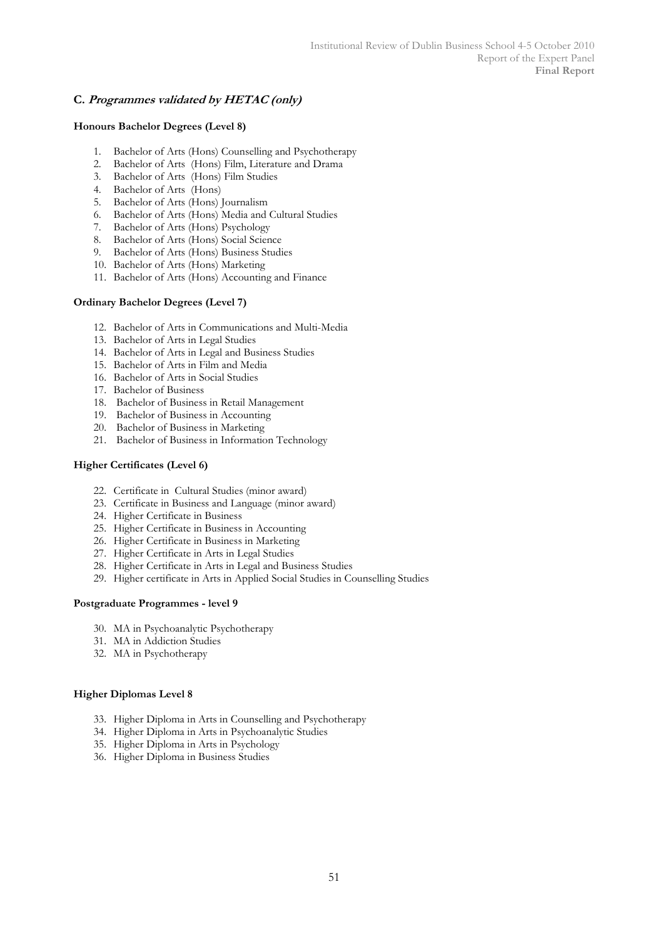## C. Programmes validated by HETAC (only)

#### Honours Bachelor Degrees (Level 8)

- 1. Bachelor of Arts (Hons) Counselling and Psychotherapy
- 2. Bachelor of Arts (Hons) Film, Literature and Drama
- 3. Bachelor of Arts (Hons) Film Studies
- 4. Bachelor of Arts (Hons)
- 5. Bachelor of Arts (Hons) Journalism
- 6. Bachelor of Arts (Hons) Media and Cultural Studies
- 7. Bachelor of Arts (Hons) Psychology
- 8. Bachelor of Arts (Hons) Social Science
- 9. Bachelor of Arts (Hons) Business Studies
- 10. Bachelor of Arts (Hons) Marketing
- 11. Bachelor of Arts (Hons) Accounting and Finance

#### Ordinary Bachelor Degrees (Level 7)

- 12. Bachelor of Arts in Communications and Multi-Media
- 13. Bachelor of Arts in Legal Studies
- 14. Bachelor of Arts in Legal and Business Studies
- 15. Bachelor of Arts in Film and Media
- 16. Bachelor of Arts in Social Studies
- 17. Bachelor of Business
- 18. Bachelor of Business in Retail Management
- 19. Bachelor of Business in Accounting
- 20. Bachelor of Business in Marketing
- 21. Bachelor of Business in Information Technology

#### Higher Certificates (Level 6)

- 22. Certificate in Cultural Studies (minor award)
- 23. Certificate in Business and Language (minor award)
- 24. Higher Certificate in Business
- 25. Higher Certificate in Business in Accounting
- 26. Higher Certificate in Business in Marketing
- 27. Higher Certificate in Arts in Legal Studies
- 28. Higher Certificate in Arts in Legal and Business Studies
- 29. Higher certificate in Arts in Applied Social Studies in Counselling Studies

#### Postgraduate Programmes - level 9

- 30. MA in Psychoanalytic Psychotherapy
- 31. MA in Addiction Studies
- 32. MA in Psychotherapy

#### Higher Diplomas Level 8

- 33. Higher Diploma in Arts in Counselling and Psychotherapy
- 34. Higher Diploma in Arts in Psychoanalytic Studies
- 35. Higher Diploma in Arts in Psychology
- 36. Higher Diploma in Business Studies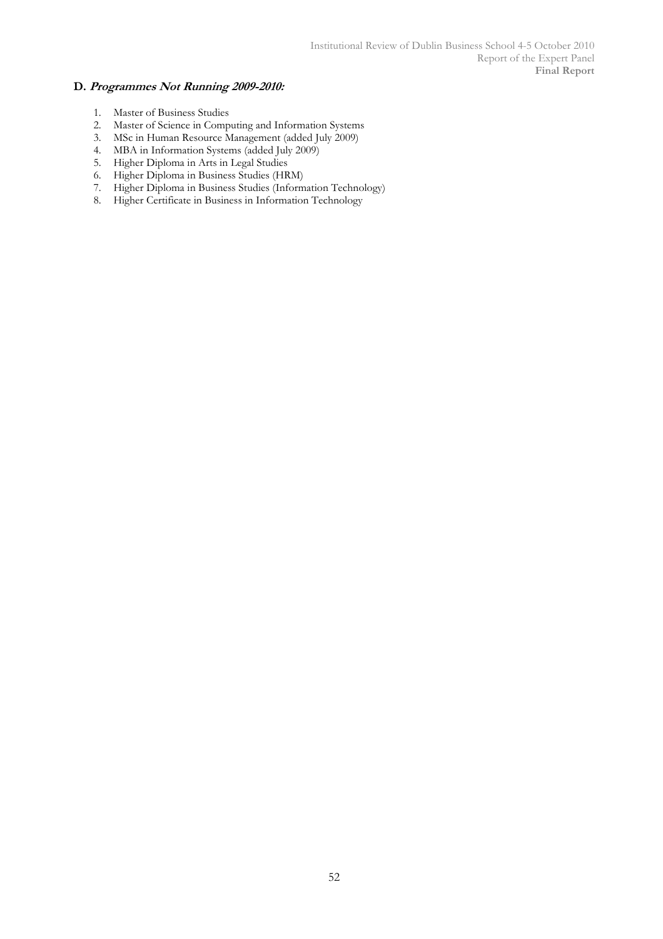## D. Programmes Not Running 2009-2010:

- 1. Master of Business Studies
- 2. Master of Science in Computing and Information Systems
- 3. MSc in Human Resource Management (added July 2009)
- 4. MBA in Information Systems (added July 2009)
- 5. Higher Diploma in Arts in Legal Studies
- 6. Higher Diploma in Business Studies (HRM)
- 7. Higher Diploma in Business Studies (Information Technology)
- 8. Higher Certificate in Business in Information Technology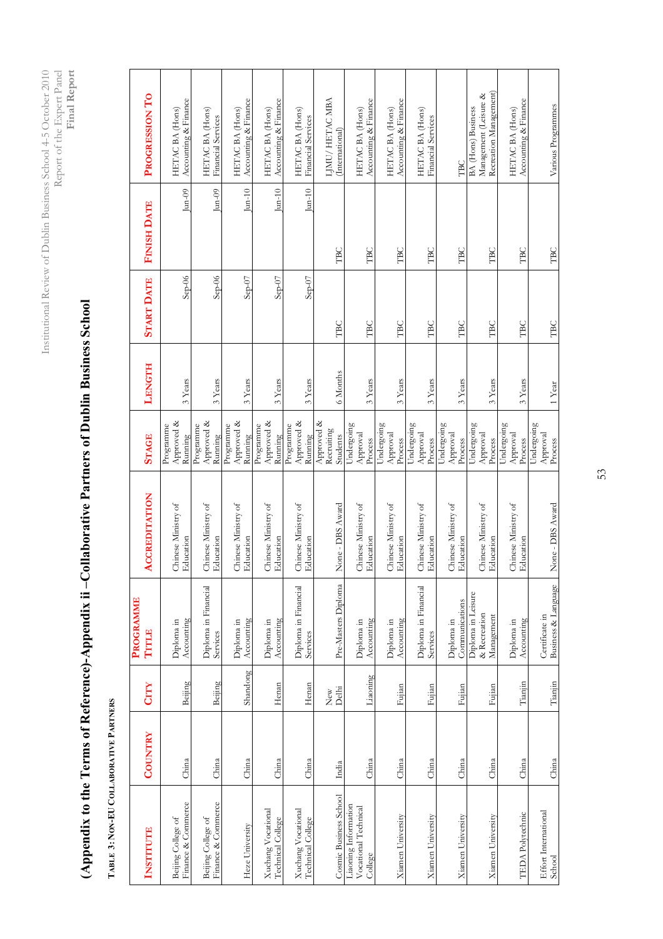Institutional Review of Dublin Business School 4-5 October 2010<br>Report of the Expert Panel Report of the Expert Panel Institutional Review of Dublin Business School 4-5 October 2010 Report of the Expert Panel Final Report

# (Appendix to the Terms of Reference)-Appendix ii –Collaborative Partners of Dublin Business School (Appendix to the Terms of Reference)-Appendix ii -Collaborative Partners of Dublin Business School

TABLE 3: NON-EU COLLABORATIVE PARTNERS TABLE 3: NON-EU COLLABORATIVE PARTNERS

| <b>INSTITUTE</b>                                        | COUNTRY | CITY                    | <b>PROGRAMME</b><br>TITLE                        | <b>ACCREDITATION</b>             | <b>STAGE</b>                         | LENGTH   | <b>START DATE</b> | <b>FINISH DATE</b> | PROGRESSION TO                                                               |
|---------------------------------------------------------|---------|-------------------------|--------------------------------------------------|----------------------------------|--------------------------------------|----------|-------------------|--------------------|------------------------------------------------------------------------------|
| Finance & Commerce<br>Beijing College of                | China   | Beijing                 | Accounting<br>Diploma in                         | Chinese Ministry of<br>Education | Approved &<br>Programme<br>Running   | 3 Years  | $Step-06$         | $\text{Jun-09}$    | Accounting & Finance<br>HETAC BA (Hons)                                      |
| Finance & Commerce<br>Beijing College of                | China   | Beijing                 | Diploma in Financial<br>Services                 | Chinese Ministry of<br>Education | Approved &<br>Programme<br>Running   | 3 Years  | $Sep-06$          | $\mu_{n-0}$        | HETAC BA (Hons)<br>Financial Services                                        |
| Heze University                                         | China   | Shandong                | Accounting<br>Diploma in                         | Chinese Ministry of<br>Education | Approved &<br>Programme<br>Running   | 3 Years  | $Sep-07$          | $\mu$ -10          | Accounting & Finance<br><b>HETAC BA</b> (Hons)                               |
| Xuchang Vocational<br>Technical College                 | China   | Henan                   | Accounting<br>Diploma in                         | Chinese Ministry of<br>Education | Approved &<br>Programme<br>Running   | 3 Years  | $Step-07$         | $Jum-10$           | Accounting & Finance<br><b>HETAC BA</b> (Hons)                               |
| Xuchang Vocational<br>Technical College                 | China   | Henan                   | Diploma in Financial<br>Services                 | Chinese Ministry of<br>Education | Approved &<br>Programme<br>Running   | 3 Years  | $Sep-07$          | $\mu$ -10          | HETAC BA (Hons)<br>Financial Services                                        |
| Cosmic Business School                                  | India   | $_{\rm Dehi}^{\rm low}$ | Pre-Masters Diploma                              | None - DBS Award                 | Approved &<br>Recruiting<br>Students | 6 Months | TBC               | TBC                | LJMU/HETACMBA<br>(International)                                             |
| Liaoning Information<br>Vocational Technical<br>College | China   | Liaoning                | Accounting<br>Diploma in                         | Chinese Ministry of<br>Education | Undergoing<br>Approval<br>Process    | 3 Years  | TBC               | TBC                | Accounting & Finance<br>HETAC BA (Hons)                                      |
| <b>Xiamen University</b>                                | China   | Fujian                  | Diploma in<br>Accounting                         | Chinese Ministry of<br>Education | Undergoing<br>Approval<br>Process    | 3 Years  | TBC               | TBC                | Accounting & Finance<br>HETAC BA (Hons)                                      |
| <b>Xiamen University</b>                                | China   | Fujian                  | Diploma in Financial<br>Services                 | Chinese Ministry of<br>Education | Undergoing<br>Approval<br>Process    | 3 Years  | TBC               | TBC                | HETAC BA (Hons)<br>Financial Services                                        |
| <b>Xiamen University</b>                                | China   | Fujian                  | Communications<br>Diploma in                     | Chinese Ministry of<br>Education | Undergoing<br>Approval<br>Process    | 3 Years  | TBC               | TBC                | TBC                                                                          |
| <b>Xiamen University</b>                                | China   | Fujian                  | Diploma in Leisure<br>& Recreation<br>Management | Chinese Ministry of<br>Education | Undergoing<br>Approval<br>Process    | 3 Years  | TBC               | TBC                | Recreation Management)<br>Management (Leisure &<br><b>BA</b> (Hons) Business |
| <b>TEDA</b> Polytechnic                                 | China   | Tianjin                 | Accounting<br>Diploma in                         | Chinese Ministry of<br>Education | Undergoing<br>Approval<br>Process    | 3 Years  | TBC               | <b>TBC</b>         | Accounting & Finance<br>HETAC BA (Hons)                                      |
| Effort International<br>School                          | China   | Tianjin                 | Business & Language<br>Certificate in            | None - DBS Award                 | Undergoing<br>Approval<br>Process    | 1 Year   | TBC               | TBC                | Various Programmes                                                           |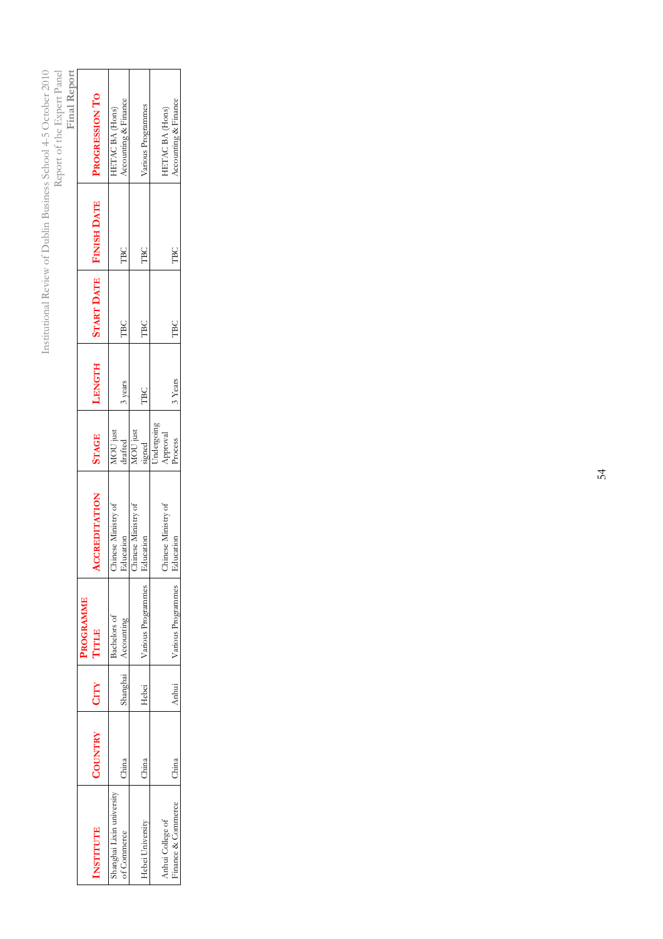Institutional Review of Dublin Business School 4-5 October 2010<br>Report of the Expert Panel<br>Final Report Institutional Review of Dublin Business School 4-5 October 2010

Report of the Expert Panel

| <b>INSTITUTE</b>                       | <b>COUNTRY</b> | CITY  | PROGRAMME<br>TITLE  | CCREDITATION                   | <b>STAGE</b>                      | LENGTH     |     | <b>START DATE</b> FINISH DATE | PROGRESSION TO                          |
|----------------------------------------|----------------|-------|---------------------|--------------------------------|-----------------------------------|------------|-----|-------------------------------|-----------------------------------------|
| Shanghai Lixin university              |                |       | Bachelors of        | hinese Ministry of             | MOU just<br>drafted               |            |     |                               | HETAC BA (Hons)                         |
| of Commerce                            | China          |       | Shanghai Accounting | ducation                       |                                   | 3 years    | TBC | TBC                           | Accounting & Finance                    |
|                                        |                |       |                     | hinese Ministry of             | MOU just                          |            |     |                               |                                         |
| Hebei University                       | China          | Hebei | Various Programmes  | ducation                       | signed                            | <b>TBC</b> | TBC | <b>TBC</b>                    | Various Programmes                      |
| Finance & Commerce<br>Anhui College of | China          | Anhui | Various Programmes  | hinese Ministry of<br>ducation | Undergoing<br>Approval<br>Process | 3 Years    | TBC | <b>TBC</b>                    | Accounting & Finance<br>HETAC BA (Hons) |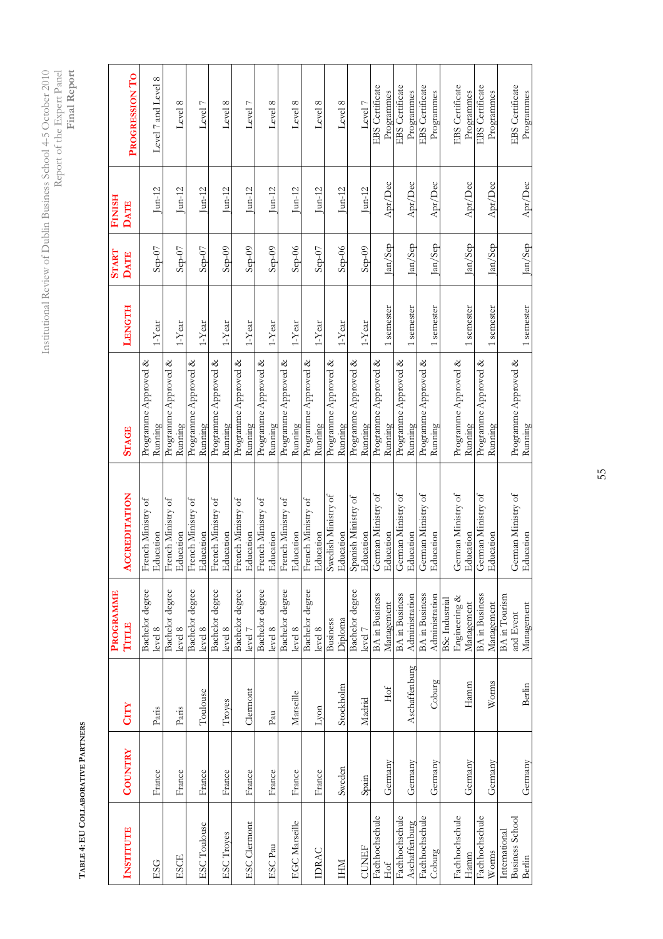Institutional Review of Dublin Business School 4-5 October 2010<br>Report of the Expert Panel<br>Final Report Institutional Review of Dublin Business School 4-5 October 2010 Report of the Expert Panel Final Report

> TABLE 4: EU COLLABORATIVE PARTNERS TABLE 4: EU COLLABORATIVE PARTNERS

|                      |         |               | <b>PROGRAMME</b>      |                                  |                      |                  | <b>START</b>           | <b>FINISH</b>                    |                        |
|----------------------|---------|---------------|-----------------------|----------------------------------|----------------------|------------------|------------------------|----------------------------------|------------------------|
| <b>INSTITUTE</b>     | COUNTRY | CITY          | TITLE                 | <b>ACCREDITATION</b>             | <b>STAGE</b>         | LENGTH           | <b>DATE</b>            | <b>DATE</b>                      | PROGRESSION TO         |
|                      |         |               | Bachelor degree       | French Ministry of               | Programme Approved & |                  |                        |                                  |                        |
| ESG                  | France  | Paris         | level 8               | Education                        | Running              | $1$ -Year        | $Sep-07$               | $\int$ un-12                     | Level 7 and Level 8    |
|                      |         |               | Bachelor degree       | French Ministry of               | Programme Approved & |                  |                        |                                  |                        |
| ESCE                 | France  | Paris         | level 8               | Education                        | Running              | $1$ -Year        | $Sep-07$               | $J$ un-12                        | Level 8                |
|                      |         |               | Bachelor degree       | French Ministry of               | Programme Approved & |                  |                        |                                  |                        |
| <b>ESC</b> Toulouse  | France  | Toulouse      | level 8               | Education                        | Running              | $1$ -Year        | $Sep-07$               | $\frac{\text{Jun-12}}{\text{J}}$ | Level 7                |
|                      |         |               | Bachelor degree       | French Ministry of               | Programme Approved & |                  |                        |                                  |                        |
| ESC Troyes           | France  | Troyes        | level 8               | Education                        | Running              | $1-Year$         | $Step-09$              | $J$ un-12                        | Level 8                |
|                      |         |               | Bachelor degree       | French Ministry of               | Programme Approved & |                  |                        |                                  |                        |
| <b>ESC</b> Clermont  | France  | Clermont      | level 7               | Education                        | Running              | $1$ -Year        | $Step-09$              | $\mu_{n-12}$                     | Level 7                |
|                      |         |               | Bachelor degree       | French Ministry of               | Programme Approved & |                  |                        |                                  |                        |
| ESC Pau              | France  | Pau           | level 8               | Education                        | Running              | $1-Yext$         | $Step-09$              | $J$ un-12                        | Level 8                |
|                      |         |               | Bachelor degree       | French Ministry of               | Programme Approved & |                  |                        |                                  |                        |
| <b>EGC</b> Marseille | France  | Marseille     | level 8               | Education                        | Running              | $1$ -Year        | $Step-06$              | $\mu_{n-12}$                     | Level 8                |
|                      |         |               | Bachelor degree       | French Ministry of               | Programme Approved & |                  |                        |                                  |                        |
| <b>IDRAC</b>         | France  | Lyon          | level 8               | Education                        | Running              | $1$ -Year        | $Sep-07$               | $J$ un-12                        | Level 8                |
|                      |         |               | <b>Business</b>       | Swedish Ministry of              | Programme Approved & |                  |                        |                                  |                        |
| IHM                  | Sweden  | Stockholm     | Diploma               | Education                        | Running              | $1$ -Year        | $Step-06$              | $J$ un-12                        | Level 8                |
|                      |         |               | Bachelor degree       |                                  | Programme Approved & |                  |                        |                                  |                        |
| <b>CUNEF</b>         | Spain   | Madrid        | level 7               | Spanish Ministry of<br>Education | Running              | $1-\Upsilon$ ear | $Sep-09$               | $\int$ un-12                     | Level 7                |
| Fachhochschule       |         |               | <b>BA</b> in Business | German Ministry of               | Programme Approved & |                  |                        |                                  | EBS Certificate        |
| Hof                  | Germany | Hof           | Management            | Education                        | Running              | 1 semester       | $\text{Im}/\text{Sep}$ | Apr/Dec                          | Programmes             |
| Fachhochschule       |         |               | <b>BA</b> in Business | German Ministry of               | Programme Approved & |                  |                        |                                  | EBS Certificate        |
| Aschaffenburg        | Germany | Aschaffenburg | Administration        | Education                        | Running              | 1 semester       | Jan/Sep                | Apr/Dec                          | Programmes             |
| Fachhochschule       |         |               | <b>BA</b> in Business | German Ministry of               | Programme Approved & |                  |                        |                                  | <b>EBS</b> Certificate |
| Coburg               | Germany | Coburg        | Administration        | Education                        | Running              | 1 semester       | Jan/Sep                | Apr/Dec                          | Programmes             |
|                      |         |               | <b>BSc</b> Industrial |                                  |                      |                  |                        |                                  |                        |
| Fachhochschule       |         |               | Engineering &         | German Ministry of               | Programme Approved & |                  |                        |                                  | <b>EBS</b> Certificate |
| Hamm                 | Germany | Hamm          | Management            | Education                        | Running              | 1 semester       | $\text{Im}/\text{Sep}$ | Apr/Dec                          | Programmes             |
| Fachhochschule       |         |               | BA in Business        | German Ministry of               | Programme Approved & |                  |                        |                                  | EBS Certificate        |
| Worms                | Germany | Worms         | Management            | Education                        | Running              | 1 semester       | Jan/Sep                | Apr/Dec                          | Programmes             |
| International        |         |               | BA in Tourism         |                                  |                      |                  |                        |                                  |                        |
| Business School      |         |               | and Event             | German Ministry of               | Programme Approved & |                  |                        |                                  | EBS Certificate        |
| Berlin               | Germany | Berlin        | Management            | Education                        | Running              | 1 semester       | Jan/Sep                | Apr/Dec                          | Programmes             |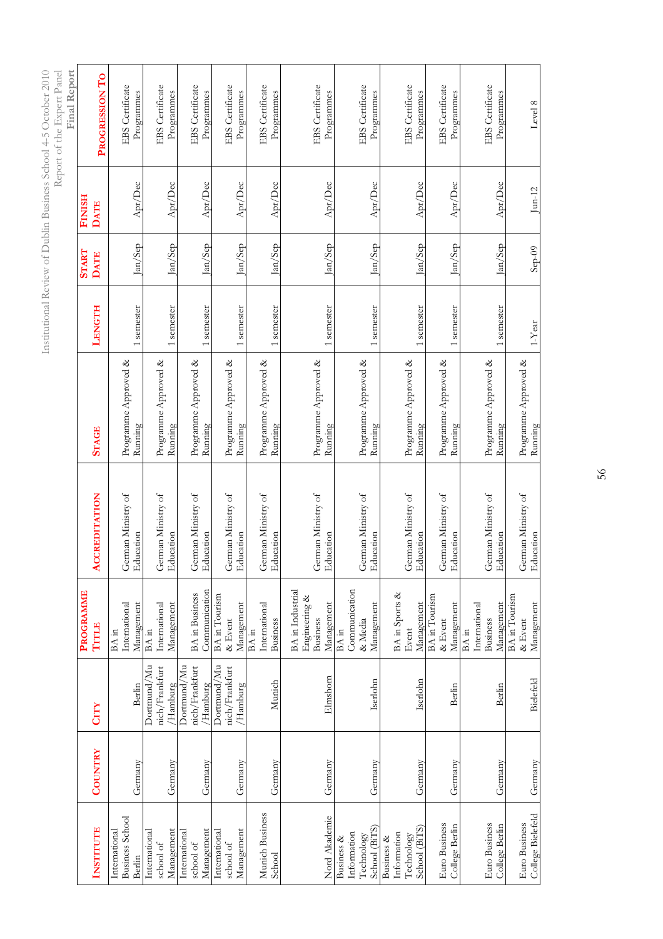| ł<br>$\overline{\phantom{a}}$<br>J<br>í<br>j<br>I<br>Ĩ. | ł<br>λ<br>ï<br>i<br>c<br>I<br>l<br>ļ<br>)<br>ä                       |
|---------------------------------------------------------|----------------------------------------------------------------------|
| $\frac{1}{2}$<br>ך<br>Ì,<br>j<br>ì<br>ł<br>J<br>I       | į<br>ł<br>l<br>Ι<br>ï<br>$\begin{bmatrix} 1 \\ 1 \end{bmatrix}$<br>ł |
| É,<br>ł                                                 |                                                                      |
| l<br>i.<br>$\frac{1}{2}$<br>I                           |                                                                      |
| J.<br>Ι<br>ï<br>ì<br>j<br>ł<br>ł<br>i<br>ł<br>ŀ         |                                                                      |

 $\overline{a}$ i.<br>E

|                                    |         |                               |                                                                    |                                        |                                 |            |              |               | Final Report                         |
|------------------------------------|---------|-------------------------------|--------------------------------------------------------------------|----------------------------------------|---------------------------------|------------|--------------|---------------|--------------------------------------|
|                                    |         |                               | <b>PROGRAMME</b>                                                   |                                        |                                 |            | <b>START</b> | <b>FINISH</b> |                                      |
| <b>INSTITUTE</b>                   | COUNTRY | <b>CITY</b>                   | TITLE                                                              | <b>ACCREDITATION</b>                   | <b>STAGE</b>                    | LENGTH     | <b>DATE</b>  | <b>DATE</b>   | PROGRESSION TO                       |
| Business School<br>International   |         |                               | International<br>BA in                                             | German Ministry of                     | Programme Approved &            |            |              |               | EBS Certificate                      |
| Berlin                             | Germany | Berlin                        | Management                                                         | ducation                               | Running                         | 1 semester | Jan/Sep      | Apr/Dec       | Programmes                           |
| International<br>school of         |         | Dortmund/Mu<br>nich/Frankfurt | International<br>BA in                                             | German Ministry of                     | Programme Approved &            |            |              |               | EBS Certificate                      |
| Management                         | Germany | /Hamburg                      | Management                                                         | Education                              | Running                         | 1 semester | Jan/Sep      | Apr/Dec       | Programmes                           |
| International                      |         | Dortmund/Mu                   |                                                                    |                                        |                                 |            |              |               |                                      |
| school of                          |         | nich/Frankfurt                | <b>BA</b> in Business                                              | German Ministry of                     | Programme Approved &            |            |              |               | EBS Certificate                      |
| Management                         | Germany | 'Hamburg                      | Communication                                                      | Education                              | Running                         | 1 semester | Jan/Sep      | Apr/Dec       | Programmes                           |
| International<br>school of         |         | Dortmund/Mu<br>nich/Frankfurt | <b>BA</b> in Tourism<br>$\&$ Event                                 | German Ministry of                     | Programme Approved &            |            |              |               | EBS Certificate                      |
| Management                         | Germany | Hamburg                       | Management                                                         | Iducation                              | Running                         | 1 semester | Jan/Sep      | Apr/Dec       | Programmes                           |
| Munich Business                    |         |                               | International<br>BA in                                             | German Ministry of                     | Programme Approved &            |            |              |               | <b>EBS</b> Certificate               |
| School                             | Germany | Munich                        | <b>Business</b>                                                    | Education                              | Running                         | 1 semester | Jan/Sep      | Apr/Dec       | Programmes                           |
| Nord Akademie                      | Germany | Elmshorn                      | BA in Industrial<br>Engineering &<br>Management<br><b>Business</b> | German Ministry of<br>Education        | Programme Approved &<br>Running | 1 semester | Jan/Sep      | Apr/Dec       | EBS Certificate<br>Programmes        |
| Business &                         |         |                               | BA in                                                              |                                        |                                 |            |              |               |                                      |
| Information                        |         |                               | Communication                                                      |                                        |                                 |            |              |               |                                      |
| School (BiTS)<br>Technology        | Germany | Iserlohn                      | Management<br>& Media                                              | German Ministry of<br><b>Education</b> | Programme Approved &<br>Running | 1 semester | Jan/Sep      | Apr/Dec       | <b>EBS</b> Certificate<br>Programmes |
| Business &                         |         |                               |                                                                    |                                        |                                 |            |              |               |                                      |
| Information                        |         |                               | BA in Sports &                                                     |                                        |                                 |            |              |               |                                      |
| School (BiTS)<br>Technology        | Germany | Iserlohn                      | Management<br>Event                                                | German Ministry of<br>Education        | Programme Approved &<br>Running | 1 semester | Jan/Sep      | Apr/Dec       | <b>EBS</b> Certificate<br>Programmes |
|                                    |         |                               | BA in Tourism                                                      |                                        |                                 |            |              |               |                                      |
| Euro Business                      |         |                               | & Event                                                            | German Ministry of                     | Programme Approved &            |            |              |               | EBS Certificate                      |
| College Berlin                     | Germany | Berlin                        | Management                                                         | Education                              | Running                         | 1 semester | Jan/Sep      | Apr/Dec       | Programmes                           |
|                                    |         |                               | BA in                                                              |                                        |                                 |            |              |               |                                      |
| Euro Business                      |         |                               | International<br><b>Business</b>                                   | German Ministry of                     | Programme Approved &            |            |              |               | <b>EBS</b> Certificate               |
| College Berlin                     | Germany | Berlin                        | Management                                                         | ducation                               | Running                         | 1 semester | Jan/Sep      | Apr/Dec       | Programmes                           |
|                                    |         |                               | BA in Tourism                                                      |                                        |                                 |            |              |               |                                      |
| College Bielefeld<br>Euro Business | Germany | <b>Bielefeld</b>              | Management<br>$\&$ Event                                           | German Ministry of<br>ducation         | Programme Approved &<br>Running | $1$ -Year  | $Sep-09$     | $\mu$ n-12    | Level 8                              |
|                                    |         |                               |                                                                    |                                        |                                 |            |              |               |                                      |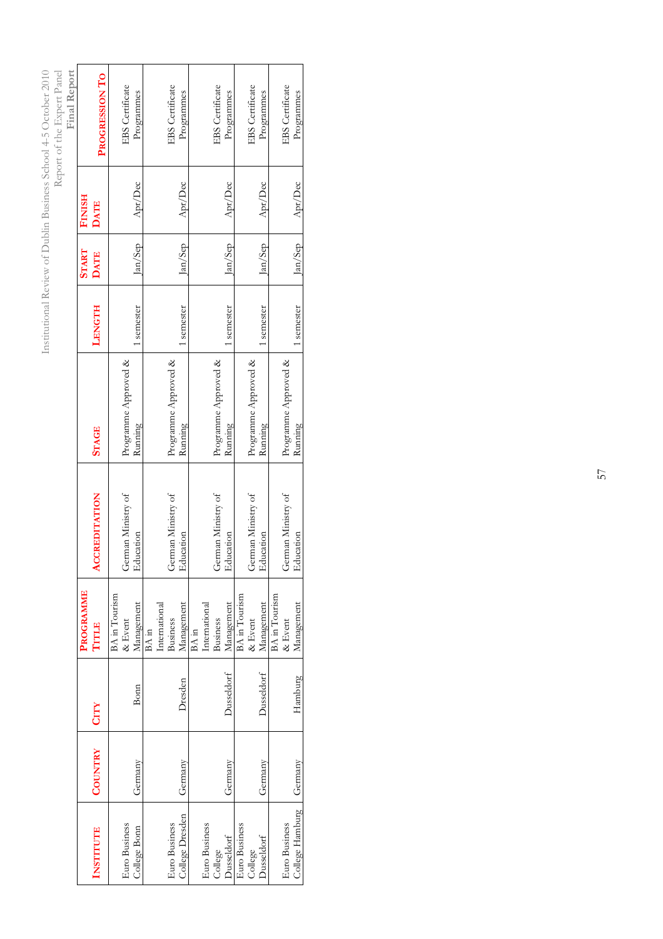| Final Report |                  | PROGRESSION TO       |               | <b>EBS</b> Certificate | Programmes   |       |               | <b>EBS</b> Certificate | Programmes      |       |               | <b>EBS</b> Certificate | Programmes |                      | <b>EBS</b> Certificate | Programmes             |               | <b>EBS</b> Certificate | Programmes      |
|--------------|------------------|----------------------|---------------|------------------------|--------------|-------|---------------|------------------------|-----------------|-------|---------------|------------------------|------------|----------------------|------------------------|------------------------|---------------|------------------------|-----------------|
|              | <b>FINISH</b>    | <b>DATE</b>          |               |                        | Apr/Dec      |       |               |                        | Apr/Dec         |       |               |                        | Apr/Dec    |                      |                        | Apr/Dec                |               |                        | Apr/Dec         |
|              | <b>START</b>     | <b>DATE</b>          |               |                        | $tan/$ Sep   |       |               |                        | lan/Sep         |       |               |                        | Jan/Sep    |                      |                        | $\text{Im}/\text{Sep}$ |               |                        | $\vert$ an/Sep  |
|              |                  | LENGTH               |               |                        | semester     |       |               |                        | semester        |       |               |                        | semester   |                      |                        | semester               |               |                        | semester        |
|              |                  | <b>STAGE</b>         |               | Programme Approved &   | Running      |       |               | Programme Approved &   | Running         |       |               | Programme Approved &   | Running    |                      | Programme Approved &   | Running                |               | Programme Approved &   | Running         |
|              |                  | <b>ACCREDITATION</b> |               | German Ministry of     | ducation     |       |               | German Ministry of     | ducation        |       |               | German Ministry of     | ducation   |                      | German Ministry of     | ducation               |               | German Ministry of     | ducation        |
|              | <b>PROGRAMME</b> | TITLE                | BA in Tourism | & Event                | Management   | BA in | International | <b>Business</b>        | Management      | BA in | International | <b>Business</b>        | Management | <b>BA</b> in Tourism | $\&$ Event             | Management             | BA in Tourism | $\&$ Event             | Management      |
|              |                  | CITY                 |               |                        | Bonn         |       |               |                        | Dresden         |       |               |                        | Dusseldorf |                      |                        | <b>Dusseldorf</b>      |               |                        | Hamburg         |
|              |                  | <b>COUNTRY</b>       |               |                        | Germany      |       |               |                        | Germany         |       |               |                        | Germany    |                      |                        | Germany                |               |                        | Germany         |
|              |                  | <b>INSTITUTE</b>     |               | Euro Business          | College Bonn |       |               | Euro Business          | College Dresden |       | Euro Business | College                | Dusseldorf | Euro Business        | College                | <b>Dusseldorf</b>      |               | Euro Business          | College Hamburg |

Institutional Review of Dublin Business School 4-5 October 2010

Institutional Review of Dublin Business School 4-5 October 2010<br>Report of the Expert Panel

Report of the Expert Panel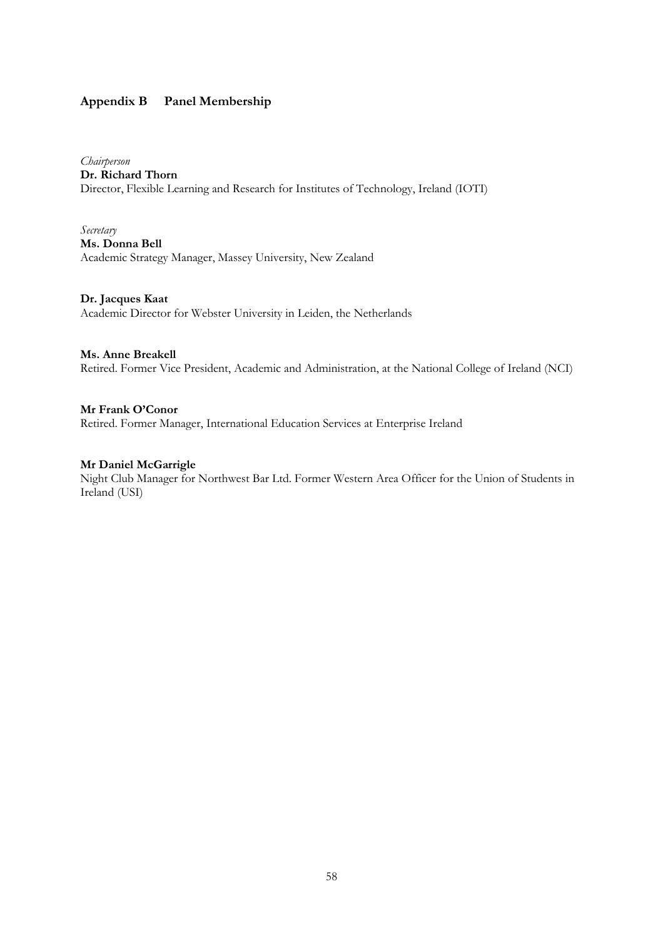## Appendix B Panel Membership

Chairperson Dr. Richard Thorn Director, Flexible Learning and Research for Institutes of Technology, Ireland (IOTI)

Secretary Ms. Donna Bell Academic Strategy Manager, Massey University, New Zealand

Dr. Jacques Kaat Academic Director for Webster University in Leiden, the Netherlands

Ms. Anne Breakell

Retired. Former Vice President, Academic and Administration, at the National College of Ireland (NCI)

Mr Frank O'Conor Retired. Former Manager, International Education Services at Enterprise Ireland

## Mr Daniel McGarrigle

Night Club Manager for Northwest Bar Ltd. Former Western Area Officer for the Union of Students in Ireland (USI)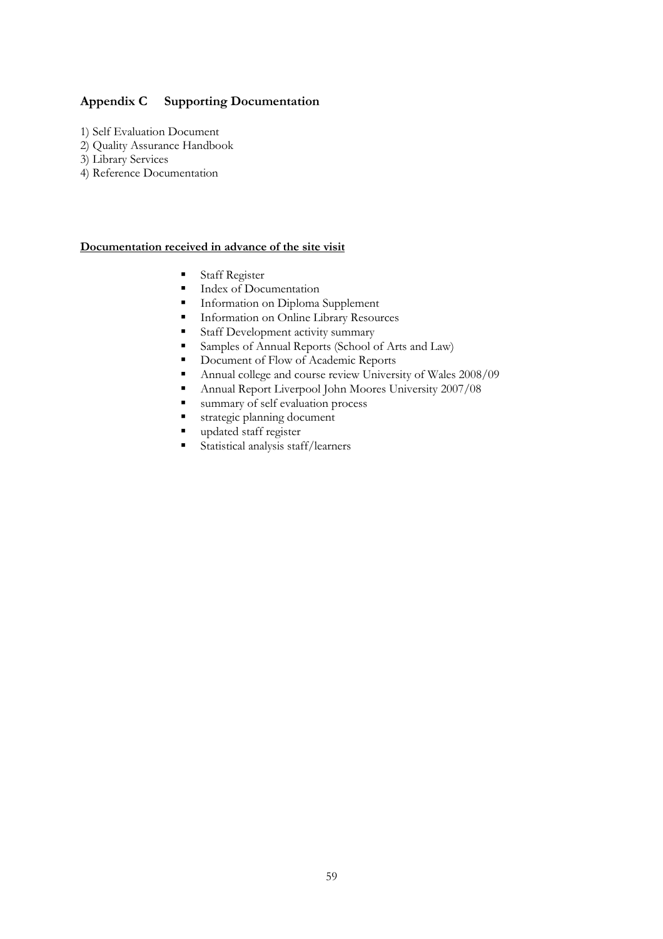## Appendix C Supporting Documentation

- 1) Self Evaluation Document
- 2) Quality Assurance Handbook
- 3) Library Services
- 4) Reference Documentation

## Documentation received in advance of the site visit

- Staff Register<br>Index of Docu
- Index of Documentation
- Information on Diploma Supplement
- **Information on Online Library Resources**
- Staff Development activity summary
- Samples of Annual Reports (School of Arts and Law)
- Document of Flow of Academic Reports
- Annual college and course review University of Wales 2008/09
- Annual Report Liverpool John Moores University 2007/08
- summary of self evaluation process
- strategic planning document
- **updated staff register**
- Statistical analysis staff/learners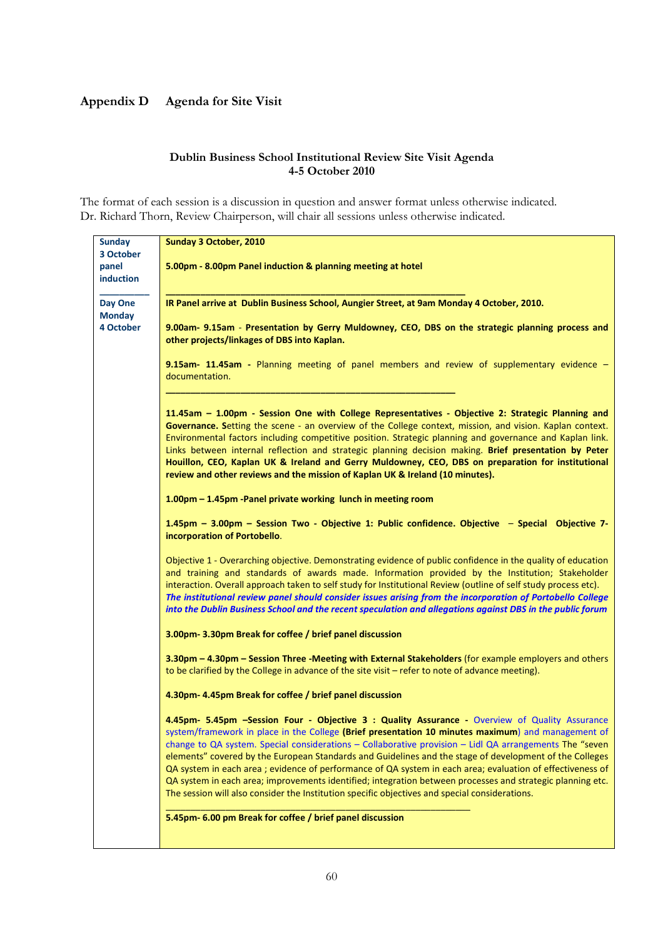## Appendix D Agenda for Site Visit

## Dublin Business School Institutional Review Site Visit Agenda 4-5 October 2010

The format of each session is a discussion in question and answer format unless otherwise indicated. Dr. Richard Thorn, Review Chairperson, will chair all sessions unless otherwise indicated.

| <b>Sunday</b> | Sunday 3 October, 2010                                                                                          |
|---------------|-----------------------------------------------------------------------------------------------------------------|
| 3 October     |                                                                                                                 |
| panel         | 5.00pm - 8.00pm Panel induction & planning meeting at hotel                                                     |
| induction     |                                                                                                                 |
|               |                                                                                                                 |
| Day One       | IR Panel arrive at Dublin Business School, Aungier Street, at 9am Monday 4 October, 2010.                       |
| <b>Monday</b> |                                                                                                                 |
| 4 October     | 9.00am- 9.15am - Presentation by Gerry Muldowney, CEO, DBS on the strategic planning process and                |
|               | other projects/linkages of DBS into Kaplan.                                                                     |
|               |                                                                                                                 |
|               | 9.15am- 11.45am - Planning meeting of panel members and review of supplementary evidence -                      |
|               | documentation.                                                                                                  |
|               |                                                                                                                 |
|               |                                                                                                                 |
|               | 11.45am - 1.00pm - Session One with College Representatives - Objective 2: Strategic Planning and               |
|               | Governance. Setting the scene - an overview of the College context, mission, and vision. Kaplan context.        |
|               | Environmental factors including competitive position. Strategic planning and governance and Kaplan link.        |
|               | Links between internal reflection and strategic planning decision making. Brief presentation by Peter           |
|               | Houillon, CEO, Kaplan UK & Ireland and Gerry Muldowney, CEO, DBS on preparation for institutional               |
|               | review and other reviews and the mission of Kaplan UK & Ireland (10 minutes).                                   |
|               |                                                                                                                 |
|               | 1.00pm - 1.45pm - Panel private working lunch in meeting room                                                   |
|               |                                                                                                                 |
|               | 1.45pm - 3.00pm - Session Two - Objective 1: Public confidence. Objective - Special Objective 7-                |
|               | incorporation of Portobello.                                                                                    |
|               |                                                                                                                 |
|               | Objective 1 - Overarching objective. Demonstrating evidence of public confidence in the quality of education    |
|               | and training and standards of awards made. Information provided by the Institution; Stakeholder                 |
|               | interaction. Overall approach taken to self study for Institutional Review (outline of self study process etc). |
|               | The institutional review panel should consider issues arising from the incorporation of Portobello College      |
|               | into the Dublin Business School and the recent speculation and allegations against DBS in the public forum      |
|               |                                                                                                                 |
|               | 3.00pm-3.30pm Break for coffee / brief panel discussion                                                         |
|               |                                                                                                                 |
|               | 3.30pm - 4.30pm - Session Three -Meeting with External Stakeholders (for example employers and others           |
|               | to be clarified by the College in advance of the site visit - refer to note of advance meeting).                |
|               |                                                                                                                 |
|               | 4.30pm- 4.45pm Break for coffee / brief panel discussion                                                        |
|               |                                                                                                                 |
|               | 4.45pm- 5.45pm -Session Four - Objective 3 : Quality Assurance - Overview of Quality Assurance                  |
|               | system/framework in place in the College (Brief presentation 10 minutes maximum) and management of              |
|               | change to QA system. Special considerations $-$ Collaborative provision $-$ Lidl QA arrangements The "seven     |
|               | elements" covered by the European Standards and Guidelines and the stage of development of the Colleges         |
|               | QA system in each area ; evidence of performance of QA system in each area; evaluation of effectiveness of      |
|               | QA system in each area; improvements identified; integration between processes and strategic planning etc.      |
|               | The session will also consider the Institution specific objectives and special considerations.                  |
|               |                                                                                                                 |
|               | 5.45pm- 6.00 pm Break for coffee / brief panel discussion                                                       |
|               |                                                                                                                 |
|               |                                                                                                                 |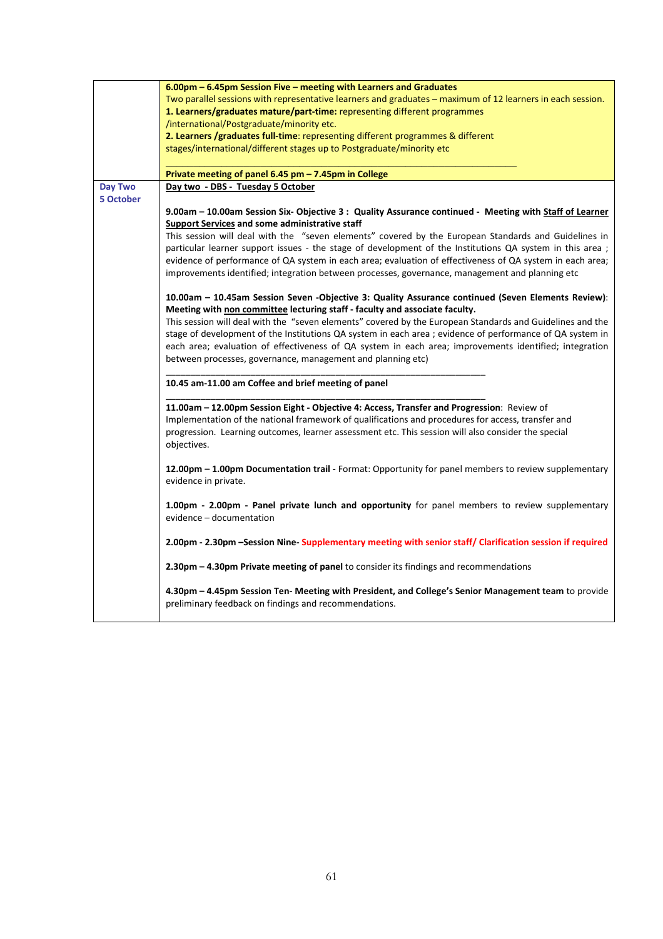|           | 6.00pm - 6.45pm Session Five - meeting with Learners and Graduates                                          |
|-----------|-------------------------------------------------------------------------------------------------------------|
|           | Two parallel sessions with representative learners and graduates – maximum of 12 learners in each session.  |
|           | 1. Learners/graduates mature/part-time: representing different programmes                                   |
|           | /international/Postgraduate/minority etc.                                                                   |
|           | 2. Learners /graduates full-time: representing different programmes & different                             |
|           | stages/international/different stages up to Postgraduate/minority etc                                       |
|           |                                                                                                             |
|           | Private meeting of panel 6.45 pm - 7.45pm in College                                                        |
| Day Two   | Day two - DBS - Tuesday 5 October                                                                           |
| 5 October |                                                                                                             |
|           | 9.00am – 10.00am Session Six- Objective 3: Quality Assurance continued - Meeting with Staff of Learner      |
|           | <b>Support Services and some administrative staff</b>                                                       |
|           | This session will deal with the "seven elements" covered by the European Standards and Guidelines in        |
|           | particular learner support issues - the stage of development of the Institutions QA system in this area ;   |
|           |                                                                                                             |
|           | evidence of performance of QA system in each area; evaluation of effectiveness of QA system in each area;   |
|           | improvements identified; integration between processes, governance, management and planning etc             |
|           |                                                                                                             |
|           | 10.00am - 10.45am Session Seven -Objective 3: Quality Assurance continued (Seven Elements Review):          |
|           | Meeting with non committee lecturing staff - faculty and associate faculty.                                 |
|           | This session will deal with the "seven elements" covered by the European Standards and Guidelines and the   |
|           | stage of development of the Institutions QA system in each area ; evidence of performance of QA system in   |
|           | each area; evaluation of effectiveness of QA system in each area; improvements identified; integration      |
|           | between processes, governance, management and planning etc)                                                 |
|           |                                                                                                             |
|           | 10.45 am-11.00 am Coffee and brief meeting of panel                                                         |
|           |                                                                                                             |
|           | 11.00am - 12.00pm Session Eight - Objective 4: Access, Transfer and Progression: Review of                  |
|           | Implementation of the national framework of qualifications and procedures for access, transfer and          |
|           | progression. Learning outcomes, learner assessment etc. This session will also consider the special         |
|           | objectives.                                                                                                 |
|           |                                                                                                             |
|           | <b>12.00pm – 1.00pm Documentation trail</b> - Format: Opportunity for panel members to review supplementary |
|           | evidence in private.                                                                                        |
|           |                                                                                                             |
|           | 1.00pm - 2.00pm - Panel private lunch and opportunity for panel members to review supplementary             |
|           | evidence - documentation                                                                                    |
|           |                                                                                                             |
|           | 2.00pm - 2.30pm -Session Nine- Supplementary meeting with senior staff/ Clarification session if required   |
|           |                                                                                                             |
|           | 2.30pm - 4.30pm Private meeting of panel to consider its findings and recommendations                       |
|           |                                                                                                             |
|           | 4.30pm - 4.45pm Session Ten- Meeting with President, and College's Senior Management team to provide        |
|           | preliminary feedback on findings and recommendations.                                                       |
|           |                                                                                                             |
|           |                                                                                                             |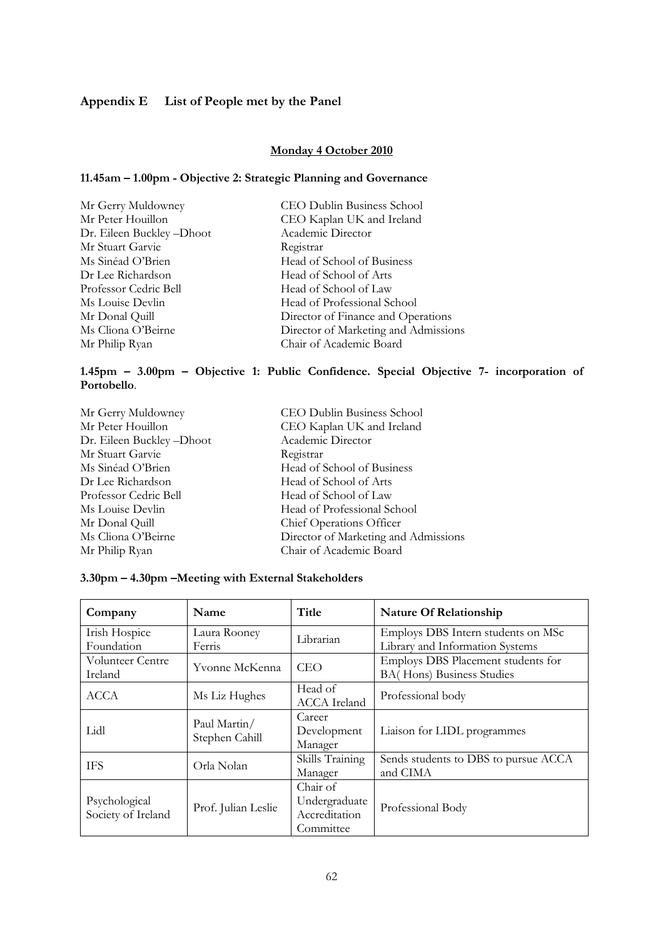## Appendix E List of People met by the Panel

## Monday 4 October 2010

## 11.45am – 1.00pm - Objective 2: Strategic Planning and Governance

| Mr Gerry Muldowney       | CEO Dublin Business School           |
|--------------------------|--------------------------------------|
| Mr Peter Houillon        | CEO Kaplan UK and Ireland            |
| Dr. Eileen Buckley-Dhoot | Academic Director                    |
| Mr Stuart Garvie         | Registrar                            |
| Ms Sinéad O'Brien        | Head of School of Business           |
| Dr Lee Richardson        | Head of School of Arts               |
| Professor Cedric Bell    | Head of School of Law                |
| Ms Louise Devlin         | Head of Professional School          |
| Mr Donal Quill           | Director of Finance and Operations   |
| Ms Cliona O'Beirne       | Director of Marketing and Admissions |
| Mr Philip Ryan           | Chair of Academic Board              |

## 1.45pm – 3.00pm – Objective 1: Public Confidence. Special Objective 7- incorporation of Portobello.

| Mr Gerry Muldowney       | CEO Dublin Business School           |
|--------------------------|--------------------------------------|
| Mr Peter Houillon        | CEO Kaplan UK and Ireland            |
| Dr. Eileen Buckley-Dhoot | Academic Director                    |
| Mr Stuart Garvie         | Registrar                            |
| Ms Sinéad O'Brien        | Head of School of Business           |
| Dr Lee Richardson        | Head of School of Arts               |
| Professor Cedric Bell    | Head of School of Law                |
| Ms Louise Devlin         | Head of Professional School          |
| Mr Donal Quill           | Chief Operations Officer             |
| Ms Cliona O'Beirne       | Director of Marketing and Admissions |
| Mr Philip Ryan           | Chair of Academic Board              |
|                          |                                      |

## 3.30pm – 4.30pm –Meeting with External Stakeholders

| Company                 | Name                           | Title               | Nature Of Relationship               |
|-------------------------|--------------------------------|---------------------|--------------------------------------|
| Irish Hospice           | Laura Rooney                   | Librarian           | Employs DBS Intern students on MSc   |
| Foundation              | Ferris                         |                     | Library and Information Systems      |
| <b>Volunteer Centre</b> | Yvonne McKenna                 | <b>CEO</b>          | Employs DBS Placement students for   |
| Ireland                 |                                |                     | BA(Hons) Business Studies            |
| ACCA                    | Ms Liz Hughes                  | Head of             | Professional body                    |
|                         |                                | <b>ACCA</b> Ireland |                                      |
|                         |                                | Career              |                                      |
| Lidl                    | Paul Martin/<br>Stephen Cahill | Development         | Liaison for LIDL programmes          |
|                         |                                | Manager             |                                      |
| <b>TFS</b>              | Orla Nolan                     | Skills Training     | Sends students to DBS to pursue ACCA |
|                         |                                | Manager             | and CIMA                             |
|                         |                                | Chair of            |                                      |
| Psychological           |                                | Undergraduate       |                                      |
| Society of Ireland      | Prof. Julian Leslie            | Accreditation       | Professional Body                    |
|                         |                                | Committee           |                                      |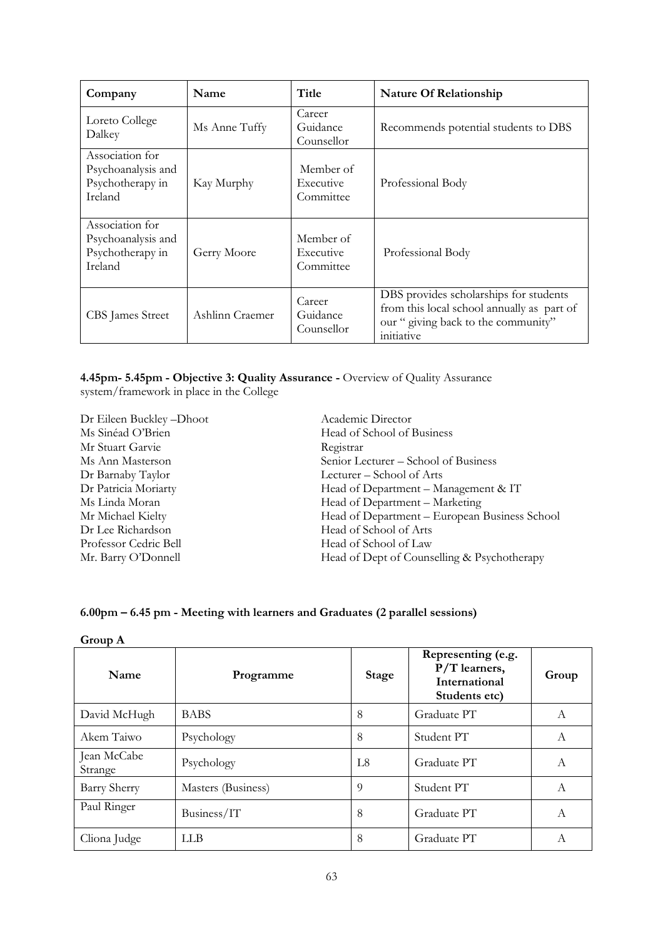| Company                                                              | Name            | Title                               | <b>Nature Of Relationship</b>                                                                                                             |  |  |
|----------------------------------------------------------------------|-----------------|-------------------------------------|-------------------------------------------------------------------------------------------------------------------------------------------|--|--|
| Loreto College<br>Dalkey                                             | Ms Anne Tuffy   | Career<br>Guidance<br>Counsellor    | Recommends potential students to DBS                                                                                                      |  |  |
| Association for<br>Psychoanalysis and<br>Psychotherapy in<br>Ireland | Kay Murphy      | Member of<br>Executive<br>Committee | Professional Body                                                                                                                         |  |  |
| Association for<br>Psychoanalysis and<br>Psychotherapy in<br>Ireland | Gerry Moore     | Member of<br>Executive<br>Committee | Professional Body                                                                                                                         |  |  |
| CBS James Street                                                     | Ashlinn Craemer | Career<br>Guidance<br>Counsellor    | DBS provides scholarships for students<br>from this local school annually as part of<br>our " giving back to the community"<br>initiative |  |  |

4.45pm- 5.45pm - Objective 3: Quality Assurance - Overview of Quality Assurance system/framework in place in the College

Dr Eileen Buckley –Dhoot Academic Director Mr Stuart Garvie Registrar<br>Ms Ann Masterson Senior Le Dr Lee Richardson Head of School of Arts<br>Professor Cedric Bell Head of School of Law Professor Cedric Bell Head of School of Law<br>Mr. Barry O'Donnell Head of Dept of Couns

Head of School of Business Ms Ann Masterson Senior Lecturer – School of Business<br>Dr Barnaby Taylor Lecturer – School of Arts Lecturer – School of Arts Dr Patricia Moriarty Head of Department – Management & IT Ms Linda Moran Head of Department – Marketing Mr Michael Kielty Head of Department – European Business School Head of Dept of Counselling & Psychotherapy

## 6.00pm – 6.45 pm - Meeting with learners and Graduates (2 parallel sessions)

| Name                   | Programme          | Stage | Representing (e.g.<br>$P/T$ learners,<br>International<br>Students etc) | Group |
|------------------------|--------------------|-------|-------------------------------------------------------------------------|-------|
| David McHugh           | <b>BABS</b>        | 8     | Graduate PT                                                             | А     |
| Akem Taiwo             | Psychology         | 8     | Student PT                                                              | A     |
| Jean McCabe<br>Strange | Psychology         | L8    | Graduate PT                                                             | А     |
| Barry Sherry           | Masters (Business) | 9     | Student PT                                                              | A     |
| Paul Ringer            | Business/IT        | 8     | Graduate PT                                                             | А     |
| Cliona Judge           | <b>LLB</b>         | 8     | Graduate PT                                                             | A     |

Group A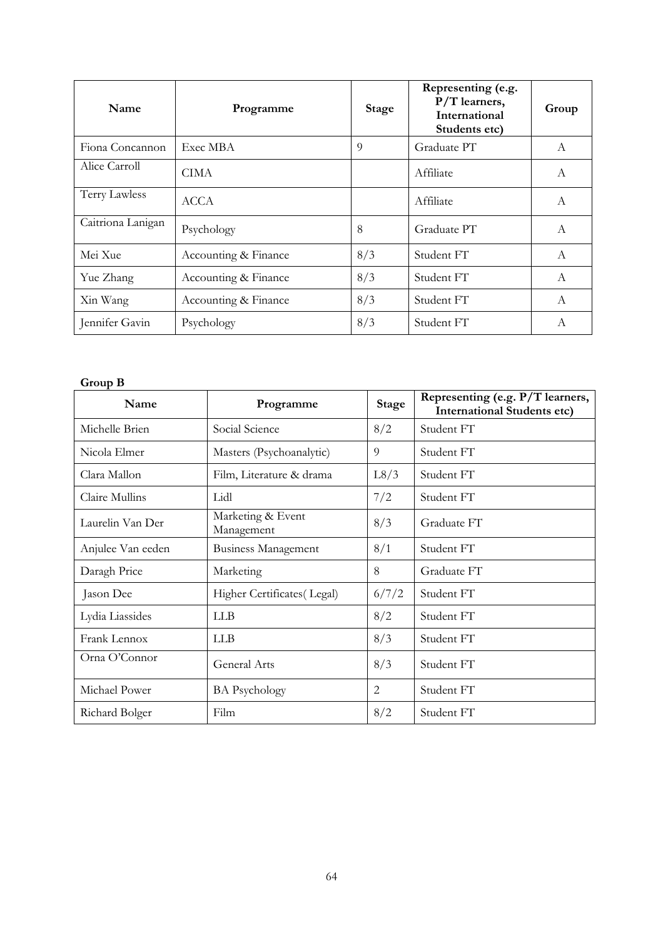| Name              | Programme            | <b>Stage</b> | Representing (e.g.<br>$P/T$ learners,<br>International<br>Students etc) | Group          |
|-------------------|----------------------|--------------|-------------------------------------------------------------------------|----------------|
| Fiona Concannon   | Exec MBA             | 9            | Graduate PT                                                             | A              |
| Alice Carroll     | CIMA                 |              | Affiliate                                                               | $\mathcal{A}$  |
| Terry Lawless     | <b>ACCA</b>          |              | Affiliate                                                               | A              |
| Caitriona Lanigan | Psychology           | 8            | Graduate PT                                                             | A              |
| Mei Xue           | Accounting & Finance | 8/3          | Student FT                                                              | $\overline{A}$ |
| Yue Zhang         | Accounting & Finance | 8/3          | Student FT                                                              | A              |
| Xin Wang          | Accounting & Finance | 8/3          | Student FT                                                              | $\overline{A}$ |
| Jennifer Gavin    | Psychology           | 8/3          | Student FT                                                              | A              |

## Group B

| Name              | Programme                       | <b>Stage</b> | Representing (e.g. P/T learners,<br><b>International Students etc)</b> |
|-------------------|---------------------------------|--------------|------------------------------------------------------------------------|
| Michelle Brien    | Social Science                  | 8/2          | Student FT                                                             |
| Nicola Elmer      | Masters (Psychoanalytic)        | 9            | Student FT                                                             |
| Clara Mallon      | Film, Literature & drama        | L8/3         | Student FT                                                             |
| Claire Mullins    | Lidl                            | 7/2          | Student FT                                                             |
| Laurelin Van Der  | Marketing & Event<br>Management | 8/3          | Graduate FT                                                            |
| Anjulee Van eeden | <b>Business Management</b>      | 8/1          | Student FT                                                             |
| Daragh Price      | Marketing                       | 8            | Graduate FT                                                            |
| Jason Dee         | Higher Certificates (Legal)     | 6/7/2        | Student FT                                                             |
| Lydia Liassides   | <b>LLB</b>                      | 8/2          | Student FT                                                             |
| Frank Lennox      | <b>LLB</b>                      | 8/3          | Student FT                                                             |
| Orna O'Connor     | General Arts                    | 8/3          | Student FT                                                             |
| Michael Power     | <b>BA</b> Psychology            | 2            | Student FT                                                             |
| Richard Bolger    | Film                            | 8/2          | Student FT                                                             |